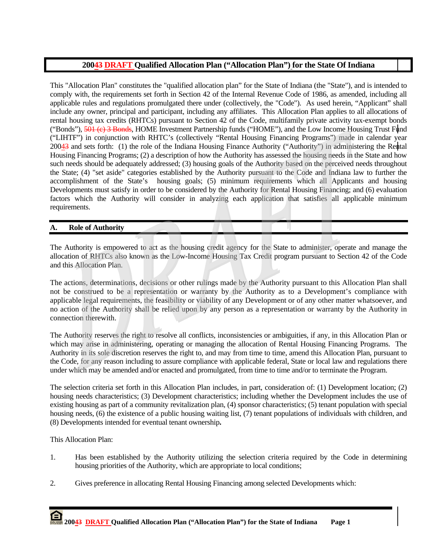## **20043 DRAFT Qualified Allocation Plan ("Allocation Plan") for the State Of Indiana**

This "Allocation Plan" constitutes the "qualified allocation plan" for the State of Indiana (the "State"), and is intended to comply with, the requirements set forth in Section 42 of the Internal Revenue Code of 1986, as amended, including all applicable rules and regulations promulgated there under (collectively, the "Code"). As used herein, "Applicant" shall include any owner, principal and participant, including any affiliates. This Allocation Plan applies to all allocations of rental housing tax credits (RHTCs) pursuant to Section 42 of the Code, multifamily private activity tax-exempt bonds ("Bonds"), 501 (c) 3 Bonds, HOME Investment Partnership funds ("HOME"), and the Low Income Housing Trust Fund ("LIHTF") in conjunction with RHTC's (collectively "Rental Housing Financing Programs") made in calendar year 20043 and sets forth: (1) the role of the Indiana Housing Finance Authority ("Authority") in administering the Rental Housing Financing Programs; (2) a description of how the Authority has assessed the housing needs in the State and how such needs should be adequately addressed; (3) housing goals of the Authority based on the perceived needs throughout the State; (4) "set aside" categories established by the Authority pursuant to the Code and Indiana law to further the accomplishment of the State's housing goals; (5) minimum requirements which all Applicants and housing Developments must satisfy in order to be considered by the Authority for Rental Housing Financing; and (6) evaluation factors which the Authority will consider in analyzing each application that satisfies all applicable minimum requirements.

## **A. Role of Authority**

The Authority is empowered to act as the housing credit agency for the State to administer, operate and manage the allocation of RHTCs also known as the Low-Income Housing Tax Credit program pursuant to Section 42 of the Code and this Allocation Plan.

The actions, determinations, decisions or other rulings made by the Authority pursuant to this Allocation Plan shall not be construed to be a representation or warranty by the Authority as to a Development's compliance with applicable legal requirements, the feasibility or viability of any Development or of any other matter whatsoever, and no action of the Authority shall be relied upon by any person as a representation or warranty by the Authority in connection therewith.

The Authority reserves the right to resolve all conflicts, inconsistencies or ambiguities, if any, in this Allocation Plan or which may arise in administering, operating or managing the allocation of Rental Housing Financing Programs. The Authority in its sole discretion reserves the right to, and may from time to time, amend this Allocation Plan, pursuant to the Code, for any reason including to assure compliance with applicable federal, State or local law and regulations there under which may be amended and/or enacted and promulgated, from time to time and/or to terminate the Program.

The selection criteria set forth in this Allocation Plan includes, in part, consideration of: (1) Development location; (2) housing needs characteristics; (3) Development characteristics; including whether the Development includes the use of existing housing as part of a community revitalization plan, (4) sponsor characteristics; (5) tenant population with special housing needs, (6) the existence of a public housing waiting list, (7) tenant populations of individuals with children, and (8) Developments intended for eventual tenant ownership**.** 

This Allocation Plan:

- 1. Has been established by the Authority utilizing the selection criteria required by the Code in determining housing priorities of the Authority, which are appropriate to local conditions;
- 2. Gives preference in allocating Rental Housing Financing among selected Developments which: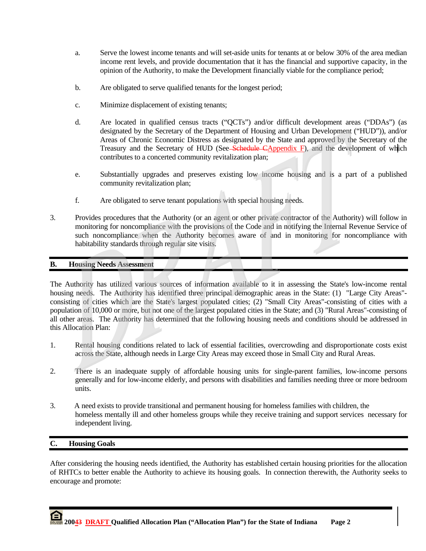- a. Serve the lowest income tenants and will set-aside units for tenants at or below 30% of the area median income rent levels, and provide documentation that it has the financial and supportive capacity, in the opinion of the Authority, to make the Development financially viable for the compliance period;
- b. Are obligated to serve qualified tenants for the longest period;
- c. Minimize displacement of existing tenants;
- d. Are located in qualified census tracts ("QCTs") and/or difficult development areas ("DDAs") (as designated by the Secretary of the Department of Housing and Urban Development ("HUD")), and/or Areas of Chronic Economic Distress as designated by the State and approved by the Secretary of the Treasury and the Secretary of HUD (See<del>-Schedule CAppendix F)</del>, and the development of which contributes to a concerted community revitalization plan;
- e. Substantially upgrades and preserves existing low income housing and is a part of a published community revitalization plan;
- f. Are obligated to serve tenant populations with special housing needs.
- 3. Provides procedures that the Authority (or an agent or other private contractor of the Authority) will follow in monitoring for noncompliance with the provisions of the Code and in notifying the Internal Revenue Service of such noncompliance when the Authority becomes aware of and in monitoring for noncompliance with habitability standards through regular site visits.

## **B. Housing Needs Assessment**

The Authority has utilized various sources of information available to it in assessing the State's low-income rental housing needs. The Authority has identified three principal demographic areas in the State: (1) "Large City Areas" consisting of cities which are the State's largest populated cities; (2) "Small City Areas"-consisting of cities with a population of 10,000 or more, but not one of the largest populated cities in the State; and (3) "Rural Areas"-consisting of all other areas. The Authority has determined that the following housing needs and conditions should be addressed in this Allocation Plan:

- 1. Rental housing conditions related to lack of essential facilities, overcrowding and disproportionate costs exist across the State, although needs in Large City Areas may exceed those in Small City and Rural Areas.
- 2. There is an inadequate supply of affordable housing units for single-parent families, low-income persons generally and for low-income elderly, and persons with disabilities and families needing three or more bedroom units.
- 3. A need exists to provide transitional and permanent housing for homeless families with children, the homeless mentally ill and other homeless groups while they receive training and support services necessary for independent living.

## **C. Housing Goals**

After considering the housing needs identified, the Authority has established certain housing priorities for the allocation of RHTCs to better enable the Authority to achieve its housing goals. In connection therewith, the Authority seeks to encourage and promote: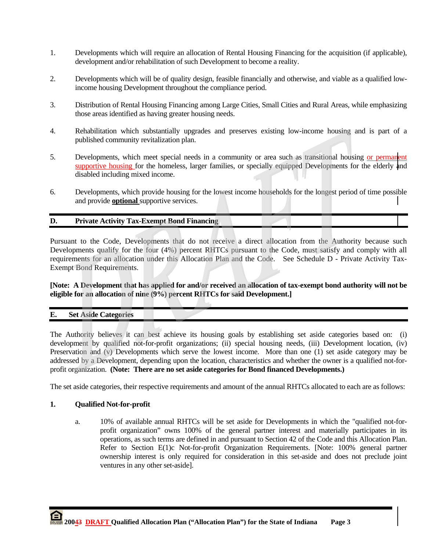- 1. Developments which will require an allocation of Rental Housing Financing for the acquisition (if applicable), development and/or rehabilitation of such Development to become a reality.
- 2. Developments which will be of quality design, feasible financially and otherwise, and viable as a qualified lowincome housing Development throughout the compliance period.
- 3. Distribution of Rental Housing Financing among Large Cities, Small Cities and Rural Areas, while emphasizing those areas identified as having greater housing needs.
- 4. Rehabilitation which substantially upgrades and preserves existing low-income housing and is part of a published community revitalization plan.
- 5. Developments, which meet special needs in a community or area such as transitional housing or permanent supportive housing for the homeless, larger families, or specially equipped Developments for the elderly and disabled including mixed income.
- 6. Developments, which provide housing for the lowest income households for the longest period of time possible and provide **optional** supportive services.

## **D. Private Activity Tax-Exempt Bond Financing**

Pursuant to the Code, Developments that do not receive a direct allocation from the Authority because such Developments qualify for the four (4%) percent RHTCs pursuant to the Code, must satisfy and comply with all requirements for an allocation under this Allocation Plan and the Code. See Schedule D - Private Activity Tax-Exempt Bond Requirements.

**[Note: A Development that has applied for and/or received an allocation of tax-exempt bond authority will not be eligible for an allocation of nine (9%) percent RHTCs for said Development.]**

## **E. Set Aside Categories**

The Authority believes it can best achieve its housing goals by establishing set aside categories based on: (i) development by qualified not-for-profit organizations; (ii) special housing needs, (iii) Development location, (iv) Preservation and (v) Developments which serve the lowest income. More than one (1) set aside category may be addressed by a Development, depending upon the location, characteristics and whether the owner is a qualified not-forprofit organization. **(Note: There are no set aside categories for Bond financed Developments.)**

The set aside categories, their respective requirements and amount of the annual RHTCs allocated to each are as follows:

## **1. Qualified Not-for-profit**

 a. 10% of available annual RHTCs will be set aside for Developments in which the "qualified not-forprofit organization" owns 100% of the general partner interest and materially participates in its operations, as such terms are defined in and pursuant to Section 42 of the Code and this Allocation Plan. Refer to Section E(1)c Not-for-profit Organization Requirements. [Note: 100% general partner ownership interest is only required for consideration in this set-aside and does not preclude joint ventures in any other set-aside].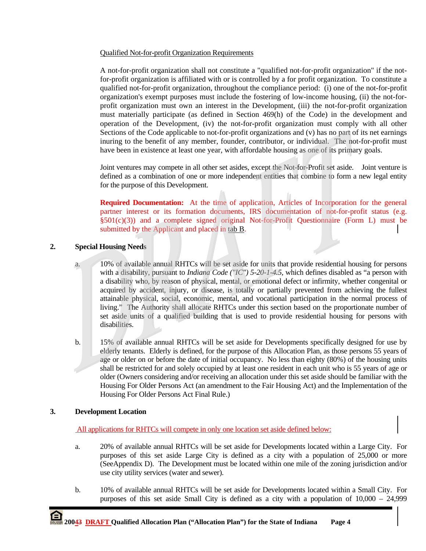## Qualified Not-for-profit Organization Requirements

A not-for-profit organization shall not constitute a "qualified not-for-profit organization" if the notfor-profit organization is affiliated with or is controlled by a for profit organization. To constitute a qualified not-for-profit organization, throughout the compliance period: (i) one of the not-for-profit organization's exempt purposes must include the fostering of low-income housing, (ii) the not-forprofit organization must own an interest in the Development, (iii) the not-for-profit organization must materially participate (as defined in Section 469(h) of the Code) in the development and operation of the Development, (iv) the not-for-profit organization must comply with all other Sections of the Code applicable to not-for-profit organizations and (v) has no part of its net earnings inuring to the benefit of any member, founder, contributor, or individual. The not-for-profit must have been in existence at least one year, with affordable housing as one of its primary goals.

Joint ventures may compete in all other set asides, except the Not-for-Profit set aside. Joint venture is defined as a combination of one or more independent entities that combine to form a new legal entity for the purpose of this Development.

**Required Documentation:** At the time of application, Articles of Incorporation for the general partner interest or its formation documents, IRS documentation of not-for-profit status (e.g. §501(c)(3)) and a complete signed original Not-for-Profit Questionnaire (Form L) must be submitted by the Applicant and placed in tab B.

## **2. Special Housing Needs**

- a. 10% of available annual RHTCs will be set aside for units that provide residential housing for persons with a disability, pursuant to *Indiana Code* ("IC") 5-20-1-4.5, which defines disabled as "a person with a disability who, by reason of physical, mental, or emotional defect or infirmity, whether congenital or acquired by accident, injury, or disease, is totally or partially prevented from achieving the fullest attainable physical, social, economic, mental, and vocational participation in the normal process of living." The Authority shall allocate RHTCs under this section based on the proportionate number of set aside units of a qualified building that is used to provide residential housing for persons with disabilities.
- b. 15% of available annual RHTCs will be set aside for Developments specifically designed for use by elderly tenants. Elderly is defined, for the purpose of this Allocation Plan, as those persons 55 years of age or older on or before the date of initial occupancy. No less than eighty (80%) of the housing units shall be restricted for and solely occupied by at least one resident in each unit who is 55 years of age or older (Owners considering and/or receiving an allocation under this set aside should be familiar with the Housing For Older Persons Act (an amendment to the Fair Housing Act) and the Implementation of the Housing For Older Persons Act Final Rule.)

## **3. Development Location**

All applications for RHTCs will compete in only one location set aside defined below:

- a. 20% of available annual RHTCs will be set aside for Developments located within a Large City. For purposes of this set aside Large City is defined as a city with a population of 25,000 or more (SeeAppendix D). The Development must be located within one mile of the zoning jurisdiction and/or use city utility services (water and sewer).
- b. 10% of available annual RHTCs will be set aside for Developments located within a Small City. For purposes of this set aside Small City is defined as a city with a population of 10,000 – 24,999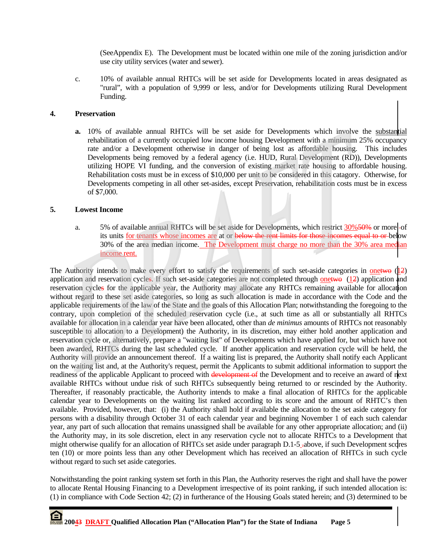(SeeAppendix E). The Development must be located within one mile of the zoning jurisdiction and/or use city utility services (water and sewer).

c. 10% of available annual RHTCs will be set aside for Developments located in areas designated as "rural", with a population of 9,999 or less, and/or for Developments utilizing Rural Development Funding.

#### **4. Preservation**

**a.** 10% of available annual RHTCs will be set aside for Developments which involve the substantial rehabilitation of a currently occupied low income housing Development with a minimum 25% occupancy rate and/or a Development otherwise in danger of being lost as affordable housing. This includes Developments being removed by a federal agency (i.e. HUD, Rural Development (RD)), Developments utilizing HOPE VI funding, and the conversion of existing market rate housing to affordable housing. Rehabilitation costs must be in excess of \$10,000 per unit to be considered in this catagory. Otherwise, for Developments competing in all other set-asides, except Preservation, rehabilitation costs must be in excess of \$7,000.

#### **5. Lowest Income**

a. 5% of available annual RHTCs will be set aside for Developments, which restrict 30% 50% or more of its units for tenants whose incomes are at or below the rent limits for those incomes equal to or below 30% of the area median income. The Development must charge no more than the 30% area median income rent.

The Authority intends to make every effort to satisfy the requirements of such set-aside categories in onetwo  $(12)$ application and reservation cycles. If such set-aside categories are not completed through onetwo (12) application and reservation cycles for the applicable year, the Authority may allocate any RHTCs remaining available for allocation without regard to these set aside categories, so long as such allocation is made in accordance with the Code and the applicable requirements of the law of the State and the goals of this Allocation Plan; notwithstanding the foregoing to the contrary, upon completion of the scheduled reservation cycle (i.e., at such time as all or substantially all RHTCs available for allocation in a calendar year have been allocated, other than *de minimus* amounts of RHTCs not reasonably susceptible to allocation to a Development) the Authority, in its discretion, may either hold another application and reservation cycle or, alternatively, prepare a "waiting list" of Developments which have applied for, but which have not been awarded, RHTCs during the last scheduled cycle. If another application and reservation cycle will be held, the Authority will provide an announcement thereof. If a waiting list is prepared, the Authority shall notify each Applicant on the waiting list and, at the Authority's request, permit the Applicants to submit additional information to support the readiness of the applicable Applicant to proceed with development of the Development and to receive an award of next available RHTCs without undue risk of such RHTCs subsequently being returned to or rescinded by the Authority. Thereafter, if reasonably practicable, the Authority intends to make a final allocation of RHTCs for the applicable calendar year to Developments on the waiting list ranked according to its score and the amount of RHTC's then available. Provided, however, that: (i) the Authority shall hold if available the allocation to the set aside category for persons with a disability through October 31 of each calendar year and beginning November 1 of each such calendar year, any part of such allocation that remains unassigned shall be available for any other appropriate allocation; and (ii) the Authority may, in its sole discretion, elect in any reservation cycle not to allocate RHTCs to a Development that might otherwise qualify for an allocation of RHTCs set aside under paragraph D.1-5 -above, if such Development scores ten (10) or more points less than any other Development which has received an allocation of RHTCs in such cycle without regard to such set aside categories.

Notwithstanding the point ranking system set forth in this Plan, the Authority reserves the right and shall have the power to allocate Rental Housing Financing to a Development irrespective of its point ranking, if such intended allocation is: (1) in compliance with Code Section 42; (2) in furtherance of the Housing Goals stated herein; and (3) determined to be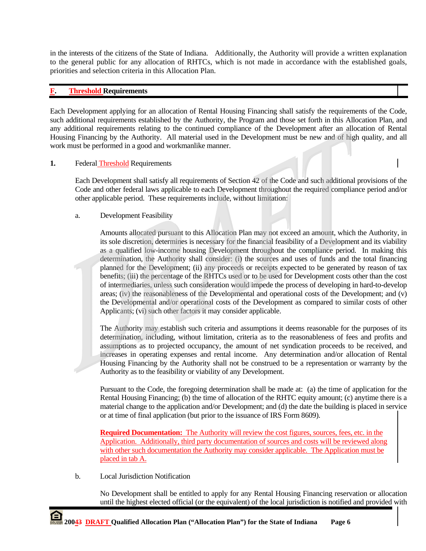in the interests of the citizens of the State of Indiana. Additionally, the Authority will provide a written explanation to the general public for any allocation of RHTCs, which is not made in accordance with the established goals, priorities and selection criteria in this Allocation Plan.

#### **F. Threshold Requirements**

Each Development applying for an allocation of Rental Housing Financing shall satisfy the requirements of the Code, such additional requirements established by the Authority, the Program and those set forth in this Allocation Plan, and any additional requirements relating to the continued compliance of the Development after an allocation of Rental Housing Financing by the Authority. All material used in the Development must be new and of high quality, and all work must be performed in a good and workmanlike manner.

#### **1.** Federal Threshold Requirements

 Each Development shall satisfy all requirements of Section 42 of the Code and such additional provisions of the Code and other federal laws applicable to each Development throughout the required compliance period and/or other applicable period. These requirements include, without limitation:

#### a. Development Feasibility

 Amounts allocated pursuant to this Allocation Plan may not exceed an amount, which the Authority, in its sole discretion, determines is necessary for the financial feasibility of a Development and its viability as a qualified low-income housing Development throughout the compliance period. In making this determination, the Authority shall consider: (i) the sources and uses of funds and the total financing planned for the Development; (ii) any proceeds or receipts expected to be generated by reason of tax benefits; (iii) the percentage of the RHTCs used or to be used for Development costs other than the cost of intermediaries, unless such consideration would impede the process of developing in hard-to-develop areas; (iv) the reasonableness of the Developmental and operational costs of the Development; and (v) the Developmental and/or operational costs of the Development as compared to similar costs of other Applicants; (vi) such other factors it may consider applicable.

 The Authority may establish such criteria and assumptions it deems reasonable for the purposes of its determination, including, without limitation, criteria as to the reasonableness of fees and profits and assumptions as to projected occupancy, the amount of net syndication proceeds to be received, and increases in operating expenses and rental income. Any determination and/or allocation of Rental Housing Financing by the Authority shall not be construed to be a representation or warranty by the Authority as to the feasibility or viability of any Development.

 Pursuant to the Code, the foregoing determination shall be made at: (a) the time of application for the Rental Housing Financing; (b) the time of allocation of the RHTC equity amount; (c) anytime there is a material change to the application and/or Development; and (d) the date the building is placed in service or at time of final application (but prior to the issuance of IRS Form 8609).

**Required Documentation:** The Authority will review the cost figures, sources, fees, etc. in the Application. Additionally, third party documentation of sources and costs will be reviewed along with other such documentation the Authority may consider applicable. The Application must be placed in tab A.

#### b. Local Jurisdiction Notification

 No Development shall be entitled to apply for any Rental Housing Financing reservation or allocation until the highest elected official (or the equivalent) of the local jurisdiction is notified and provided with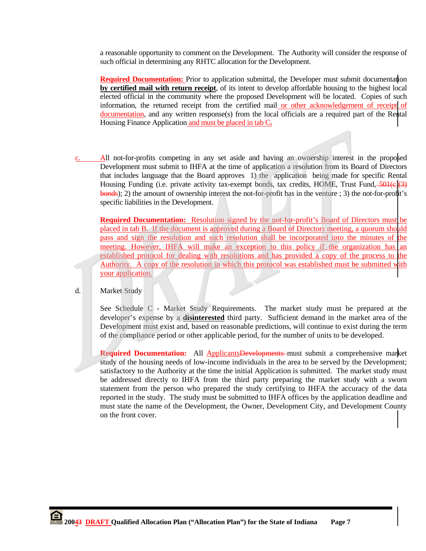a reasonable opportunity to comment on the Development. The Authority will consider the response of such official in determining any RHTC allocation for the Development.

**Required Documentation:** Prior to application submittal, the Developer must submit documentation **by certified mail with return receipt**, of its intent to develop affordable housing to the highest local elected official in the community where the proposed Development will be located. Copies of such information, the returned receipt from the certified mail or other acknowledgement of receipt of documentation, and any written response(s) from the local officials are a required part of the Rental Housing Finance Application and must be placed in tab C.

c. All not-for-profits competing in any set aside and having an ownership interest in the proposed Development must submit to IHFA at the time of application a resolution from its Board of Directors that includes language that the Board approves 1) the application being made for specific Rental Housing Funding (i.e. private activity tax-exempt bonds, tax credits, HOME, Trust Fund,  $\frac{501}{e}$ (3) bonds); 2) the amount of ownership interest the not-for-profit has in the venture ; 3) the not-for-profit's specific liabilities in the Development.

**Required Documentation:** Resolution signed by the not-for-profit's Board of Directors must be placed in tab B. If the document is approved during a Board of Directors meeting, a quorum should pass and sign the resolution and such resolution shall be incorporated into the minutes of the meeting. However, IHFA will make an exception to this policy if the organization has an established protocol for dealing with resolutions and has provided a copy of the process to the Authority. A copy of the resolution in which this protocol was established must be submitted with your application.

d. Market Study

See Schedule C - Market Study Requirements. The market study must be prepared at the developer's expense by a **disinterested** third party. Sufficient demand in the market area of the Development must exist and, based on reasonable predictions, will continue to exist during the term of the compliance period or other applicable period, for the number of units to be developed.

**Required Documentation:** All ApplicantsDevelopments must submit a comprehensive market study of the housing needs of low-income individuals in the area to be served by the Development; satisfactory to the Authority at the time the initial Application is submitted. The market study must be addressed directly to IHFA from the third party preparing the market study with a sworn statement from the person who prepared the study certifying to IHFA the accuracy of the data reported in the study. The study must be submitted to IHFA offices by the application deadline and must state the name of the Development, the Owner, Development City, and Development County on the front cover.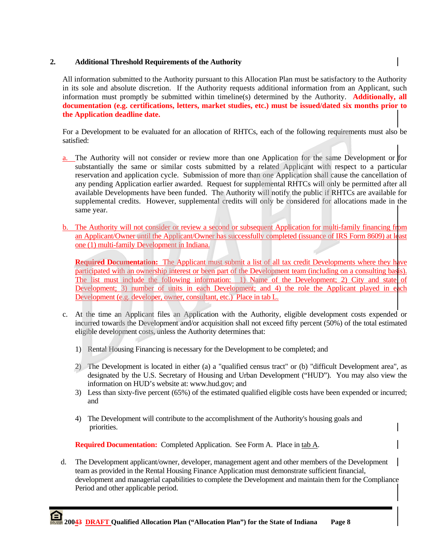## **2. Additional Threshold Requirements of the Authority**

All information submitted to the Authority pursuant to this Allocation Plan must be satisfactory to the Authority in its sole and absolute discretion. If the Authority requests additional information from an Applicant, such information must promptly be submitted within timeline(s) determined by the Authority. **Additionally, all documentation (e.g. certifications, letters, market studies, etc.) must be issued/dated six months prior to the Application deadline date.**

For a Development to be evaluated for an allocation of RHTCs, each of the following requirements must also be satisfied:

- a. The Authority will not consider or review more than one Application for the same Development or for substantially the same or similar costs submitted by a related Applicant with respect to a particular reservation and application cycle. Submission of more than one Application shall cause the cancellation of any pending Application earlier awarded. Request for supplemental RHTCs will only be permitted after all available Developments have been funded. The Authority will notify the public if RHTCs are available for supplemental credits. However, supplemental credits will only be considered for allocations made in the same year.
- b. The Authority will not consider or review a second or subsequent Application for multi-family financing from an Applicant/Owner until the Applicant/Owner has successfully completed (issuance of IRS Form 8609) at least one (1) multi-family Development in Indiana.

**Required Documentation:** The Applicant must submit a list of all tax credit Developments where they have participated with an ownership interest or been part of the Development team (including on a consulting basis). The list must include the following information: 1) Name of the Development; 2) City and state of Development; 3) number of units in each Development; and 4) the role the Applicant played in each Development (e.g. developer, owner, consultant, etc.) Place in tab L.

- c. At the time an Applicant files an Application with the Authority, eligible development costs expended or incurred towards the Development and/or acquisition shall not exceed fifty percent (50%) of the total estimated eligible development costs, unless the Authority determines that:
	- 1) Rental Housing Financing is necessary for the Development to be completed; and
	- 2) The Development is located in either (a) a "qualified census tract" or (b) "difficult Development area", as designated by the U.S. Secretary of Housing and Urban Development ("HUD"). You may also view the information on HUD's website at: www.hud.gov; and
	- 3) Less than sixty-five percent (65%) of the estimated qualified eligible costs have been expended or incurred; and
	- 4) The Development will contribute to the accomplishment of the Authority's housing goals and priorities.

**Required Documentation:** Completed Application. See Form A. Place in tab A.

 d. The Development applicant/owner, developer, management agent and other members of the Development team as provided in the Rental Housing Finance Application must demonstrate sufficient financial, development and managerial capabilities to complete the Development and maintain them for the Compliance Period and other applicable period.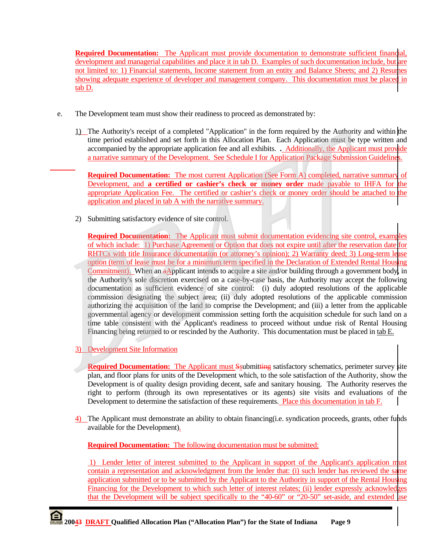**Required Documentation:** The Applicant must provide documentation to demonstrate sufficient financial, development and managerial capabilities and place it in tab D. Examples of such documentation include, but are not limited to: 1) Financial statements, Income statement from an entity and Balance Sheets; and 2) Resumes showing adequate experience of developer and management company. This documentation must be placed in tab D.

- e. The Development team must show their readiness to proceed as demonstrated by:
	- 1) The Authority's receipt of a completed "Application" in the form required by the Authority and within the time period established and set forth in this Allocation Plan. Each Application must be type written and accompanied by the appropriate application fee and all exhibits. **.** Additionally, the Applicant must provide a narrative summary of the Development. See Schedule I for Application Package Submission Guidelines.

**Required Documentation:** The most current Application (See Form A) completed, narrative summary of Development, and **a certified or cashier's check or money order** made payable to IHFA for the appropriate Application Fee. The certified or cashier's check or money order should be attached to the application and placed in tab A with the narrative summary.

2) Submitting satisfactory evidence of site control.

**Required Documentation:** The Applicant must submit documentation evidencing site control, examples of which include: 1) Purchase Agreement or Option that does not expire until after the reservation date for RHTCs with title Insurance documentation (or attorney's opinion); 2) Warranty deed; 3) Long-term lease option (term of lease must be for a minimum term specified in the Declaration of Extended Rental Housing Commitment). When an aApplicant intends to acquire a site and/or building through a government body, in the Authority's sole discretion exercised on a case-by-case basis, the Authority may accept the following documentation as sufficient evidence of site control: (i) duly adopted resolutions of the applicable commission designating the subject area; (ii) duly adopted resolutions of the applicable commission authorizing the acquisition of the land to comprise the Development; and (iii) a letter from the applicable governmental agency or development commission setting forth the acquisition schedule for such land on a time table consistent with the Applicant's readiness to proceed without undue risk of Rental Housing Financing being returned to or rescinded by the Authority. This documentation must be placed in tab E.

3) Development Site Information

**Required Documentation:** The Applicant must Ssubmitting satisfactory schematics, perimeter survey site plan, and floor plans for units of the Development which, to the sole satisfaction of the Authority, show the Development is of quality design providing decent, safe and sanitary housing. The Authority reserves the right to perform (through its own representatives or its agents) site visits and evaluations of the Development to determine the satisfaction of these requirements. Place this documentation in tab F.

4) The Applicant must demonstrate an ability to obtain financing(i.e. syndication proceeds, grants, other funds available for the Development).

**Required Documentation:** The following documentation must be submitted:

 1) Lender letter of interest submitted to the Applicant in support of the Applicant's application must contain a representation and acknowledgment from the lender that: (i) such lender has reviewed the same application submitted or to be submitted by the Applicant to the Authority in support of the Rental Housing Financing for the Development to which such letter of interest relates; (ii) lender expressly acknowledges that the Development will be subject specifically to the "40-60" or "20-50" set-aside, and extended use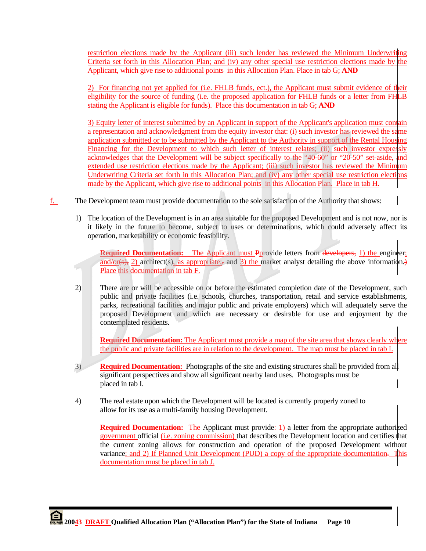restriction elections made by the Applicant (iii) such lender has reviewed the Minimum Underwriting Criteria set forth in this Allocation Plan; and (iv) any other special use restriction elections made by the Applicant, which give rise to additional points in this Allocation Plan. Place in tab G; **AND**

2) For financing not yet applied for (i.e. FHLB funds, ect.), the Applicant must submit evidence of their eligibility for the source of funding (i.e. the proposed application for FHLB funds or a letter from FHLB stating the Applicant is eligible for funds). Place this documentation in tab G; **AND**

3) Equity letter of interest submitted by an Applicant in support of the Applicant's application must contain a representation and acknowledgment from the equity investor that: (i) such investor has reviewed the same application submitted or to be submitted by the Applicant to the Authority in support of the Rental Housing Financing for the Development to which such letter of interest relates; (ii) such investor expressly acknowledges that the Development will be subject specifically to the "40-60" or "20-50" set-aside, and extended use restriction elections made by the Applicant; (iii) such investor has reviewed the Minimum Underwriting Criteria set forth in this Allocation Plan; and (iv) any other special use restriction elections made by the Applicant, which give rise to additional points in this Allocation Plan. Place in tab H.

- f. The Development team must provide documentation to the sole satisfaction of the Authority that shows:
	- 1) The location of the Development is in an area suitable for the proposed Development and is not now, nor is it likely in the future to become, subject to uses or determinations, which could adversely affect its operation, marketability or economic feasibility.

**Required Documentation:** The Applicant must Pprovide letters from developers, 1) the engineer; and/or(s), 2) architect(s), as appropriate; and 3) the market analyst detailing the above information.) Place this documentation in tab F.

2) There are or will be accessible on or before the estimated completion date of the Development, such public and private facilities (i.e. schools, churches, transportation, retail and service establishments, parks, recreational facilities and major public and private employers) which will adequately serve the proposed Development and which are necessary or desirable for use and enjoyment by the contemplated residents.

**Required Documentation:** The Applicant must provide a map of the site area that shows clearly where the public and private facilities are in relation to the development. The map must be placed in tab I.

- 3) **Required Documentation:** Photographs of the site and existing structures shall be provided from all significant perspectives and show all significant nearby land uses. Photographs must be placed in tab I.
- 4) The real estate upon which the Development will be located is currently properly zoned to allow for its use as a multi-family housing Development.

**Required Documentation:** The Applicant must provide: 1) a letter from the appropriate authorized government official (i.e. zoning commission) that describes the Development location and certifies that the current zoning allows for construction and operation of the proposed Development without variance; and 2) If Planned Unit Development (PUD) a copy of the appropriate documentation. This documentation must be placed in tab J.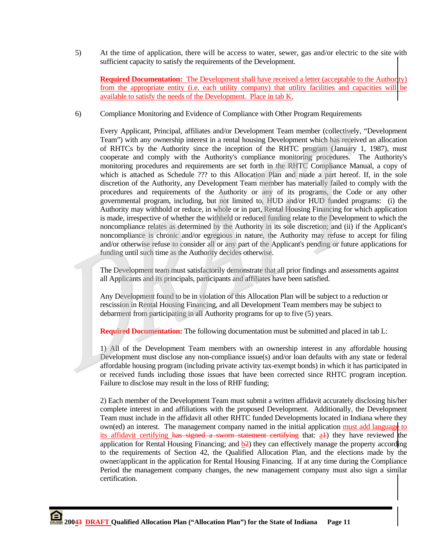5) At the time of application, there will be access to water, sewer, gas and/or electric to the site with sufficient capacity to satisfy the requirements of the Development.

**Required Documentation:** The Development shall have received a letter (acceptable to the Authority) from the appropriate entity (i.e. each utility company) that utility facilities and capacities will be available to satisfy the needs of the Development. Place in tab K.

6) Compliance Monitoring and Evidence of Compliance with Other Program Requirements

 Every Applicant, Principal, affiliates and/or Development Team member (collectively, "Development Team") with any ownership interest in a rental housing Development which has received an allocation of RHTCs by the Authority since the inception of the RHTC program (January 1, 1987), must cooperate and comply with the Authority's compliance monitoring procedures. The Authority's monitoring procedures and requirements are set forth in the RHTC Compliance Manual, a copy of which is attached as Schedule ??? to this Allocation Plan and made a part hereof. If, in the sole discretion of the Authority, any Development Team member has materially failed to comply with the procedures and requirements of the Authority or any of its programs, the Code or any other governmental program, including, but not limited to, HUD and/or HUD funded programs: (i) the Authority may withhold or reduce, in whole or in part, Rental Housing Financing for which application is made, irrespective of whether the withheld or reduced funding relate to the Development to which the noncompliance relates as determined by the Authority in its sole discretion; and (ii) if the Applicant's noncompliance is chronic and/or egregious in nature, the Authority may refuse to accept for filing and/or otherwise refuse to consider all or any part of the Applicant's pending or future applications for funding until such time as the Authority decides otherwise.

 The Development team must satisfactorily demonstrate that all prior findings and assessments against all Applicants and its principals, participants and affiliates have been satisfied.

 Any Development found to be in violation of this Allocation Plan will be subject to a reduction or rescission in Rental Housing Financing, and all Development Team members may be subject to debarment from participating in all Authority programs for up to five (5) years.

**Required Documentation:** The following documentation must be submitted and placed in tab L:

 1) All of the Development Team members with an ownership interest in any affordable housing Development must disclose any non-compliance issue(s) and/or loan defaults with any state or federal affordable housing program (including private activity tax-exempt bonds) in which it has participated in or received funds including those issues that have been corrected since RHTC program inception. Failure to disclose may result in the loss of RHF funding;

 2) Each member of the Development Team must submit a written affidavit accurately disclosing his/her complete interest in and affiliations with the proposed Development. Additionally, the Development Team must include in the affidavit all other RHTC funded Developments located in Indiana where they own(ed) an interest. The management company named in the initial application must add language to its affidavit certifying has signed a sworn statement certifying that:  $a\text{+}$ ) they have reviewed the application for Rental Housing Financing; and  $b^2$ ) they can effectively manage the property according to the requirements of Section 42, the Qualified Allocation Plan, and the elections made by the owner/applicant in the application for Rental Housing Financing. If at any time during the Compliance Period the management company changes, the new management company must also sign a similar certification.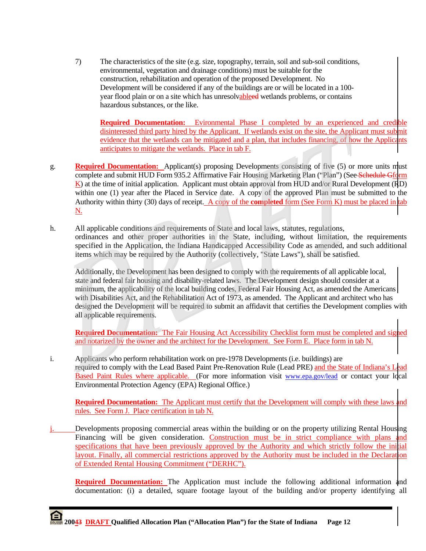7) The characteristics of the site (e.g. size, topography, terrain, soil and sub-soil conditions, environmental, vegetation and drainage conditions) must be suitable for the construction, rehabilitation and operation of the proposed Development. No Development will be considered if any of the buildings are or will be located in a 100 year flood plain or on a site which has unresolvableed wetlands problems, or contains hazardous substances, or the like.

**Required Documentation:** Evironmental Phase I completed by an experienced and credible disinterested third party hired by the Applicant. If wetlands exist on the site, the Applicant must submit evidence that the wetlands can be mitigated and a plan, that includes financing, of how the Applicants anticipates to mitigate the wetlands. Place in tab F.

- g. **Required Documentation:** Applicant(s) proposing Developments consisting of five (5) or more units must complete and submit HUD Form 935.2 Affirmative Fair Housing Marketing Plan ("Plan") (See-Schedule Gform K) at the time of initial application. Applicant must obtain approval from HUD and/or Rural Development (RD) within one (1) year after the Placed in Service date. A copy of the approved Plan must be submitted to the Authority within thirty (30) days of receipt. A copy of the **completed** form (See Form K) must be placed in tab N.
- h. All applicable conditions and requirements of State and local laws, statutes, regulations, ordinances and other proper authorities in the State, including, without limitation, the requirements specified in the Application, the Indiana Handicapped Accessibility Code as amended, and such additional items which may be required by the Authority (collectively, "State Laws"), shall be satisfied.

Additionally, the Development has been designed to comply with the requirements of all applicable local, state and federal fair housing and disability-related laws. The Development design should consider at a minimum, the applicability of the local building codes, Federal Fair Housing Act, as amended the Americans with Disabilities Act, and the Rehabilitation Act of 1973, as amended. The Applicant and architect who has designed the Development will be required to submit an affidavit that certifies the Development complies with all applicable requirements.

**Required Documentation:** The Fair Housing Act Accessibility Checklist form must be completed and signed and notarized by the owner and the architect for the Development. See Form E. Place form in tab N.

i. Applicants who perform rehabilitation work on pre-1978 Developments (i.e. buildings) are required to comply with the Lead Based Paint Pre-Renovation Rule (Lead PRE) and the State of Indiana's Lead Based Paint Rules where applicable. (For more information visit [www.epa.gov/lead](http://www.epa.gov/lead) or contact your local Environmental Protection Agency (EPA) Regional Office.)

**Required Documentation:** The Applicant must certify that the Development will comply with these laws and rules. See Form J. Place certification in tab N.

Developments proposing commercial areas within the building or on the property utilizing Rental Housing Financing will be given consideration. Construction must be in strict compliance with plans and specifications that have been previously approved by the Authority and which strictly follow the initial layout. Finally, all commercial restrictions approved by the Authority must be included in the Declaration of Extended Rental Housing Commitment ("DERHC").

**Required Documentation:** The Application must include the following additional information and documentation: (i) a detailed, square footage layout of the building and/or property identifying all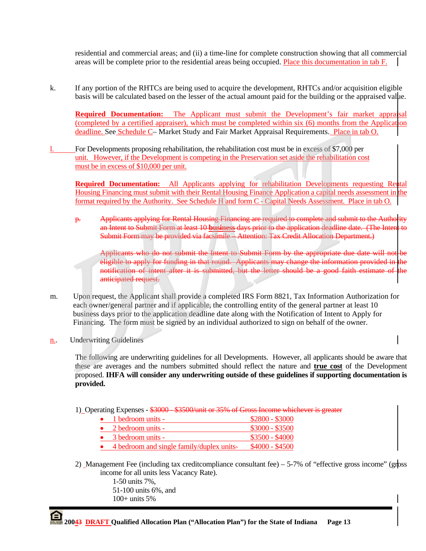residential and commercial areas; and (ii) a time-line for complete construction showing that all commercial areas will be complete prior to the residential areas being occupied. Place this documentation in tab F.

k. If any portion of the RHTCs are being used to acquire the development, RHTCs and/or acquisition eligible basis will be calculated based on the lesser of the actual amount paid for the building or the appraised value.

**Required Documentation:** The Applicant must submit the Development's fair market appraisal (completed by a certified appraiser), which must be completed within six (6) months from the Application deadline. See Schedule C– Market Study and Fair Market Appraisal Requirements. Place in tab O.

l. For Developments proposing rehabilitation, the rehabilitation cost must be in excess of \$7,000 per unit. However, if the Development is competing in the Preservation set aside the rehabilitation cost must be in excess of \$10,000 per unit.

**Required Documentation:** All Applicants applying for rehabilitation Developments requesting Rental Housing Financing must submit with their Rental Housing Finance Application a capital needs assessment in the format required by the Authority. See [S](http://see/)chedule H and form C - Capital Needs Assessment. Place in tab O.

p. Applicants applying for Rental Housing Financing are required to complete and submit to the Authority an Intent to Submit Form at least 10 **business** days prior to the application deadline date. (The Intent to Submit Form may be provided via facsimile – Attention: Tax Credit Allocation Department.)

Applicants who do not submit the Intent to Submit Form by the appropriate due date will not eligible to apply for funding in that round. Applicants may change the information provided in notification of intent after it is submitted, but the letter should be a good faith estimate of the anticipated request.

- m. Upon request, the Applicant shall provide a completed IRS Form 8821, Tax Information Authorization for each owner/general partner and if applicable, the controlling entity of the general partner at least 10 business days prior to the application deadline date along with the Notification of Intent to Apply for Financing. The form must be signed by an individual authorized to sign on behalf of the owner.
- n... Underwriting Guidelines

The following are underwriting guidelines for all Developments. However, all applicants should be aware that these are averages and the numbers submitted should reflect the nature and **true cost** of the Development proposed. **IHFA will consider any underwriting outside of these guidelines if supporting documentation is provided.** 

1) Operating Expenses - \$3000 - \$3500/unit or 35% of Gross Income whichever is greater

| $\bullet$ 1 bedroom units -               | $$2800 - $3000$ |
|-------------------------------------------|-----------------|
| $\bullet$ 2 bedroom units -               | $$3000 - $3500$ |
| $\bullet$ 3 bedroom units -               | $$3500 - $4000$ |
| 4 bedroom and single family/duplex units- | $$4000 - $4500$ |

2) Management Fee (including tax creditcompliance consultant fee) – 5-7% of "effective gross income" (gross income for all units less Vacancy Rate).

 1-50 units 7%, 51-100 units 6%, and 100+ units 5%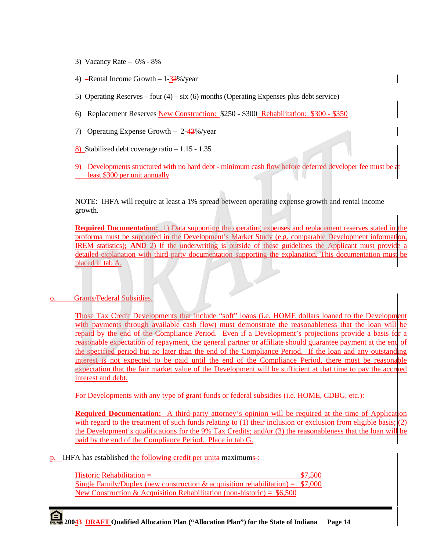- 3) Vacancy Rate 6% 8%
- 4) Rental Income Growth  $1-\frac{32}{6}$ /year
- 5) Operating Reserves four  $(4)$  six  $(6)$  months (Operating Expenses plus debt service)
- 6) Replacement Reserves New Construction: \$250 \$300 Rehabilitation: \$300 \$350
- 7) Operating Expense Growth 2-43%/year
- 8) Stabilized debt coverage ratio 1.15 1.35
- 9) Developments structured with no hard debt minimum cash flow before deferred developer fee must be at least \$300 per unit annually Л

NOTE: IHFA will require at least a 1% spread between operating expense growth and rental income growth.

**Required Documentation:** 1) Data supporting the operating expenses and replacement reserves stated in the proforma must be supported in the Development's Market Study (e.g. comparable Development information, IREM statistics)**; AND** 2) If the underwriting is outside of these guidelines the Applicant must provide a detailed explanation with third party documentation supporting the explanation. This documentation must be placed in tab A.

## Grants/Federal Subsidies.

Those Tax Credit Developments that include "soft" loans (i.e. HOME dollars loaned to the Development with payments through available cash flow) must demonstrate the reasonableness that the loan will be repaid by the end of the Compliance Period. Even if a Development's projections provide a basis for a reasonable expectation of repayment, the general partner or affiliate should guarantee payment at the end of the specified period but no later than the end of the Compliance Period. If the loan and any outstanding interest is not expected to be paid until the end of the Compliance Period, there must be reasonable expectation that the fair market value of the Development will be sufficient at that time to pay the accrued interest and debt.

For Developments with any type of grant funds or federal subsidies (i.e. HOME, CDBG, etc.):

**Required Documentation:** A third-party attorney's opinion will be required at the time of Application with regard to the treatment of such funds relating to (1) their inclusion or exclusion from eligible basis;  $(2)$ the Development's qualifications for the 9% Tax Credits; and/or (3) the reasonableness that the loan will be paid by the end of the Compliance Period. Place in tab G.

## p. IHFA has established the following credit per unita maximums :

 $H$ istoric Rehabilitation =  $$7.500$ Single Family/Duplex (new construction  $\&$  acquisition rehabilitation) = \$7,000 New Construction & Acquisition Rehabilitation (non-historic) =  $$6,500$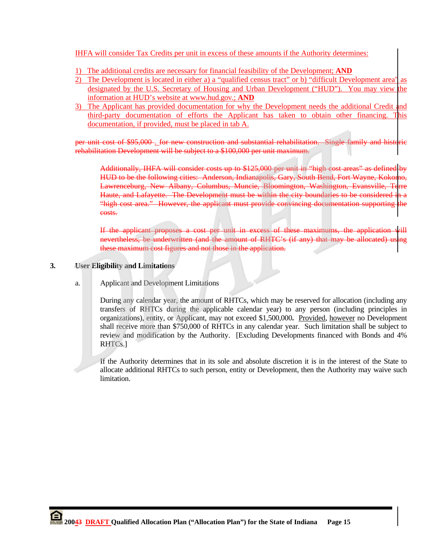IHFA will consider Tax Credits per unit in excess of these amounts if the Authority determines:

- 1) The additional credits are necessary for financial feasibility of the Development; **AND**
- 2) The Development is located in either a) a "qualified census tract" or b) "difficult Development area" as designated by the U.S. Secretary of Housing and Urban Development ("HUD"). You may view the information at HUD's website at [www.hud.gov.;](http://www.hud.gov/) **AND**
- 3) The Applicant has provided documentation for why the Development needs the additional Credit and third-party documentation of efforts the Applicant has taken to obtain other financing. This documentation, if provided, must be placed in tab A.

per unit cost of \$95,000 . for new construction and substantial rehabilitation. Single family and historic rehabilitation Development will be subject to a \$100,000 per unit maximum.

Additionally, IHFA will consider costs up to \$125,000 per unit in "high cost areas" HUD to be the following cities: Anderson, Indianapolis, Gary, South Bend, Fort Wayne, Koko Lawrenceburg, New Albany, Columbus, Muncie, Bloomington, Washington, Evansville, To Haute, and Lafayette. The Development must be within the city boundaries to be considered "high cost area." However, the applicant must provide convincing documentation supporting costs.

If the applicant proposes a cost per unit in excess of these maximums, the application nevertheless, be underwritten (and the amount of RHTC's (if any) that may be allocated these maximum cost figures and not those in the application.

#### **3. User Eligibility and Limitations**

#### a. Applicant and Development Limitations

 During any calendar year, the amount of RHTCs, which may be reserved for allocation (including any transfers of RHTCs during the applicable calendar year) to any person (including principles in organizations), entity, or Applicant, may not exceed \$1,500,000**.** Provided, however no Development shall receive more than \$750,000 of RHTCs in any calendar year. Such limitation shall be subject to review and modification by the Authority. [Excluding Developments financed with Bonds and 4% RHTCs.]

 If the Authority determines that in its sole and absolute discretion it is in the interest of the State to allocate additional RHTCs to such person, entity or Development, then the Authority may waive such limitation.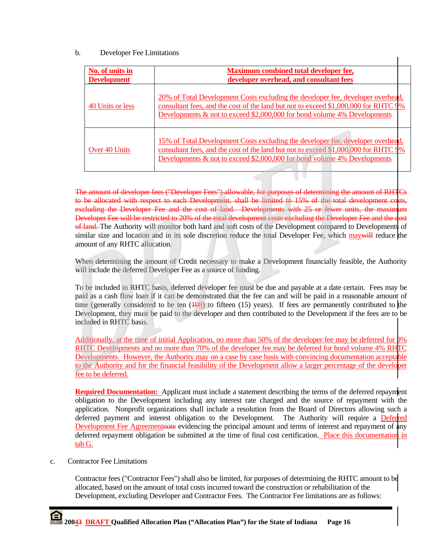## b. Developer Fee Limitations

| No. of units in<br><b>Development</b> | <b>Maximum combined total developer fee,</b><br>developer overhead, and consultant fees                                                                                                                                                                   |  |
|---------------------------------------|-----------------------------------------------------------------------------------------------------------------------------------------------------------------------------------------------------------------------------------------------------------|--|
| 40 Units or less                      | <u>20% of Total Development Costs excluding the developer fee, developer overhead,</u><br>consultant fees, and the cost of the land but not to exceed \$1,000,000 for RHTC 9%<br>Developments & not to exceed \$2,000,000 for bond volume 4% Developments |  |
| Over 40 Units                         | 15% of Total Development Costs excluding the developer fee, developer overhead,<br>consultant fees, and the cost of the land but not to exceed \$1,000,000 for RHTC 9%<br>Developments & not to exceed \$2,000,000 for bond volume 4% Developments        |  |

The amount of developer fees ("Developer Fees") allowable, for purposes of determining the amount to be allocated with respect to each Development, shall be limited to 15% of the total development costs excluding the Developer Fee and the cost of land. Developments with 25 or fewer units, the maxim Developer Fee will be restricted to 20% of the total development costs excluding the Developer Fee and the of land. The Authority will monitor both hard and soft costs of the Development compared to Developments of similar size and location and in its sole discretion reduce the total Developer Fee, which may will reduce the amount of any RHTC allocation.

When determining the amount of Credit necessary to make a Development financially feasible, the Authority will include the deferred Developer Fee as a source of funding.

To be included in RHTC basis, deferred developer fee must be due and payable at a date certain. Fees may be paid as a cash flow loan if it can be demonstrated that the fee can and will be paid in a reasonable amount of time (generally considered to be ten  $(108)$  to fifteen (15) years). If fees are permanently contributed to the Development, they must be paid to the developer and then contributed to the Development if the fees are to be included in RHTC basis.

Additionally, at the time of initial Application, no more than 50% of the developer fee may be deferred for 9% RHTC Developments and no more than 70% of the developer fee may be deferred for bond volume 4% RHTC Developments. However, the Authority may on a case by case basis with convincing documentation acceptable to the Authority and for the financial feasibility of the Development allow a larger percentage of the developer fee to be deferred.

**Required Documentation:** Applicant must include a statement describing the terms of the deferred repayment obligation to the Development including any interest rate charged and the source of repayment with the application. Nonprofit organizations shall include a resolution from the Board of Directors allowing such a deferred payment and interest obligation to the Development. The Authority will require a Deferred Development Fee Agreementnote evidencing the principal amount and terms of interest and repayment of any deferred repayment obligation be submitted at the time of final cost certification. Place this documentation in tab G.

## c. Contractor Fee Limitations

Contractor fees ("Contractor Fees") shall also be limited, for purposes of determining the RHTC amount to be allocated, based on the amount of total costs incurred toward the construction or rehabilitation of the Development, excluding Developer and Contractor Fees. The Contractor Fee limitations are as follows: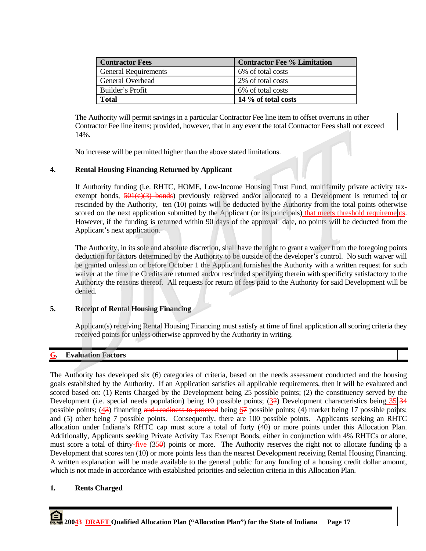| <b>Contractor Fees</b> | <b>Contractor Fee % Limitation</b> |
|------------------------|------------------------------------|
| General Requirements   | 6\% of total costs                 |
| General Overhead       | 2\% of total costs                 |
| Builder's Profit       | 6\% of total costs                 |
| Total                  | 14 % of total costs                |

The Authority will permit savings in a particular Contractor Fee line item to offset overruns in other Contractor Fee line items; provided, however, that in any event the total Contractor Fees shall not exceed 14%.

No increase will be permitted higher than the above stated limitations.

## **4. Rental Housing Financing Returned by Applicant**

If Authority funding (i.e. RHTC, HOME, Low-Income Housing Trust Fund, multifamily private activity taxexempt bonds,  $\frac{501(c)(3)$  bonds) previously reserved and/or allocated to a Development is returned to or rescinded by the Authority, ten (10) points will be deducted by the Authority from the total points otherwise scored on the next application submitted by the Applicant (or its principals) that meets threshold requirements. However, if the funding is returned within 90 days of the approval date, no points will be deducted from the Applicant's next application.

The Authority, in its sole and absolute discretion, shall have the right to grant a waiver from the foregoing points deduction for factors determined by the Authority to be outside of the developer's control. No such waiver will be granted unless on or before October 1 the Applicant furnishes the Authority with a written request for such waiver at the time the Credits are returned and/or rescinded specifying therein with specificity satisfactory to the Authority the reasons thereof. All requests for return of fees paid to the Authority for said Development will be denied.

## **5. Receipt of Rental Housing Financing**

Applicant(s) receiving Rental Housing Financing must satisfy at time of final application all scoring criteria they received points for unless otherwise approved by the Authority in writing.

## **G. Evaluation Factors**

The Authority has developed six (6) categories of criteria, based on the needs assessment conducted and the housing goals established by the Authority. If an Application satisfies all applicable requirements, then it will be evaluated and scored based on: (1) Rents Charged by the Development being 25 possible points; (2) the constituency served by the Development (i.e. special needs population) being 10 possible points;  $(32)$  Development characteristics being  $35/34$ possible points;  $(43)$  financing and readiness to proceed being  $67$  possible points; (4) market being 17 possible points; and (5) other being 7 possible points. Consequently, there are 100 possible points. Applicants seeking an RHTC allocation under Indiana's RHTC cap must score a total of forty (40) or more points under this Allocation Plan. Additionally, Applicants seeking Private Activity Tax Exempt Bonds, either in conjunction with 4% RHTCs or alone, must score a total of thirty-five  $(350)$  points or more. The Authority reserves the right not to allocate funding to a Development that scores ten (10) or more points less than the nearest Development receiving Rental Housing Financing. A written explanation will be made available to the general public for any funding of a housing credit dollar amount, which is not made in accordance with established priorities and selection criteria in this Allocation Plan.

## **1. Rents Charged**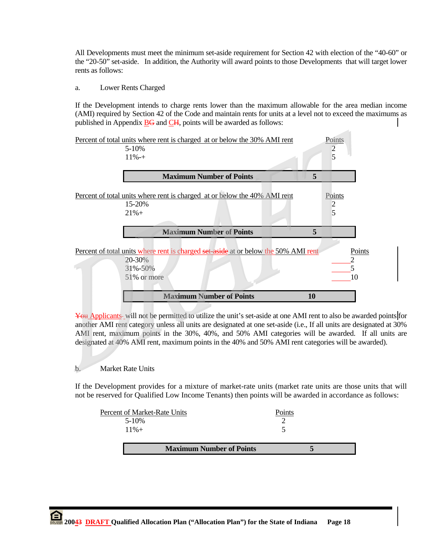All Developments must meet the minimum set-aside requirement for Section 42 with election of the "40-60" or the "20-50" set-aside. In addition, the Authority will award points to those Developments that will target lower rents as follows:

#### a. Lower Rents Charged

If the Development intends to charge rents lower than the maximum allowable for the area median income (AMI) required by Section 42 of the Code and maintain rents for units at a level not to exceed the maximums as published in Appendix  $\underline{B}G$  and  $\underline{C}H$ , points will be awarded as follows:



You Applicants will not be permitted to utilize the unit's set-aside at one AMI rent to also be awarded points for another AMI rent category unless all units are designated at one set-aside (i.e., If all units are designated at 30% AMI rent, maximum points in the 30%, 40%, and 50% AMI categories will be awarded. If all units are designated at 40% AMI rent, maximum points in the 40% and 50% AMI rent categories will be awarded).

b. Market Rate Units

If the Development provides for a mixture of market-rate units (market rate units are those units that will not be reserved for Qualified Low Income Tenants) then points will be awarded in accordance as follows:

| <b>Maximum Number of Points</b> |        |  |
|---------------------------------|--------|--|
| $11\% +$                        |        |  |
| $5 - 10%$                       |        |  |
| Percent of Market-Rate Units    | Points |  |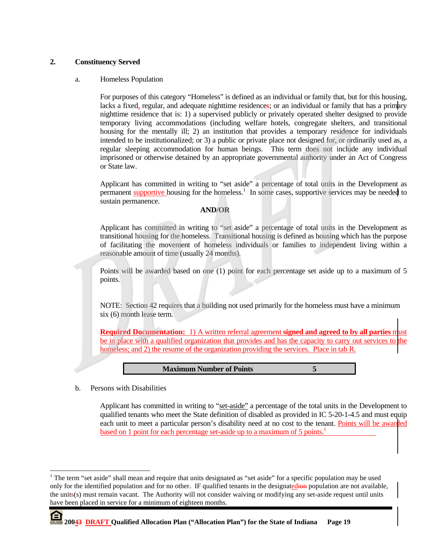## **2. Constituency Served**

#### a. Homeless Population

For purposes of this category "Homeless" is defined as an individual or family that, but for this housing, lacks a fixed, regular, and adequate nighttime residences; or an individual or family that has a primary nighttime residence that is: 1) a supervised publicly or privately operated shelter designed to provide temporary living accommodations (including welfare hotels, congregate shelters, and transitional housing for the mentally ill; 2) an institution that provides a temporary residence for individuals intended to be institutionalized; or 3) a public or private place not designed for, or ordinarily used as, a regular sleeping accommodation for human beings. This term does not include any individual imprisoned or otherwise detained by an appropriate governmental authority under an Act of Congress or State law.

Applicant has committed in writing to "set aside" a percentage of total units in the Development as permanent supportive housing for the homeless.<sup>[1](#page-18-0)</sup> In some cases, supportive services may be needed to sustain permanence.

## **AND/OR**

Applicant has committed in writing to "set aside" a percentage of total units in the Development as transitional housing for the homeless. Transitional housing is defined as housing which has the purpose of facilitating the movement of homeless individuals or families to independent living within a reasonable amount of time (usually 24 months).

Points will be awarded based on one (1) point for each percentage set aside up to a maximum of 5 points.

NOTE: Section 42 requires that a building not used primarily for the homeless must have a minimum six (6) month lease term.

**Required Documentation:** 1) A written referral agreement **signed and agreed to by all parties** must be in place with a qualified organization that provides and has the capacity to carry out services to the homeless; and 2) the resume of the organization providing the services. Place in tab R.

**Maximum Number of Points 5**

b. Persons with Disabilities

 $\overline{a}$ 

Applicant has committed in writing to "set-aside" a percentage of the total units in the Development to qualified tenants who meet the State definition of disabled as provided in IC 5-20-1-4.5 and must equip each unit to meet a particular person's disability need at no cost to the tenant. Points will be awarded based on 1 point for each percentage set-aside up to a maximum of 5 points.<sup>1</sup>

<span id="page-18-0"></span><sup>&</sup>lt;sup>1</sup> The term "set aside" shall mean and require that units designated as "set aside" for a specific population may be used only for the identified population and for no other. IF qualified tenants in the designatedion population are not available, the units(s) must remain vacant. The Authority will not consider waiving or modifying any set-aside request until units have been placed in service for a minimum of eighteen months.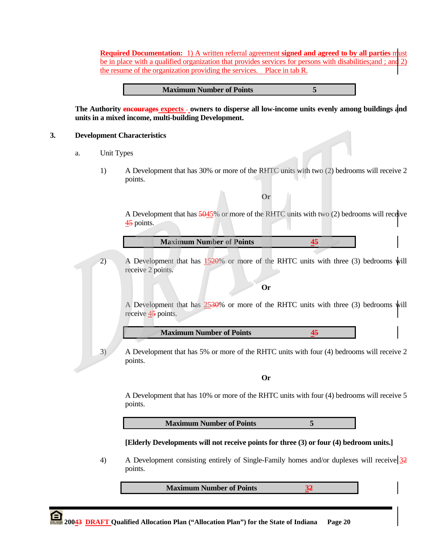**Required Documentation:** 1) A written referral agreement **signed and agreed to by all parties** must be in place with a qualified organization that provides services for persons with disabilities; and ; and the resume of the organization providing the services. Place in tab R.

| <b>Maximum Number of Points</b> |  |
|---------------------------------|--|
|---------------------------------|--|

The Authority **encourages expects** - owners to disperse all low-income units evenly among buildings and **units in a mixed income, multi-building Development.** 

#### **3. Development Characteristics**

- a. Unit Types
	- 1) A Development that has 30% or more of the RHTC units with two (2) bedrooms will receive 2 points.
		- **Or**

 A Development that has 5045% or more of the RHTC units with two (2) bedrooms will receive 45 points.

**Maximum Number of Points 45** 

2) A Development that has 1520% or more of the RHTC units with three (3) bedrooms will receive 2 points.

 A Development that has 2530% or more of the RHTC units with three (3) bedrooms will receive  $\frac{45}{5}$  points.

**Or** 

**Maximum Number of Points** 45

3) A Development that has 5% or more of the RHTC units with four (4) bedrooms will receive 2 points.

 A Development that has 10% or more of the RHTC units with four (4) bedrooms will receive 5 points.

**Maximum Number of Points 5** 

**[Elderly Developments will not receive points for three (3) or four (4) bedroom units.]** 

4) A Development consisting entirely of Single-Family homes and/or duplexes will receive 32 points.

**Maximum Number of Points** 32

**Or**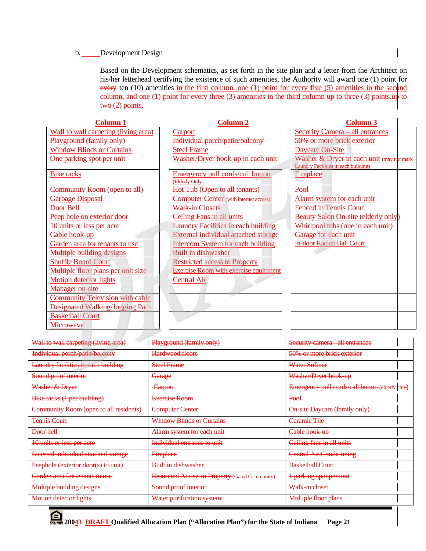#### b. Development Design

Based on the Development schematics, as set forth in the site plan and a letter from the Architect on his/her letterhead certifying the existence of such amenities, the Authority will award one (1) point for every ten (10) amenities in the first column, one (1) point for every five (5) amenities in the second column, and one (1) point for every three (3) amenities in the third column up to three (3) points.up to two (2) points.

| Wall to wall carpeting (living area)<br>Security Camera – all entrances<br>Carport<br>Individual porch/patio/balcony<br>Playground (family only)<br>50% or more brick exterior<br><b>Window Blinds or Curtains</b><br><b>Steel Frame</b><br><b>Daycare On-Site</b><br>Washer/Dryer hook-up in each unit<br>Washer & Dryer in each unit (may not mark<br>One parking spot per unit<br><b>Laundry Facilities in each building)</b><br><b>Bike racks</b><br>Emergency pull cords/call button<br><b>Fireplace</b><br>(Elderly Only<br>Hot Tub (Open to all tenants)<br>Community Room (open to all)<br>Pool<br><b>Garbage Disposal</b><br><b>Computer Center</b> (with internet access)<br>Alarm system for each unit<br><b>Walk-in Closets</b><br><b>Fenced in Tennis Court</b><br>Door Bell<br>Ceiling Fans in all units<br><b>Beauty Salon On-site (elderly only)</b><br>Peep hole on exterior door<br><b>Laundry Facilities in each building</b><br>Whirlpool tubs (one in each unit)<br>10 units or less per acre<br>External individual attached storage<br>Garage for each unit<br>Cable hook-up | <b>Column 1</b> | <b>Column 2</b> | <b>Column 3</b> |
|-----------------------------------------------------------------------------------------------------------------------------------------------------------------------------------------------------------------------------------------------------------------------------------------------------------------------------------------------------------------------------------------------------------------------------------------------------------------------------------------------------------------------------------------------------------------------------------------------------------------------------------------------------------------------------------------------------------------------------------------------------------------------------------------------------------------------------------------------------------------------------------------------------------------------------------------------------------------------------------------------------------------------------------------------------------------------------------------------------|-----------------|-----------------|-----------------|
|                                                                                                                                                                                                                                                                                                                                                                                                                                                                                                                                                                                                                                                                                                                                                                                                                                                                                                                                                                                                                                                                                                     |                 |                 |                 |
|                                                                                                                                                                                                                                                                                                                                                                                                                                                                                                                                                                                                                                                                                                                                                                                                                                                                                                                                                                                                                                                                                                     |                 |                 |                 |
|                                                                                                                                                                                                                                                                                                                                                                                                                                                                                                                                                                                                                                                                                                                                                                                                                                                                                                                                                                                                                                                                                                     |                 |                 |                 |
|                                                                                                                                                                                                                                                                                                                                                                                                                                                                                                                                                                                                                                                                                                                                                                                                                                                                                                                                                                                                                                                                                                     |                 |                 |                 |
|                                                                                                                                                                                                                                                                                                                                                                                                                                                                                                                                                                                                                                                                                                                                                                                                                                                                                                                                                                                                                                                                                                     |                 |                 |                 |
|                                                                                                                                                                                                                                                                                                                                                                                                                                                                                                                                                                                                                                                                                                                                                                                                                                                                                                                                                                                                                                                                                                     |                 |                 |                 |
|                                                                                                                                                                                                                                                                                                                                                                                                                                                                                                                                                                                                                                                                                                                                                                                                                                                                                                                                                                                                                                                                                                     |                 |                 |                 |
|                                                                                                                                                                                                                                                                                                                                                                                                                                                                                                                                                                                                                                                                                                                                                                                                                                                                                                                                                                                                                                                                                                     |                 |                 |                 |
|                                                                                                                                                                                                                                                                                                                                                                                                                                                                                                                                                                                                                                                                                                                                                                                                                                                                                                                                                                                                                                                                                                     |                 |                 |                 |
|                                                                                                                                                                                                                                                                                                                                                                                                                                                                                                                                                                                                                                                                                                                                                                                                                                                                                                                                                                                                                                                                                                     |                 |                 |                 |
|                                                                                                                                                                                                                                                                                                                                                                                                                                                                                                                                                                                                                                                                                                                                                                                                                                                                                                                                                                                                                                                                                                     |                 |                 |                 |
| <b>In-door Racket Ball Court</b><br><b>Intercom System for each building</b><br>Garden area for tenants to use                                                                                                                                                                                                                                                                                                                                                                                                                                                                                                                                                                                                                                                                                                                                                                                                                                                                                                                                                                                      |                 |                 |                 |
| <b>Built in dishwasher</b><br>Multiple building designs                                                                                                                                                                                                                                                                                                                                                                                                                                                                                                                                                                                                                                                                                                                                                                                                                                                                                                                                                                                                                                             |                 |                 |                 |
| <b>Shuffle Board Court</b><br><b>Restricted access to Property</b>                                                                                                                                                                                                                                                                                                                                                                                                                                                                                                                                                                                                                                                                                                                                                                                                                                                                                                                                                                                                                                  |                 |                 |                 |
| Multiple floor plans per unit size<br><b>Exercise Room with exercise equipment</b>                                                                                                                                                                                                                                                                                                                                                                                                                                                                                                                                                                                                                                                                                                                                                                                                                                                                                                                                                                                                                  |                 |                 |                 |
| <b>Motion detector lights</b><br>Central Air                                                                                                                                                                                                                                                                                                                                                                                                                                                                                                                                                                                                                                                                                                                                                                                                                                                                                                                                                                                                                                                        |                 |                 |                 |
| <b>Manager</b> on-site                                                                                                                                                                                                                                                                                                                                                                                                                                                                                                                                                                                                                                                                                                                                                                                                                                                                                                                                                                                                                                                                              |                 |                 |                 |
| <b>Community Television with cable</b>                                                                                                                                                                                                                                                                                                                                                                                                                                                                                                                                                                                                                                                                                                                                                                                                                                                                                                                                                                                                                                                              |                 |                 |                 |
| Designated Walking/Jogging Path                                                                                                                                                                                                                                                                                                                                                                                                                                                                                                                                                                                                                                                                                                                                                                                                                                                                                                                                                                                                                                                                     |                 |                 |                 |
| <b>Basketball Court</b>                                                                                                                                                                                                                                                                                                                                                                                                                                                                                                                                                                                                                                                                                                                                                                                                                                                                                                                                                                                                                                                                             |                 |                 |                 |
| Microwave                                                                                                                                                                                                                                                                                                                                                                                                                                                                                                                                                                                                                                                                                                                                                                                                                                                                                                                                                                                                                                                                                           |                 |                 |                 |

| Wall to wall carpeting (living area)          | Playground (family only)                        | Security camera - all entrances                 |
|-----------------------------------------------|-------------------------------------------------|-------------------------------------------------|
| Individual porch/patio/balcony                | Hardwood floors                                 | 50% or more brick exterior                      |
| <b>Laundry facilities in each building</b>    | <b>Steel Frame</b>                              | Water Softner                                   |
| Sound proof interior                          | Garage                                          | Washer/Dryer hook up                            |
| Washer & Dryer                                | <b>Carport</b>                                  | Emergency pull cords/call button (elderly only) |
| Bike racks (1 per building)                   | Exercise Room                                   | Pool                                            |
| <b>Community Room (open to all residents)</b> | Computer Center                                 | On site Daycare (family only)                   |
| <del>Tennis Court</del>                       | Window Blinds or Curtains                       | Ceramic Tile                                    |
| Door bell                                     | Alarm system for each unit                      | Cable hook up                                   |
| 10 units or less per acre                     | Individual entrance to unit                     | Ceiling fans in all units                       |
| <b>External individual attached storage</b>   | <b>Fireplace</b>                                | <b>Central Air Conditioning</b>                 |
| Peephole (exterior door(s) to unit)           | <b>Built in dishwasher</b>                      | <b>Basketball Court</b>                         |
| <del>Garden area for tenants to use</del>     | Restricted Access to Property (Gated Community) | <b>1 parking spot per unit</b>                  |
| <b>Multiple building designs</b>              | Sound proof interior                            | Walk in closet                                  |
| <b>Motion detector lights</b>                 | Water purification system                       | Multiple floor plans                            |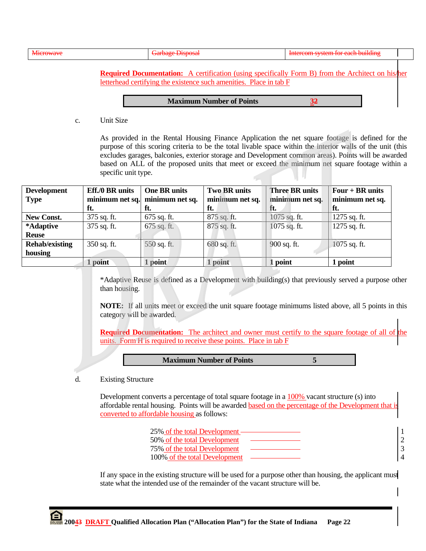| -- | . | $\sim$ |  |
|----|---|--------|--|
|    |   |        |  |

**Required Documentation:** A certification (using specifically Form B) from the Architect on his/her letterhead certifying the existence such amenities. Place in tab F

|  |  | <b>Maximum Number of Points</b> |  |
|--|--|---------------------------------|--|
|--|--|---------------------------------|--|

c. Unit Size

As provided in the Rental Housing Finance Application the net square footage is defined for the purpose of this scoring criteria to be the total livable space within the interior walls of the unit (this excludes garages, balconies, exterior storage and Development common areas). Points will be awarded based on ALL of the proposed units that meet or exceed the minimum net square footage within a specific unit type.

| <b>Development</b><br><b>Type</b> | <b>Eff./0 BR</b> units<br>minimum net sq.<br>ft. | <b>One BR units</b><br>minimum net sq.<br>ft. | <b>Two BR units</b><br>minimum net sq.<br>ft. | <b>Three BR units</b><br>minimum net sq.<br>ľt. | Four $+$ BR units<br>minimum net sq.<br>ft. |
|-----------------------------------|--------------------------------------------------|-----------------------------------------------|-----------------------------------------------|-------------------------------------------------|---------------------------------------------|
| New Const.                        | 375 sq. ft.                                      | 675 sq. ft.                                   | $875$ sq. ft.                                 | 1075 sq. ft.                                    | 1275 sq. ft.                                |
| *Adaptive                         | 375 sq. ft.                                      | $675$ sq. ft.                                 | $875$ sq. ft.                                 | 1075 sq. ft.                                    | 1275 sq. ft.                                |
| <b>Reuse</b>                      |                                                  |                                               |                                               |                                                 |                                             |
| <b>Rehab/existing</b>             | 350 sq. ft.                                      | 550 sq. ft.                                   | $680$ sq. ft.                                 | 900 sq. ft.                                     | 1075 sq. ft.                                |
| housing                           |                                                  |                                               |                                               |                                                 |                                             |
|                                   | point                                            | point                                         | 1 point                                       | point                                           | 1 point                                     |

\*Adaptive Reuse is defined as a Development with building(s) that previously served a purpose other than housing.

**NOTE:** If all units meet or exceed the unit square footage minimums listed above, all 5 points in this category will be awarded.

**Required Documentation:** The architect and owner must certify to the square footage of all units. Form H is required to receive these points. Place in tab F

#### **Maximum Number of Points 5**

d. Existing Structure

Development converts a percentage of total square footage in a  $100\%$  vacant structure (s) into affordable rental housing. Points will be awarded based on the percentage of the Development that is converted to affordable housing as follows:

| 50% of the total Development         |                                                                                                                      |  |
|--------------------------------------|----------------------------------------------------------------------------------------------------------------------|--|
| 75% of the total Development         | <u> 1986 - Andrea Albert III, politik a postaj de la provincia de la provincia de la provincia de la provincia d</u> |  |
| 100% of the total Development —————— |                                                                                                                      |  |

If any space in the existing structure will be used for a purpose other than housing, the applicant must state what the intended use of the remainder of the vacant structure will be.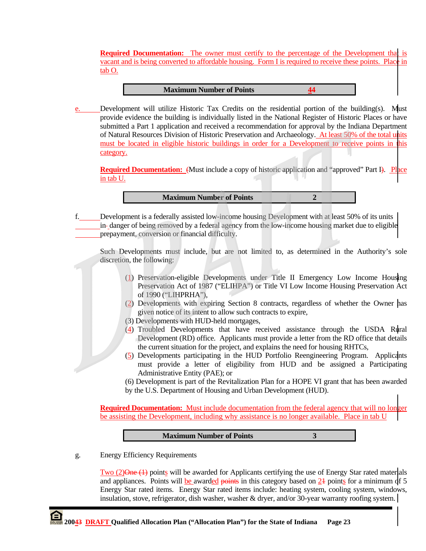**Required Documentation:** The owner must certify to the percentage of the Development that is vacant and is being converted to affordable housing. Form I is required to receive these points. Place in tab O.

#### **Maximum Number of Points 44**

Development will utilize Historic Tax Credits on the residential portion of the building(s). Must provide evidence the building is individually listed in the National Register of Historic Places or have submitted a Part 1 application and received a recommendation for approval by the Indiana Department of Natural Resources Division of Historic Preservation and Archaeology. At least 50% of the total units must be located in eligible historic buildings in order for a Development to receive points in this category.

**Required Documentation:** (Must include a copy of historic application and "approved" Part I). Place in tab U.

| <b>Maximum Number of Points</b> |  |  |
|---------------------------------|--|--|
|---------------------------------|--|--|

f. Development is a federally assisted low-income housing Development with at least 50% of its units in danger of being removed by a federal agency from the low-income housing market due to eligible prepayment, conversion or financial difficulty.

Such Developments must include, but are not limited to, as determined in the Authority's sole discretion, the following:

- (1) Preservation-eligible Developments under Title II Emergency Low Income Housing Preservation Act of 1987 ("ELIHPA") or Title VI Low Income Housing Preservation Act of 1990 ("LIHPRHA"),
- (2) Developments with expiring Section 8 contracts, regardless of whether the Owner has given notice of its intent to allow such contracts to expire,
- (3) Developments with HUD-held mortgages,
- (4) Troubled Developments that have received assistance through the USDA Rural Development (RD) office. Applicants must provide a letter from the RD office that details the current situation for the project, and explains the need for housing RHTCs,
- (5) Developments participating in the HUD Portfolio Reengineering Program. Applicants must provide a letter of eligibility from HUD and be assigned a Participating Administrative Entity (PAE); or
- (6) Development is part of the Revitalization Plan for a HOPE VI grant that has been awarded by the U.S. Department of Housing and Urban Development (HUD).

**Required Documentation:** Must include documentation from the federal agency that will no longer be assisting the Development, including why assistance is no longer available. Place in tab U

|--|

g. Energy Efficiency Requirements

Two (2)One (1) points will be awarded for Applicants certifying the use of Energy Star rated materials and appliances. Points will be awarded points in this category based on 24 points for a minimum of 5 Energy Star rated items. Energy Star rated items include: heating system, cooling system, windows, insulation, stove, refrigerator, dish washer, washer & dryer, and/or 30-year warranty roofing system.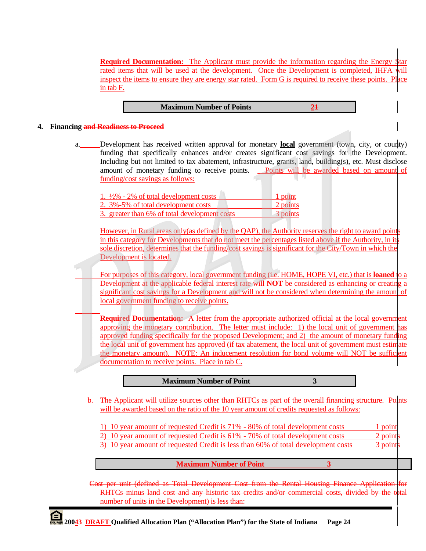**Required Documentation:** The Applicant must provide the information regarding the Energy Star rated items that will be used at the development. Once the Development is completed, IHFA will inspect the items to ensure they are energy star rated. Form G is required to receive these points. Place in tab F.

#### **Maximum Number of Points 21**

#### **4. Financing and Readiness to Proceed**

a. Development has received written approval for monetary **local** government (town, city, or county) funding that specifically enhances and/or creates significant cost savings for the Development. Including but not limited to tax abatement, infrastructure, grants, land, building(s), etc. Must disclose amount of monetary funding to receive points. Points will be awarded based on amount of funding/cost savings as follows:

| 1. $\frac{1}{2}\%$ - 2% of total development costs | $\frac{1}{2}$ point |
|----------------------------------------------------|---------------------|
| 2. 3%-5% of total development costs                | 2 points            |
| 3. greater than 6% of total development costs      | 3 points            |

However, in Rural areas only(as defined by the QAP), the Authority reserves the right to award points in this category for Developments that do not meet the percentages listed above if the Authority, in its sole discretion, determines that the funding/cost savings is significant for the City/Town in which the Development is located.

 For purposes of this category, local government funding (i.e. HOME, HOPE VI, etc.) that is **loaned** to a Development at the applicable federal interest rate will **NOT** be considered as enhancing or creating a significant cost savings for a Development and will not be considered when determining the amount of local government funding to receive points.

**Required Documentation:** A letter from the appropriate authorized official at the local government approving the monetary contribution. The letter must include: 1) the local unit of government has approved funding specifically for the proposed Development; and 2) the amount of monetary funding the local unit of government has approved (if tax abatement, the local unit of government must estimate the monetary amount). NOTE: An inducement resolution for bond volume will NOT be sufficient documentation to receive points. Place in tab C.

| <b>Maximum Number of Point</b> |  |  |
|--------------------------------|--|--|
|                                |  |  |

b. The Applicant will utilize sources other than RHTCs as part of the overall financing structure. Points will be awarded based on the ratio of the 10 year amount of credits requested as follows:

| 1) 10 year amount of requested Credit is 71% - 80% of total development costs                                                                                                                                                                                                                                              | 1 point  |
|----------------------------------------------------------------------------------------------------------------------------------------------------------------------------------------------------------------------------------------------------------------------------------------------------------------------------|----------|
| 2) 10 year amount of requested Credit is 61% - 70% of total development costs                                                                                                                                                                                                                                              | 2 points |
| $\mathcal{L}$ , and $\mathcal{L}$ is the state of $\mathcal{L}$ and $\mathcal{L}$ and $\mathcal{L}$ and $\mathcal{L}$ and $\mathcal{L}$ and $\mathcal{L}$ and $\mathcal{L}$ and $\mathcal{L}$ and $\mathcal{L}$ and $\mathcal{L}$ and $\mathcal{L}$ and $\mathcal{L}$ and $\mathcal{L}$ and $\mathcal{L}$ and<br>$\sim$ 10 |          |

3) 10 year amount of requested Credit is less than 60% of total development costs 3 points

**Maximum Number of Point 3**

Cost per unit (defined as Total Development Cost from the Rental Housing Finance Application RHTCs minus land cost and any historic tax credits and/or commercial costs, divided by the t number of units in the Development) is less than: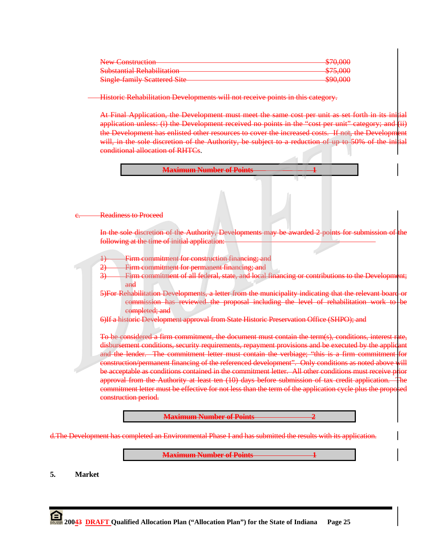| Naw Construction                                   | 270.000                                   |
|----------------------------------------------------|-------------------------------------------|
| <del>NCW Constituction</del>                       | <del>070.000</del>                        |
| Substantial Republikation                          | 27500                                     |
| <u>studio dell'India Regioni di Indonesia di I</u> | $\overline{v}$ , $\overline{v}$           |
| Single family Scottored Site                       | $\mathfrak{e}\Omega\Omega$ $\Omega\Omega$ |
| <del>omgic-iamny ocaucied one</del>                | $\overline{0}$ U.UUU                      |

Historic Rehabilitation Developments will not receive points in this category.

At Final Application, the Development must meet the same cost per unit as set forth in its ini application unless: (i) the Development received no points in the "cost per unit" category; and the Development has enlisted other resources to cover the increased costs. If not, the Developm will, in the sole discretion of the Authority, be subject to a reduction of up to 50% of the initial conditional allocation of RHTCs.

**Maximum Number of Points** 

#### **Readiness to Proceed**

In the sole discretion of the Authority, Developments may be awarded 2 points for submission of the following at the time of initial application:

- 1) Firm commitment for construction financing; and
- Firm commitment for permanent financing; and
- Firm commitment of all federal, state, and local financing or contributions to the Development; and
- 5)For Rehabilitation Developments, a letter from the municipality indicating that the relevant board or commission has reviewed the proposal including the level of rehabilitation work to completed; and
- 6)If a historic Development approval from State Historic Preservation Office (SHPO); and

To be considered a firm commitment, the document must contain the term(s), conditions, interest rate, disbursement conditions, security requirements, repayment provisions and be executed by the applicant and the lender. The commitment letter must contain the verbiage; "this is a firm commitment construction/permanent financing of the referenced development". Only conditions as noted above be acceptable as conditions contained in the commitment letter. All other conditions must receive approval from the Authority at least ten (10) days before submission of tax credit application. commitment letter must be effective for not less than the term of the application cycle plus the proposed construction period.

**Maximum Number of Points 2**

d.The Development has completed an Environmental Phase I and has submitted the results with its application.

**Maximum Number of Points 1**

**5. Market**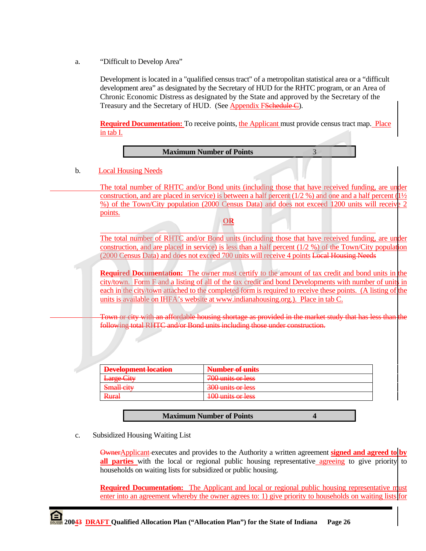a. "Difficult to Develop Area"

Development is located in a "qualified census tract" of a metropolitan statistical area or a "difficult development area" as designated by the Secretary of HUD for the RHTC program, or an Area of Chronic Economic Distress as designated by the State and approved by the Secretary of the Treasury and the Secretary of HUD. (See Appendix FSchedule C).

**Required Documentation:** To receive points, the Applicant must provide census tract map. Place in tab I.

|    |                             | <b>Maximum Number of Points</b><br>3                                                                                                                                                                              |
|----|-----------------------------|-------------------------------------------------------------------------------------------------------------------------------------------------------------------------------------------------------------------|
| b. | <b>Local Housing Needs</b>  |                                                                                                                                                                                                                   |
|    |                             | The total number of RHTC and/or Bond units (including those that have received funding, are under                                                                                                                 |
|    |                             | construction, and are placed in service) is between a half percent ( $1/2$ %) and one and a half percent ( $1\frac{1}{2}$                                                                                         |
|    |                             | <u>%) of the Town/City population (2000 Census Data) and does not exceed 1200 units will receive 2</u>                                                                                                            |
|    | points.                     |                                                                                                                                                                                                                   |
|    |                             | OR                                                                                                                                                                                                                |
|    |                             |                                                                                                                                                                                                                   |
|    |                             | The total number of RHTC and/or Bond units (including those that have received funding, are under                                                                                                                 |
|    |                             | construction, and are placed in service) is less than a half percent $(1/2, % )$ of the Town/City population                                                                                                      |
|    |                             | (2000 Census Data) and does not exceed 700 units will receive 4 points Local Housing Needs                                                                                                                        |
|    |                             |                                                                                                                                                                                                                   |
|    |                             | <b>Required Documentation:</b> The owner must certify to the amount of tax credit and bond units in the<br>city/town. Form F and a listing of all of the tax credit and bond Developments with number of units in |
|    |                             |                                                                                                                                                                                                                   |
|    |                             | each in the city/town attached to the completed form is required to receive these points. (A listing of the<br>units is available on IHFA's website at www.indianahousing.org.). Place in tab C.                  |
|    |                             |                                                                                                                                                                                                                   |
|    |                             | Town or city with an affordable housing shortage as provided in the market study that has less than the                                                                                                           |
|    |                             | following total RHTC and/or Bond units including those under construction.                                                                                                                                        |
|    |                             |                                                                                                                                                                                                                   |
|    |                             |                                                                                                                                                                                                                   |
|    |                             |                                                                                                                                                                                                                   |
|    |                             |                                                                                                                                                                                                                   |
|    | <b>Development location</b> | Number of units                                                                                                                                                                                                   |

| <b>Development location</b>                | Number of unite<br><del>a umazo w uma</del>       |
|--------------------------------------------|---------------------------------------------------|
| Large<br><del>Large City</del>             | 700 units or less                                 |
| $R_{\rm mol}$ l city<br><del>oman on</del> | 300 units or less<br><del>JVV unito VI ICoo</del> |
| Rural                                      | $100$ unite or lass<br><del>iw unio u ico</del>   |

## **Maximum Number of Points 4**

c. Subsidized Housing Waiting List

OwnerApplicant-executes and provides to the Authority a written agreement **signed and agreed to by all parties** with the local or regional public housing representative agreeing to give priority to households on waiting lists for subsidized or public housing.

**Required Documentation:** The Applicant and local or regional public housing representative must enter into an agreement whereby the owner agrees to: 1) give priority to households on waiting lists for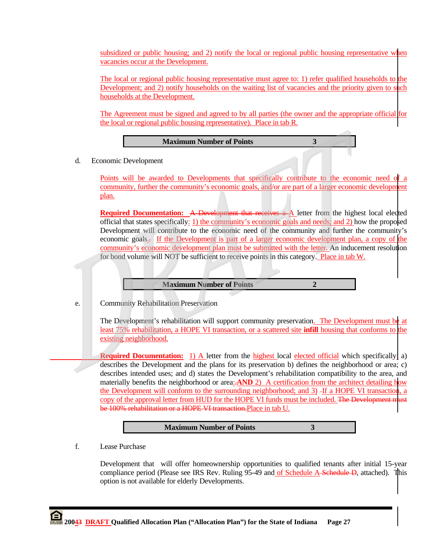subsidized or public housing; and 2) notify the local or regional public housing representative when vacancies occur at the Development.

The local or regional public housing representative must agree to: 1) refer qualified households to the Development; and 2) notify households on the waiting list of vacancies and the priority given to such households at the Development.

The Agreement must be signed and agreed to by all parties (the owner and the appropriate official for the local or regional public housing representative). Place in tab R.

## **Maximum Number of Points 3**

d. Economic Development

Points will be awarded to Developments that specifically contribute to the economic need of community, further the community's economic goals, and/or are part of a larger economic development plan.

**Required Documentation:** A Development that receives a A letter from the highest local elected official that states specifically: 1) the community's economic goals and needs; and 2) how the proposed Development will contribute to the economic need of the community and further the community's economic goals.. If the Development is part of a larger economic development plan, a copy of the community's economic development plan must be submitted with the letter. An inducement resolution for bond volume will NOT be sufficient to receive points in this category. Place in tab W.

## **Maximum Number of Points** 2

e. Community Rehabilitation Preservation

The Development's rehabilitation will support community preservation. The Development must be at least 75% rehabilitation, a HOPE VI transaction, or a scattered site **infill** housing that conforms to the existing neighborhood.

**Required Documentation:** 1) A letter from the highest local elected official which specifically a) describes the Development and the plans for its preservation b) defines the neighborhood or area; c) describes intended uses; and d) states the Development's rehabilitation compatibility to the area, and materially benefits the neighborhood or area:<sub>*AND* 2) A certification from the architect detailing how</sub> the Development will conform to the surrounding neighborhood; and 3) -If a HOPE VI transaction, a copy of the approval letter from HUD for the HOPE VI funds must be included. The Development must be 100% rehabilitation or a HOPE VI transaction. Place in tab U.

#### **Maximum Number of Points 3**

f. Lease Purchase

Development that will offer homeownership opportunities to qualified tenants after initial 15-year compliance period (Please see IRS Rev. Ruling 95-49 and of Schedule A Schedule D, attached). This option is not available for elderly Developments.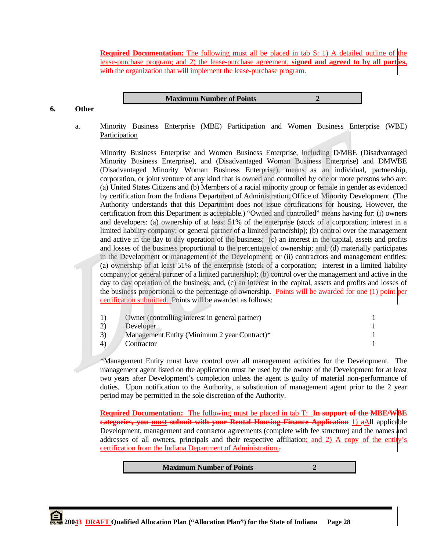**Required Documentation:** The following must all be placed in tab S: 1) A detailed outline of the lease-purchase program; and 2) the lease-purchase agreement, **signed and agreed to by all parties,** with the organization that will implement the lease-purchase program.

#### **Maximum Number of Points 2**

## **6. Other**

a. Minority Business Enterprise (MBE) Participation and Women Business Enterprise (WBE) Participation

Minority Business Enterprise and Women Business Enterprise, including D/MBE (Disadvantaged Minority Business Enterprise), and (Disadvantaged Woman Business Enterprise) and DMWBE (Disadvantaged Minority Woman Business Enterprise), means as an individual, partnership, corporation, or joint venture of any kind that is owned and controlled by one or more persons who are: (a) United States Citizens and (b) Members of a racial minority group or female in gender as evidenced by certification from the Indiana Department of Administration, Office of Minority Development. (The Authority understands that this Department does not issue certifications for housing. However, the certification from this Department is acceptable.) "Owned and controlled" means having for: (i) owners and developers: (a) ownership of at least 51% of the enterprise (stock of a corporation; interest in a limited liability company; or general partner of a limited partnership); (b) control over the management and active in the day to day operation of the business; (c) an interest in the capital, assets and profits and losses of the business proportional to the percentage of ownership; and, (d) materially participates in the Development or management of the Development; or (ii) contractors and management entities: (a) ownership of at least 51% of the enterprise (stock of a corporation; interest in a limited liability company; or general partner of a limited partnership); (b) control over the management and active in the day to day operation of the business; and, (c) an interest in the capital, assets and profits and losses of the business proportional to the percentage of ownership. Points will be awarded for one (1) point per certification submitted. Points will be awarded as follows:

|    | Owner (controlling interest in general partner) |  |
|----|-------------------------------------------------|--|
| 2) | Developer                                       |  |
| 3) | Management Entity (Minimum 2 year Contract)*    |  |
| 4) | Contractor                                      |  |

\*Management Entity must have control over all management activities for the Development. The management agent listed on the application must be used by the owner of the Development for at least two years after Development's completion unless the agent is guilty of material non-performance of duties. Upon notification to the Authority, a substitution of management agent prior to the 2 year period may be permitted in the sole discretion of the Authority.

**Required Documentation:** The following must be placed in tab T: **In support of the MBE/WBE categories, you must submit with your Rental Housing Finance Application** 1) aAll applicable Development, management and contractor agreements (complete with fee structure) and the names and addresses of all owners, principals and their respective affiliation; and 2) A copy of the entity's certification from the Indiana Department of Administration..

**Maximum Number of Points 2**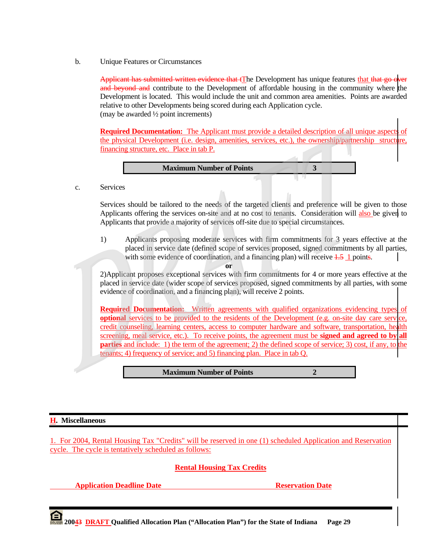b. Unique Features or Circumstances

Applicant has submitted written evidence that tThe Development has unique features that that go of and beyond and contribute to the Development of affordable housing in the community where the Development is located. This would include the unit and common area amenities. Points are awarded relative to other Developments being scored during each Application cycle. (may be awarded ½ point increments)

**Required Documentation:** The Applicant must provide a detailed description of all unique aspects of the physical Development (i.e. design, amenities, services, etc.), the ownership/partnership structure, financing structure, etc. Place in tab P.



c. Services

Services should be tailored to the needs of the targeted clients and preference will be given to those Applicants offering the services on-site and at no cost to tenants. Consideration will also be given to Applicants that provide a majority of services off-site due to special circumstances.

1) Applicants proposing moderate services with firm commitments for 3 years effective at the placed in service date (defined scope of services proposed, signed commitments by all parties, with some evidence of coordination, and a financing plan) will receive  $\frac{1.5}{1.5}$  1 points.

**or** 

2)Applicant proposes exceptional services with firm commitments for 4 or more years effective at the placed in service date (wider scope of services proposed, signed commitments by all parties, with some evidence of coordination, and a financing plan), will receive 2 points.

**Required Documentation:** Written agreements with qualified organizations evidencing types of **optional** services to be provided to the residents of the Development (e.g. on-site day care service, credit counseling, learning centers, access to computer hardware and software, transportation, health screening, meal service, etc.). To receive points, the agreement must be **signed and agreed to by all parties** and include: 1) the term of the agreement; 2) the defined scope of service; 3) cost, if any, to the tenants; 4) frequency of service; and 5) financing plan. Place in tab Q.

**Maximum Number of Points** 2

## **H. Miscellaneous**

1. For 2004, Rental Housing Tax "Credits" will be reserved in one (1) scheduled Application and Reservation cycle. The cycle is tentatively scheduled as follows:

## **Rental Housing Tax Credits**

 **Application Deadline Date Reservation Date Reservation Date**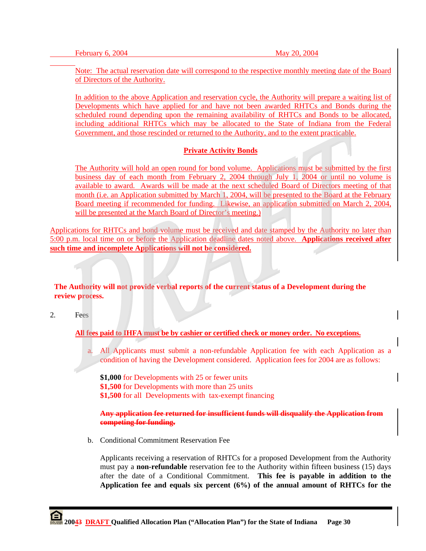| February 6, 2004 |  |  |
|------------------|--|--|
|                  |  |  |

Note: The actual reservation date will correspond to the respective monthly meeting date of the Board of Directors of the Authority.

In addition to the above Application and reservation cycle, the Authority will prepare a waiting list of Developments which have applied for and have not been awarded RHTCs and Bonds during the scheduled round depending upon the remaining availability of RHTCs and Bonds to be allocated, including additional RHTCs which may be allocated to the State of Indiana from the Federal Government, and those rescinded or returned to the Authority, and to the extent practicable.

## **Private Activity Bonds**

The Authority will hold an open round for bond volume. Applications must be submitted by the first business day of each month from February 2, 2004 through July 1, 2004 or until no volume is available to award. Awards will be made at the next scheduled Board of Directors meeting of that month (i.e. an Application submitted by March 1, 2004, will be presented to the Board at the February Board meeting if recommended for funding. Likewise, an application submitted on March 2, 2004, will be presented at the March Board of Director's meeting.)

Applications for RHTCs and bond volume must be received and date stamped by the Authority no later than 5:00 p.m. local time on or before the Application deadline dates noted above. **Applications received after such time and incomplete Applications will not be considered.**

**The Authority will not provide verbal reports of the current status of a Development during the review process.** 

2. Fees

**All fees paid to IHFA must be by cashier or certified check or money order. No exceptions.**

a. All Applicants must submit a non-refundable Application fee with each Application as a condition of having the Development considered. Application fees for 2004 are as follows:

**\$1,000** for Developments with 25 or fewer units **\$1,500** for Developments with more than 25 units **\$1,500** for all Developments with tax-exempt financing

## **Any application fee returned for insufficient funds will disqualify the Application from competing for funding.**

b. Conditional Commitment Reservation Fee

Applicants receiving a reservation of RHTCs for a proposed Development from the Authority must pay a **non-refundable** reservation fee to the Authority within fifteen business (15) days after the date of a Conditional Commitment. **This fee is payable in addition to the Application fee and equals six percent (6%) of the annual amount of RHTCs for the**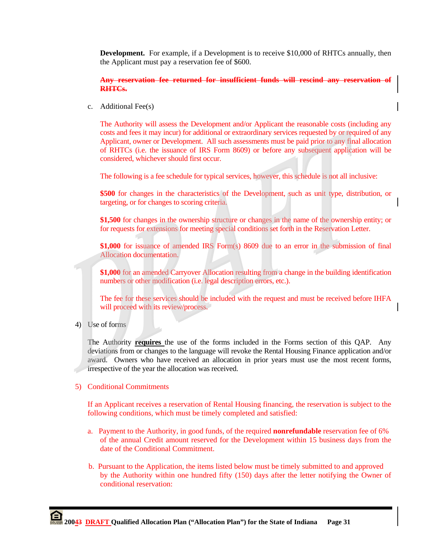**Development.** For example, if a Development is to receive \$10,000 of RHTCs annually, then the Applicant must pay a reservation fee of \$600.

## **Any reservation fee returned for insufficient funds will rescind any reservation of RHTCs.**

c. Additional Fee(s)

The Authority will assess the Development and/or Applicant the reasonable costs (including any costs and fees it may incur) for additional or extraordinary services requested by or required of any Applicant, owner or Development. All such assessments must be paid prior to any final allocation of RHTCs (i.e. the issuance of IRS Form 8609) or before any subsequent application will be considered, whichever should first occur.

The following is a fee schedule for typical services, however, this schedule is not all inclusive:

**\$500** for changes in the characteristics of the Development, such as unit type, distribution, or targeting, or for changes to scoring criteria.

**\$1,500** for changes in the ownership structure or changes in the name of the ownership entity; or for requests for extensions for meeting special conditions set forth in the Reservation Letter.

**\$1,000** for issuance of amended IRS Form(s) 8609 due to an error in the submission of final Allocation documentation.

**\$1,000** for an amended Carryover Allocation resulting from a change in the building identification numbers or other modification (i.e. legal description errors, etc.).

The fee for these services should be included with the request and must be received before IHFA will proceed with its review/process.

4) Use of forms

The Authority **requires** the use of the forms included in the Forms section of this QAP. Any deviations from or changes to the language will revoke the Rental Housing Finance application and/or award. Owners who have received an allocation in prior years must use the most recent forms, irrespective of the year the allocation was received.

5) Conditional Commitments

If an Applicant receives a reservation of Rental Housing financing, the reservation is subject to the following conditions, which must be timely completed and satisfied:

- a. Payment to the Authority, in good funds, of the required **nonrefundable** reservation fee of 6% of the annual Credit amount reserved for the Development within 15 business days from the date of the Conditional Commitment.
- b. Pursuant to the Application, the items listed below must be timely submitted to and approved by the Authority within one hundred fifty (150) days after the letter notifying the Owner of conditional reservation: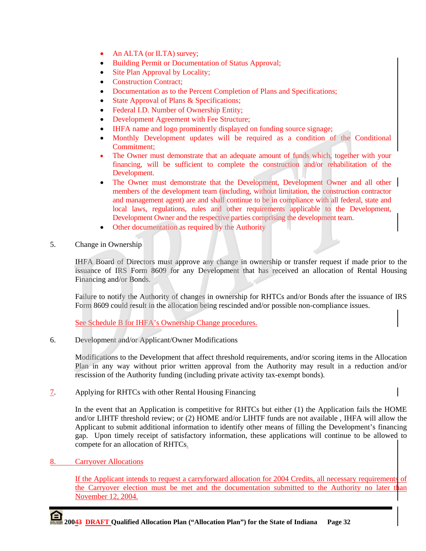- An ALTA (or ILTA) survey;
- Building Permit or Documentation of Status Approval;
- Site Plan Approval by Locality;
- Construction Contract;
- Documentation as to the Percent Completion of Plans and Specifications;
- State Approval of Plans & Specifications;
- Federal I.D. Number of Ownership Entity;
- Development Agreement with Fee Structure;
- IHFA name and logo prominently displayed on funding source signage;
- Monthly Development updates will be required as a condition of the Conditional Commitment:
- The Owner must demonstrate that an adequate amount of funds which, together with your financing, will be sufficient to complete the construction and/or rehabilitation of the Development.
- The Owner must demonstrate that the Development, Development Owner and all other members of the development team (including, without limitation, the construction contractor and management agent) are and shall continue to be in compliance with all federal, state and local laws, regulations, rules and other requirements applicable to the Development, Development Owner and the respective parties comprising the development team.
- Other documentation as required by the Authority
- 5. Change in Ownership

IHFA Board of Directors must approve any change in ownership or transfer request if made prior to the issuance of IRS Form 8609 for any Development that has received an allocation of Rental Housing Financing and/or Bonds.

Failure to notify the Authority of changes in ownership for RHTCs and/or Bonds after the issuance of IRS Form 8609 could result in the allocation being rescinded and/or possible non-compliance issues.

See Schedule B for IHFA's Ownership Change procedures.

6. Development and/or Applicant/Owner Modifications

 Modifications to the Development that affect threshold requirements, and/or scoring items in the Allocation Plan in any way without prior written approval from the Authority may result in a reduction and/or rescission of the Authority funding (including private activity tax-exempt bonds).

7. Applying for RHTCs with other Rental Housing Financing

In the event that an Application is competitive for RHTCs but either (1) the Application fails the HOME and/or LIHTF threshold review; or (2) HOME and/or LIHTF funds are not available , IHFA will allow the Applicant to submit additional information to identify other means of filling the Development's financing gap. Upon timely receipt of satisfactory information, these applications will continue to be allowed to compete for an allocation of RHTCs.

8. Carryover Allocations

If the Applicant intends to request a carryforward allocation for 2004 Credits, all necessary requirements of the Carryover election must be met and the documentation submitted to the Authority no later than November 12, 2004.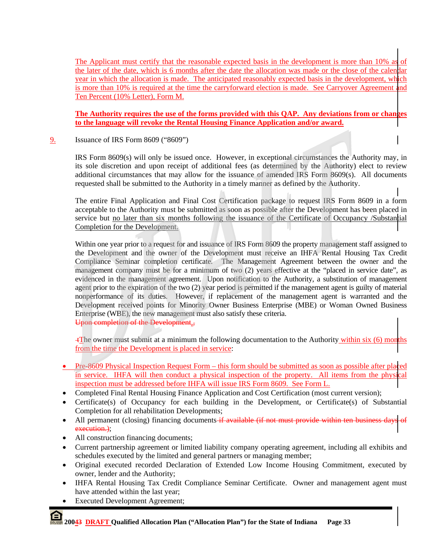The Applicant must certify that the reasonable expected basis in the development is more than 10% as the later of the date, which is 6 months after the date the allocation was made or the close of the calendar year in which the allocation is made. The anticipated reasonably expected basis in the development, which is more than 10% is required at the time the carryforward election is made. See Carryover Agreement and Ten Percent (10% Letter), Form M.

## **The Authority requires the use of the forms provided with this QAP. Any deviations from or changes to the language will revoke the Rental Housing Finance Application and/or award.**

9. Issuance of IRS Form 8609 ("8609")

IRS Form 8609(s) will only be issued once. However, in exceptional circumstances the Authority may, in its sole discretion and upon receipt of additional fees (as determined by the Authority) elect to review additional circumstances that may allow for the issuance of amended IRS Form 8609(s). All documents requested shall be submitted to the Authority in a timely manner as defined by the Authority.

The entire Final Application and Final Cost Certification package to request IRS Form 8609 in a form acceptable to the Authority must be submitted as soon as possible after the Development has been placed in service but no later than six months following the issuance of the Certificate of Occupancy /Substantial Completion for the Development.

Within one year prior to a request for and issuance of IRS Form 8609 the property management staff assigned to the Development and the owner of the Development must receive an IHFA Rental Housing Tax Credit Compliance Seminar completion certificate. The Management Agreement between the owner and the management company must be for a minimum of two (2) years effective at the "placed in service date", as evidenced in the management agreement. Upon notification to the Authority, a substitution of management agent prior to the expiration of the two (2) year period is permitted if the management agent is guilty of material nonperformance of its duties. However, if replacement of the management agent is warranted and the Development received points for Minority Owner Business Enterprise (MBE) or Woman Owned Business Enterprise (WBE), the new management must also satisfy these criteria. Upon completion of the Development,,

 $\pm$ The owner must submit at a minimum the following documentation to the Authority within six (6) months from the time the Development is placed in service:

- Pre-8609 Physical Inspection Request Form this form should be submitted as soon as possible after placed in service. IHFA will then conduct a physical inspection of the property. All items from the physical inspection must be addressed before IHFA will issue IRS Form 8609. See Form L.
- Completed Final Rental Housing Finance Application and Cost Certification (most current version);
- Certificate(s) of Occupancy for each building in the Development, or Certificate(s) of Substantial Completion for all rehabilitation Developments;
- All permanent (closing) financing documents if available (if not must provide within execution.);
- All construction financing documents;
- Current partnership agreement or limited liability company operating agreement, including all exhibits and schedules executed by the limited and general partners or managing member;
- Original executed recorded Declaration of Extended Low Income Housing Commitment, executed by owner, lender and the Authority;
- IHFA Rental Housing Tax Credit Compliance Seminar Certificate. Owner and management agent must have attended within the last year;
- Executed Development Agreement;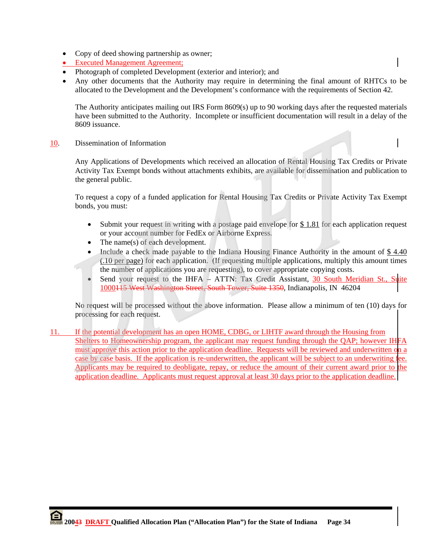- Copy of deed showing partnership as owner;
- Executed Management Agreement;
- Photograph of completed Development (exterior and interior); and
- Any other documents that the Authority may require in determining the final amount of RHTCs to be allocated to the Development and the Development's conformance with the requirements of Section 42.

The Authority anticipates mailing out IRS Form 8609(s) up to 90 working days after the requested materials have been submitted to the Authority. Incomplete or insufficient documentation will result in a delay of the 8609 issuance.

10. Dissemination of Information

Any Applications of Developments which received an allocation of Rental Housing Tax Credits or Private Activity Tax Exempt bonds without attachments exhibits, are available for dissemination and publication to the general public.

To request a copy of a funded application for Rental Housing Tax Credits or Private Activity Tax Exempt bonds, you must:

- Submit your request in writing with a postage paid envelope for \$1.81 for each application request or your account number for FedEx or Airborne Express.
- The name(s) of each development.
- Include a check made payable to the Indiana Housing Finance Authority in the amount of \$4.40 (.10 per page) for each application. (If requesting multiple applications, multiply this amount times the number of applications you are requesting), to cover appropriate copying costs.
- Send your request to the IHFA ATTN: Tax Credit Assistant,  $\frac{30}{10}$  South Meridian St. 1000115 West Washington Street, South Tower, Suite 1350, Indianapolis, IN 46204

No request will be processed without the above information. Please allow a minimum of ten (10) days for processing for each request.

11. If the potential development has an open HOME, CDBG, or LIHTF award through the Housing from Shelters to Homeownership program, the applicant may request funding through the QAP; however IHFA must approve this action prior to the application deadline. Requests will be reviewed and underwritten on a case by case basis. If the application is re-underwritten, the applicant will be subject to an underwriting fee. Applicants may be required to deobligate, repay, or reduce the amount of their current award prior to the application deadline. Applicants must request approval at least 30 days prior to the application deadline.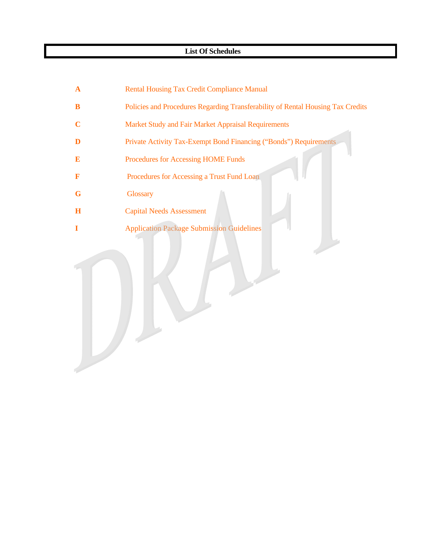# **List Of Schedules**

| $\mathbf{A}$ | <b>Rental Housing Tax Credit Compliance Manual</b>                              |
|--------------|---------------------------------------------------------------------------------|
| B            | Policies and Procedures Regarding Transferability of Rental Housing Tax Credits |
| $\mathbf C$  | Market Study and Fair Market Appraisal Requirements                             |
| D            | Private Activity Tax-Exempt Bond Financing ("Bonds") Requirements               |
| $\bf E$      | Procedures for Accessing HOME Funds                                             |
| F            | Procedures for Accessing a Trust Fund Loan                                      |
| G            | Glossary                                                                        |
| H            | <b>Capital Needs Assessment</b>                                                 |
| I            | <b>Application Package Submission Guidelines</b>                                |
|              |                                                                                 |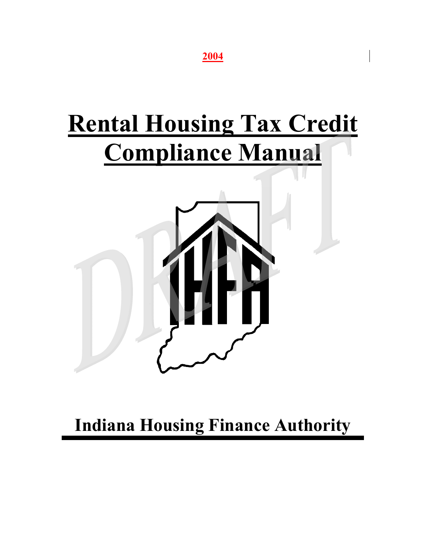

**2004**

**Indiana Housing Finance Authority**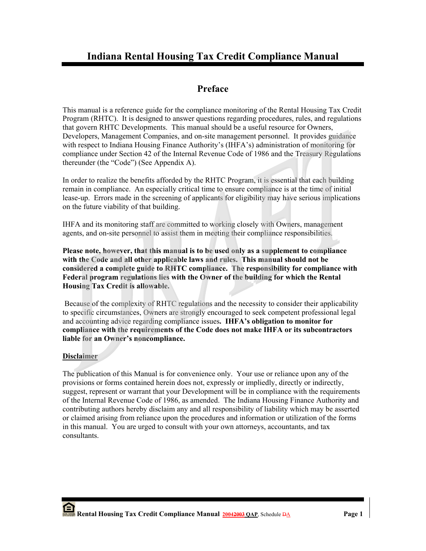# **Indiana Rental Housing Tax Credit Compliance Manual**

# **Preface**

This manual is a reference guide for the compliance monitoring of the Rental Housing Tax Credit Program (RHTC). It is designed to answer questions regarding procedures, rules, and regulations that govern RHTC Developments. This manual should be a useful resource for Owners, Developers, Management Companies, and on-site management personnel. It provides guidance with respect to Indiana Housing Finance Authority's (IHFA's) administration of monitoring for compliance under Section 42 of the Internal Revenue Code of 1986 and the Treasury Regulations thereunder (the "Code") (See Appendix A).

In order to realize the benefits afforded by the RHTC Program, it is essential that each building remain in compliance. An especially critical time to ensure compliance is at the time of initial lease-up. Errors made in the screening of applicants for eligibility may have serious implications on the future viability of that building.

IHFA and its monitoring staff are committed to working closely with Owners, management agents, and on-site personnel to assist them in meeting their compliance responsibilities.

**Please note, however, that this manual is to be used only as a supplement to compliance with the Code and all other applicable laws and rules. This manual should not be considered a complete guide to RHTC compliance. The responsibility for compliance with Federal program regulations lies with the Owner of the building for which the Rental Housing Tax Credit is allowable.**

 Because of the complexity of RHTC regulations and the necessity to consider their applicability to specific circumstances, Owners are strongly encouraged to seek competent professional legal and accounting advice regarding compliance issues**. IHFA's obligation to monitor for compliance with the requirements of the Code does not make IHFA or its subcontractors liable for an Owner's noncompliance.** 

### **Disclaimer**

The publication of this Manual is for convenience only. Your use or reliance upon any of the provisions or forms contained herein does not, expressly or impliedly, directly or indirectly, suggest, represent or warrant that your Development will be in compliance with the requirements of the Internal Revenue Code of 1986, as amended. The Indiana Housing Finance Authority and contributing authors hereby disclaim any and all responsibility of liability which may be asserted or claimed arising from reliance upon the procedures and information or utilization of the forms in this manual. You are urged to consult with your own attorneys, accountants, and tax consultants.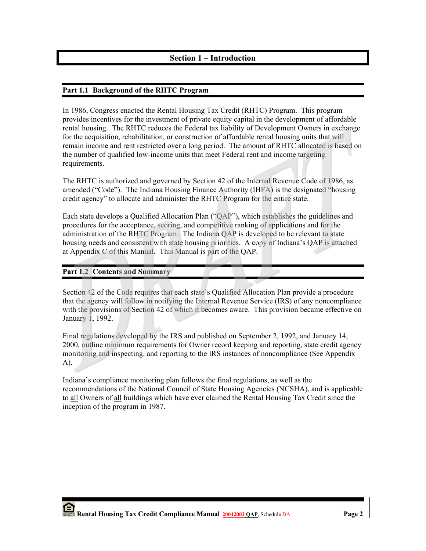# **Section 1 – Introduction**

#### **Part 1.1 Background of the RHTC Program**

In 1986, Congress enacted the Rental Housing Tax Credit (RHTC) Program. This program provides incentives for the investment of private equity capital in the development of affordable rental housing. The RHTC reduces the Federal tax liability of Development Owners in exchange for the acquisition, rehabilitation, or construction of affordable rental housing units that will remain income and rent restricted over a long period. The amount of RHTC allocated is based on the number of qualified low-income units that meet Federal rent and income targeting requirements.

The RHTC is authorized and governed by Section 42 of the Internal Revenue Code of 1986, as amended ("Code"). The Indiana Housing Finance Authority (IHFA) is the designated "housing credit agency" to allocate and administer the RHTC Program for the entire state.

Each state develops a Qualified Allocation Plan ("QAP"), which establishes the guidelines and procedures for the acceptance, scoring, and competitive ranking of applications and for the administration of the RHTC Program. The Indiana QAP is developed to be relevant to state housing needs and consistent with state housing priorities. A copy of Indiana's QAP is attached at Appendix C of this Manual. This Manual is part of the QAP.

#### **Part 1.2 Contents and Summary**

Section 42 of the Code requires that each state's Qualified Allocation Plan provide a procedure that the agency will follow in notifying the Internal Revenue Service (IRS) of any noncompliance with the provisions of Section 42 of which it becomes aware. This provision became effective on January 1, 1992.

Final regulations developed by the IRS and published on September 2, 1992, and January 14, 2000, outline minimum requirements for Owner record keeping and reporting, state credit agency monitoring and inspecting, and reporting to the IRS instances of noncompliance (See Appendix A).

Indiana's compliance monitoring plan follows the final regulations, as well as the recommendations of the National Council of State Housing Agencies (NCSHA), and is applicable to all Owners of all buildings which have ever claimed the Rental Housing Tax Credit since the inception of the program in 1987.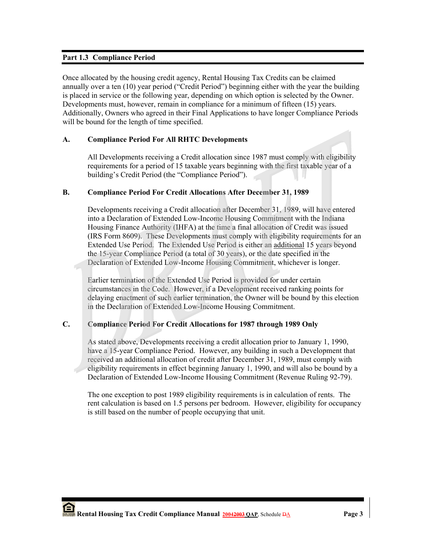### **Part 1.3 Compliance Period**

Once allocated by the housing credit agency, Rental Housing Tax Credits can be claimed annually over a ten (10) year period ("Credit Period") beginning either with the year the building is placed in service or the following year, depending on which option is selected by the Owner. Developments must, however, remain in compliance for a minimum of fifteen (15) years. Additionally, Owners who agreed in their Final Applications to have longer Compliance Periods will be bound for the length of time specified.

### **A. Compliance Period For All RHTC Developments**

All Developments receiving a Credit allocation since 1987 must comply with eligibility requirements for a period of 15 taxable years beginning with the first taxable year of a building's Credit Period (the "Compliance Period").

#### **B. Compliance Period For Credit Allocations After December 31, 1989**

Developments receiving a Credit allocation after December 31, 1989, will have entered into a Declaration of Extended Low-Income Housing Commitment with the Indiana Housing Finance Authority (IHFA) at the time a final allocation of Credit was issued (IRS Form 8609). These Developments must comply with eligibility requirements for an Extended Use Period. The Extended Use Period is either an additional 15 years beyond the 15-year Compliance Period (a total of 30 years), or the date specified in the Declaration of Extended Low-Income Housing Commitment, whichever is longer.

Earlier termination of the Extended Use Period is provided for under certain circumstances in the Code. However, if a Development received ranking points for delaying enactment of such earlier termination, the Owner will be bound by this election in the Declaration of Extended Low-Income Housing Commitment.

### **C. Compliance Period For Credit Allocations for 1987 through 1989 Only**

As stated above, Developments receiving a credit allocation prior to January 1, 1990, have a 15-year Compliance Period. However, any building in such a Development that received an additional allocation of credit after December 31, 1989, must comply with eligibility requirements in effect beginning January 1, 1990, and will also be bound by a Declaration of Extended Low-Income Housing Commitment (Revenue Ruling 92-79).

The one exception to post 1989 eligibility requirements is in calculation of rents. The rent calculation is based on 1.5 persons per bedroom. However, eligibility for occupancy is still based on the number of people occupying that unit.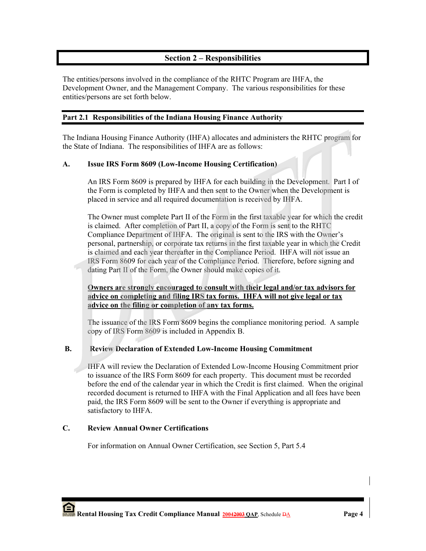# **Section 2 – Responsibilities**

The entities/persons involved in the compliance of the RHTC Program are IHFA, the Development Owner, and the Management Company. The various responsibilities for these entities/persons are set forth below.

#### **Part 2.1 Responsibilities of the Indiana Housing Finance Authority**

The Indiana Housing Finance Authority (IHFA) allocates and administers the RHTC program for the State of Indiana. The responsibilities of IHFA are as follows:

#### **A. Issue IRS Form 8609 (Low-Income Housing Certification)**

An IRS Form 8609 is prepared by IHFA for each building in the Development. Part I of the Form is completed by IHFA and then sent to the Owner when the Development is placed in service and all required documentation is received by IHFA.

The Owner must complete Part II of the Form in the first taxable year for which the credit is claimed. After completion of Part II, a copy of the Form is sent to the RHTC Compliance Department of IHFA. The original is sent to the IRS with the Owner's personal, partnership, or corporate tax returns in the first taxable year in which the Credit is claimed and each year thereafter in the Compliance Period. IHFA will not issue an IRS Form 8609 for each year of the Compliance Period. Therefore, before signing and dating Part II of the Form, the Owner should make copies of it.

#### **Owners are strongly encouraged to consult with their legal and/or tax advisors for advice on completing and filing IRS tax forms. IHFA will not give legal or tax advice on the filing or completion of any tax forms.**

The issuance of the IRS Form 8609 begins the compliance monitoring period. A sample copy of IRS Form 8609 is included in Appendix B.

#### **B. Review Declaration of Extended Low-Income Housing Commitment**

IHFA will review the Declaration of Extended Low-Income Housing Commitment prior to issuance of the IRS Form 8609 for each property. This document must be recorded before the end of the calendar year in which the Credit is first claimed. When the original recorded document is returned to IHFA with the Final Application and all fees have been paid, the IRS Form 8609 will be sent to the Owner if everything is appropriate and satisfactory to IHFA.

#### **C. Review Annual Owner Certifications**

For information on Annual Owner Certification, see Section 5, Part 5.4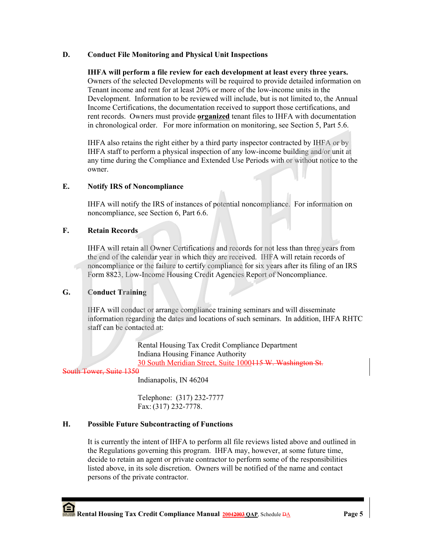#### **D. Conduct File Monitoring and Physical Unit Inspections**

#### **IHFA will perform a file review for each development at least every three years.**

Owners of the selected Developments will be required to provide detailed information on Tenant income and rent for at least 20% or more of the low-income units in the Development. Information to be reviewed will include, but is not limited to, the Annual Income Certifications, the documentation received to support those certifications, and rent records. Owners must provide **organized** tenant files to IHFA with documentation in chronological order. For more information on monitoring, see Section 5, Part 5.6.

IHFA also retains the right either by a third party inspector contracted by IHFA or by IHFA staff to perform a physical inspection of any low-income building and/or unit at any time during the Compliance and Extended Use Periods with or without notice to the owner.

#### **E. Notify IRS of Noncompliance**

IHFA will notify the IRS of instances of potential noncompliance. For information on noncompliance, see Section 6, Part 6.6.

#### **F. Retain Records**

IHFA will retain all Owner Certifications and records for not less than three years from the end of the calendar year in which they are received. IHFA will retain records of noncompliance or the failure to certify compliance for six years after its filing of an IRS Form 8823, Low-Income Housing Credit Agencies Report of Noncompliance.

### **G. Conduct Training**

IHFA will conduct or arrange compliance training seminars and will disseminate information regarding the dates and locations of such seminars. In addition, IHFA RHTC staff can be contacted at:

> Rental Housing Tax Credit Compliance Department Indiana Housing Finance Authority 30 South Meridian Street, Suite 1000<del>115 W. Washington St.</del>

#### South Tower, Suite

Indianapolis, IN 46204

Telephone: (317) 232-7777 Fax: (317) 232-7778.

### **H. Possible Future Subcontracting of Functions**

It is currently the intent of IHFA to perform all file reviews listed above and outlined in the Regulations governing this program. IHFA may, however, at some future time, decide to retain an agent or private contractor to perform some of the responsibilities listed above, in its sole discretion. Owners will be notified of the name and contact persons of the private contractor.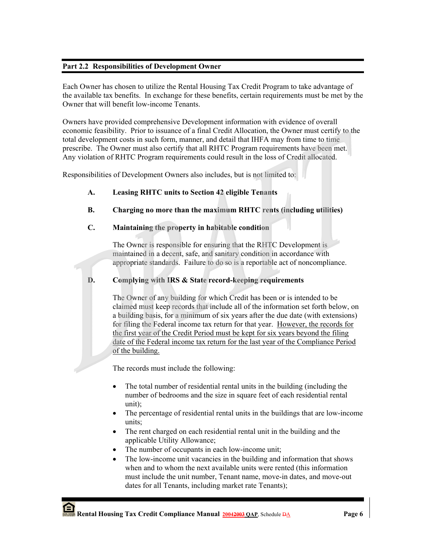### **Part 2.2 Responsibilities of Development Owner**

Each Owner has chosen to utilize the Rental Housing Tax Credit Program to take advantage of the available tax benefits. In exchange for these benefits, certain requirements must be met by the Owner that will benefit low-income Tenants.

Owners have provided comprehensive Development information with evidence of overall economic feasibility. Prior to issuance of a final Credit Allocation, the Owner must certify to the total development costs in such form, manner, and detail that IHFA may from time to time prescribe. The Owner must also certify that all RHTC Program requirements have been met. Any violation of RHTC Program requirements could result in the loss of Credit allocated.

Responsibilities of Development Owners also includes, but is not limited to:

### **A. Leasing RHTC units to Section 42 eligible Tenants**

- **B. Charging no more than the maximum RHTC rents (including utilities)**
- **C. Maintaining the property in habitable condition**

The Owner is responsible for ensuring that the RHTC Development is maintained in a decent, safe, and sanitary condition in accordance with appropriate standards. Failure to do so is a reportable act of noncompliance.

### **D. Complying with IRS & State record-keeping requirements**

The Owner of any building for which Credit has been or is intended to be claimed must keep records that include all of the information set forth below, on a building basis, for a minimum of six years after the due date (with extensions) for filing the Federal income tax return for that year. However, the records for the first year of the Credit Period must be kept for six years beyond the filing date of the Federal income tax return for the last year of the Compliance Period of the building.

The records must include the following:

- The total number of residential rental units in the building (including the number of bedrooms and the size in square feet of each residential rental unit);
- The percentage of residential rental units in the buildings that are low-income units;
- The rent charged on each residential rental unit in the building and the applicable Utility Allowance;
- The number of occupants in each low-income unit;
- The low-income unit vacancies in the building and information that shows when and to whom the next available units were rented (this information must include the unit number, Tenant name, move-in dates, and move-out dates for all Tenants, including market rate Tenants);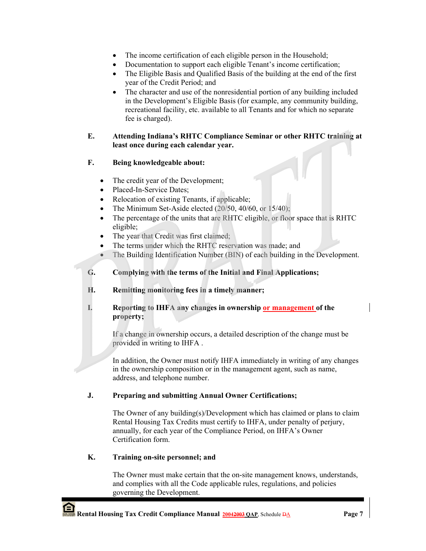- The income certification of each eligible person in the Household;
- Documentation to support each eligible Tenant's income certification;
- The Eligible Basis and Qualified Basis of the building at the end of the first year of the Credit Period; and
- The character and use of the nonresidential portion of any building included in the Development's Eligible Basis (for example, any community building, recreational facility, etc. available to all Tenants and for which no separate fee is charged).

### **E. Attending Indiana's RHTC Compliance Seminar or other RHTC training at least once during each calendar year.**

# **F. Being knowledgeable about:**

- The credit year of the Development;
- Placed-In-Service Dates;
- Relocation of existing Tenants, if applicable;
- The Minimum Set-Aside elected  $(20/50, 40/60, \text{ or } 15/40);$
- The percentage of the units that are RHTC eligible, or floor space that is RHTC eligible;
- The year that Credit was first claimed;
- The terms under which the RHTC reservation was made; and
- The Building Identification Number (BIN) of each building in the Development.
- **G. Complying with the terms of the Initial and Final Applications;**
- **H. Remitting monitoring fees in a timely manner;**
- **I. Reporting to IHFA any changes in ownership or management of the property;**

If a change in ownership occurs, a detailed description of the change must be provided in writing to IHFA .

In addition, the Owner must notify IHFA immediately in writing of any changes in the ownership composition or in the management agent, such as name, address, and telephone number.

# **J. Preparing and submitting Annual Owner Certifications;**

The Owner of any building(s)/Development which has claimed or plans to claim Rental Housing Tax Credits must certify to IHFA, under penalty of perjury, annually, for each year of the Compliance Period, on IHFA's Owner Certification form.

# **K. Training on-site personnel; and**

The Owner must make certain that the on-site management knows, understands, and complies with all the Code applicable rules, regulations, and policies governing the Development.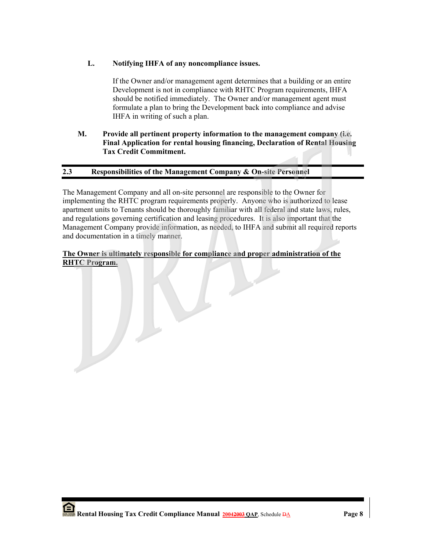## **L. Notifying IHFA of any noncompliance issues.**

If the Owner and/or management agent determines that a building or an entire Development is not in compliance with RHTC Program requirements, IHFA should be notified immediately. The Owner and/or management agent must formulate a plan to bring the Development back into compliance and advise IHFA in writing of such a plan.

**M. Provide all pertinent property information to the management company (i.e. Final Application for rental housing financing, Declaration of Rental Housing Tax Credit Commitment.** 

### **2.3 Responsibilities of the Management Company & On-site Personnel**

The Management Company and all on-site personnel are responsible to the Owner for implementing the RHTC program requirements properly. Anyone who is authorized to lease apartment units to Tenants should be thoroughly familiar with all federal and state laws, rules, and regulations governing certification and leasing procedures. It is also important that the Management Company provide information, as needed, to IHFA and submit all required reports and documentation in a timely manner.

#### **The Owner is ultimately responsible for compliance and proper administration of the RHTC Program.**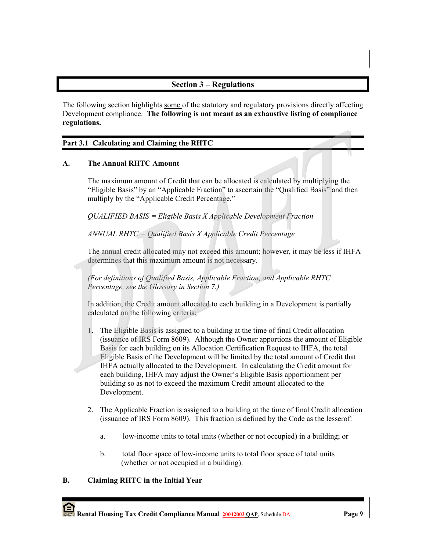# **Section 3 – Regulations**

The following section highlights some of the statutory and regulatory provisions directly affecting Development compliance. **The following is not meant as an exhaustive listing of compliance regulations.** 

### **Part 3.1 Calculating and Claiming the RHTC**

#### **A. The Annual RHTC Amount**

The maximum amount of Credit that can be allocated is calculated by multiplying the "Eligible Basis" by an "Applicable Fraction" to ascertain the "Qualified Basis" and then multiply by the "Applicable Credit Percentage."

*QUALIFIED BASIS = Eligible Basis X Applicable Development Fraction* 

*ANNUAL RHTC = Qualified Basis X Applicable Credit Percentage* 

The annual credit allocated may not exceed this amount; however, it may be less if IHFA determines that this maximum amount is not necessary.

*(For definitions of Qualified Basis, Applicable Fraction, and Applicable RHTC Percentage, see the Glossary in Section 7.)* 

In addition, the Credit amount allocated to each building in a Development is partially calculated on the following criteria;

- 1. The Eligible Basis is assigned to a building at the time of final Credit allocation (issuance of IRS Form 8609). Although the Owner apportions the amount of Eligible Basis for each building on its Allocation Certification Request to IHFA, the total Eligible Basis of the Development will be limited by the total amount of Credit that IHFA actually allocated to the Development. In calculating the Credit amount for each building, IHFA may adjust the Owner's Eligible Basis apportionment per building so as not to exceed the maximum Credit amount allocated to the Development.
- 2. The Applicable Fraction is assigned to a building at the time of final Credit allocation (issuance of IRS Form 8609). This fraction is defined by the Code as the lesserof:
	- a. low-income units to total units (whether or not occupied) in a building; or
	- b. total floor space of low-income units to total floor space of total units (whether or not occupied in a building).

#### **B. Claiming RHTC in the Initial Year**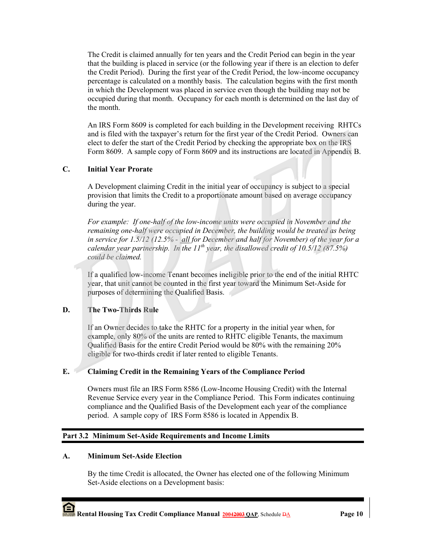The Credit is claimed annually for ten years and the Credit Period can begin in the year that the building is placed in service (or the following year if there is an election to defer the Credit Period). During the first year of the Credit Period, the low-income occupancy percentage is calculated on a monthly basis. The calculation begins with the first month in which the Development was placed in service even though the building may not be occupied during that month. Occupancy for each month is determined on the last day of the month.

An IRS Form 8609 is completed for each building in the Development receiving RHTCs and is filed with the taxpayer's return for the first year of the Credit Period. Owners can elect to defer the start of the Credit Period by checking the appropriate box on the IRS Form 8609. A sample copy of Form 8609 and its instructions are located in Appendix B.

### **C. Initial Year Prorate**

A Development claiming Credit in the initial year of occupancy is subject to a special provision that limits the Credit to a proportionate amount based on average occupancy during the year.

*For example: If one-half of the low-income units were occupied in November and the remaining one-half were occupied in December, the building would be treated as being in service for 1.5/12 (12.5% - all for December and half for November) of the year for a calendar year partnership. In the 11th year, the disallowed credit of 10.5/12 (87.5%) could be claimed.* 

If a qualified low-income Tenant becomes ineligible prior to the end of the initial RHTC year, that unit cannot be counted in the first year toward the Minimum Set-Aside for purposes of determining the Qualified Basis.

### **D. The Two-Thirds Rule**

If an Owner decides to take the RHTC for a property in the initial year when, for example, only 80% of the units are rented to RHTC eligible Tenants, the maximum Qualified Basis for the entire Credit Period would be 80% with the remaining 20% eligible for two-thirds credit if later rented to eligible Tenants.

### **E. Claiming Credit in the Remaining Years of the Compliance Period**

Owners must file an IRS Form 8586 (Low-Income Housing Credit) with the Internal Revenue Service every year in the Compliance Period. This Form indicates continuing compliance and the Qualified Basis of the Development each year of the compliance period. A sample copy of IRS Form 8586 is located in Appendix B.

### **Part 3.2 Minimum Set-Aside Requirements and Income Limits**

#### **A. Minimum Set-Aside Election**

By the time Credit is allocated, the Owner has elected one of the following Minimum Set-Aside elections on a Development basis: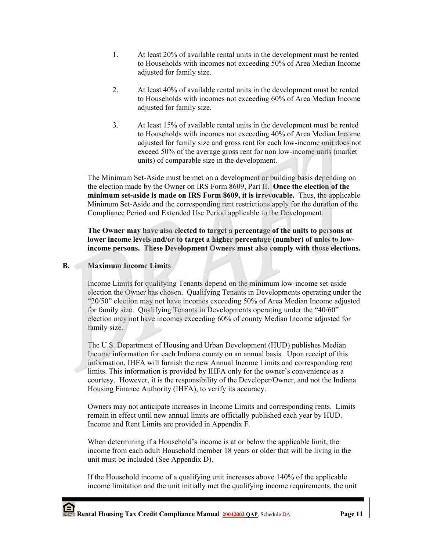- 1. At least 20% of available rental units in the development must be rented to Households with incomes not exceeding 50% of Area Median Income adjusted for family size.
- 2. At least 40% of available rental units in the development must be rented to Households with incomes not exceeding 60% of Area Median Income adjusted for family size.
- 3. At least 15% of available rental units in the development must be rented to Households with incomes not exceeding 40% of Area Median Income adjusted for family size and gross rent for each low-income unit does not exceed 50% of the average gross rent for non low-income units (market units) of comparable size in the development.

The Minimum Set-Aside must be met on a development or building basis depending on the election made by the Owner on IRS Form 8609, Part II. **Once the election of the minimum set-aside is made on IRS Form 8609, it is irrevocable.** Thus, the applicable Minimum Set-Aside and the corresponding rent restrictions apply for the duration of the Compliance Period and Extended Use Period applicable to the Development.

**The Owner may have also elected to target a percentage of the units to persons at lower income levels and/or to target a higher percentage (number) of units to lowincome persons. These Development Owners must also comply with those elections.**

### **B. Maximum Income Limits**

Income Limits for qualifying Tenants depend on the minimum low-income set-aside election the Owner has chosen. Qualifying Tenants in Developments operating under the "20/50" election may not have incomes exceeding 50% of Area Median Income adjusted for family size. Qualifying Tenants in Developments operating under the "40/60" election may not have incomes exceeding 60% of county Median Income adjusted for family size.

The U.S. Department of Housing and Urban Development (HUD) publishes Median Income information for each Indiana county on an annual basis. Upon receipt of this information, IHFA will furnish the new Annual Income Limits and corresponding rent limits. This information is provided by IHFA only for the owner's convenience as a courtesy. However, it is the responsibility of the Developer/Owner, and not the Indiana Housing Finance Authority (IHFA), to verify its accuracy.

Owners may not anticipate increases in Income Limits and corresponding rents. Limits remain in effect until new annual limits are officially published each year by HUD. Income and Rent Limits are provided in Appendix F.

When determining if a Household's income is at or below the applicable limit, the income from each adult Household member 18 years or older that will be living in the unit must be included (See Appendix D).

If the Household income of a qualifying unit increases above 140% of the applicable income limitation and the unit initially met the qualifying income requirements, the unit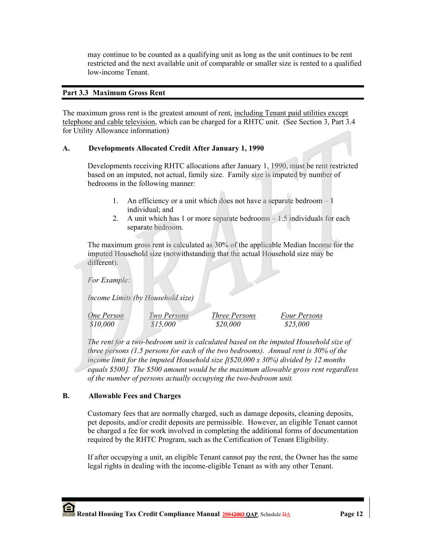may continue to be counted as a qualifying unit as long as the unit continues to be rent restricted and the next available unit of comparable or smaller size is rented to a qualified low-income Tenant.

#### **Part 3.3 Maximum Gross Rent**

The maximum gross rent is the greatest amount of rent, including Tenant paid utilities except telephone and cable television, which can be charged for a RHTC unit. (See Section 3, Part 3.4 for Utility Allowance information)

### **A. Developments Allocated Credit After January 1, 1990**

Developments receiving RHTC allocations after January 1, 1990, must be rent restricted based on an imputed, not actual, family size. Family size is imputed by number of bedrooms in the following manner:

- 1. An efficiency or a unit which does not have a separate bedroom 1 individual; and
- 2. A unit which has 1 or more separate bedrooms 1.5 individuals for each separate bedroom.

The maximum gross rent is calculated as 30% of the applicable Median Income for the imputed Household size (notwithstanding that the actual Household size may be different).

*For Example:* 

*Income Limits (by Household size)* 

| One Person | Two Persons | <i>Three Persons</i> | <i>Four Persons</i> |
|------------|-------------|----------------------|---------------------|
| \$10,000   | \$15,000    | \$20,000             | \$25,000            |

*The rent for a two-bedroom unit is calculated based on the imputed Household size of three persons (1.5 persons for each of the two bedrooms). Annual rent is 30% of the income limit for the imputed Household size* [*(\$20,000 x 30%) divided by 12 months equals \$500*]*. The \$500 amount would be the maximum allowable gross rent regardless of the number of persons actually occupying the two-bedroom unit.* 

### **B. Allowable Fees and Charges**

Customary fees that are normally charged, such as damage deposits, cleaning deposits, pet deposits, and/or credit deposits are permissible. However, an eligible Tenant cannot be charged a fee for work involved in completing the additional forms of documentation required by the RHTC Program, such as the Certification of Tenant Eligibility.

If after occupying a unit, an eligible Tenant cannot pay the rent, the Owner has the same legal rights in dealing with the income-eligible Tenant as with any other Tenant.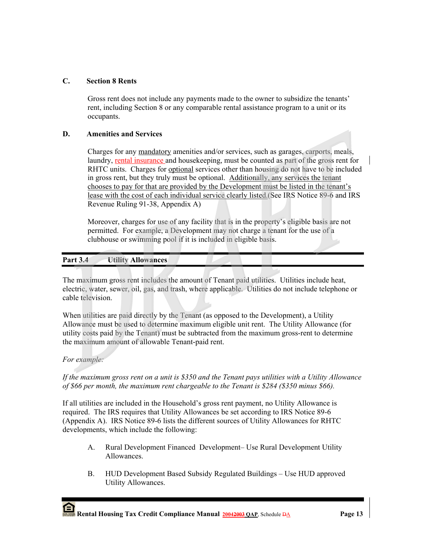### **C. Section 8 Rents**

Gross rent does not include any payments made to the owner to subsidize the tenants' rent, including Section 8 or any comparable rental assistance program to a unit or its occupants.

#### **D. Amenities and Services**

Charges for any mandatory amenities and/or services, such as garages, carports, meals, laundry, rental insurance and housekeeping, must be counted as part of the gross rent for RHTC units. Charges for optional services other than housing do not have to be included in gross rent, but they truly must be optional. Additionally, any services the tenant chooses to pay for that are provided by the Development must be listed in the tenant's lease with the cost of each individual service clearly listed.(See IRS Notice 89-6 and IRS Revenue Ruling 91-38, Appendix A)

Moreover, charges for use of any facility that is in the property's eligible basis are not permitted. For example, a Development may not charge a tenant for the use of a clubhouse or swimming pool if it is included in eligible basis.

#### **Part 3.4 Utility Allowances**

The maximum gross rent includes the amount of Tenant paid utilities. Utilities include heat, electric, water, sewer, oil, gas, and trash, where applicable. Utilities do not include telephone or cable television.

When utilities are paid directly by the Tenant (as opposed to the Development), a Utility Allowance must be used to determine maximum eligible unit rent. The Utility Allowance (for utility costs paid by the Tenant) must be subtracted from the maximum gross-rent to determine the maximum amount of allowable Tenant-paid rent.

### *For example:*

*If the maximum gross rent on a unit is \$350 and the Tenant pays utilities with a Utility Allowance of \$66 per month, the maximum rent chargeable to the Tenant is \$284 (\$350 minus \$66).* 

If all utilities are included in the Household's gross rent payment, no Utility Allowance is required. The IRS requires that Utility Allowances be set according to IRS Notice 89-6 (Appendix A). IRS Notice 89-6 lists the different sources of Utility Allowances for RHTC developments, which include the following:

- A. Rural Development Financed Development– Use Rural Development Utility Allowances.
- B. HUD Development Based Subsidy Regulated Buildings Use HUD approved Utility Allowances.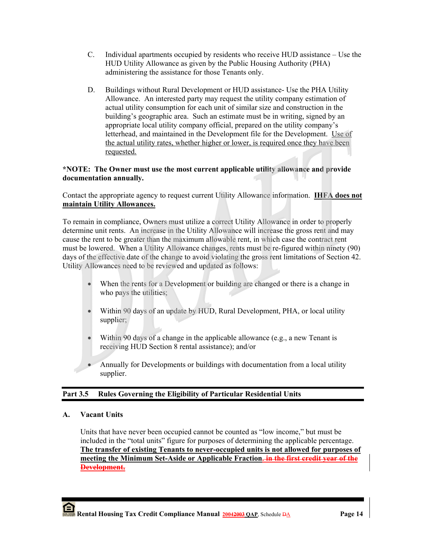- C. Individual apartments occupied by residents who receive HUD assistance Use the HUD Utility Allowance as given by the Public Housing Authority (PHA) administering the assistance for those Tenants only.
- D. Buildings without Rural Development or HUD assistance- Use the PHA Utility Allowance. An interested party may request the utility company estimation of actual utility consumption for each unit of similar size and construction in the building's geographic area. Such an estimate must be in writing, signed by an appropriate local utility company official, prepared on the utility company's letterhead, and maintained in the Development file for the Development. Use of the actual utility rates, whether higher or lower, is required once they have been requested.

### **\*NOTE: The Owner must use the most current applicable utility allowance and provide documentation annually.**

Contact the appropriate agency to request current Utility Allowance information. **IHFA does not maintain Utility Allowances.**

To remain in compliance, Owners must utilize a correct Utility Allowance in order to properly determine unit rents. An increase in the Utility Allowance will increase the gross rent and may cause the rent to be greater than the maximum allowable rent, in which case the contract rent must be lowered. When a Utility Allowance changes, rents must be re-figured within ninety (90) days of the effective date of the change to avoid violating the gross rent limitations of Section 42. Utility Allowances need to be reviewed and updated as follows:

- When the rents for a Development or building are changed or there is a change in who pays the utilities;
- Within 90 days of an update by HUD, Rural Development, PHA, or local utility supplier;
- Within 90 days of a change in the applicable allowance (e.g., a new Tenant is receiving HUD Section 8 rental assistance); and/or
- Annually for Developments or buildings with documentation from a local utility supplier.

# **Part 3.5 Rules Governing the Eligibility of Particular Residential Units**

### **A. Vacant Units**

Units that have never been occupied cannot be counted as "low income," but must be included in the "total units" figure for purposes of determining the applicable percentage. **The transfer of existing Tenants to never-occupied units is not allowed for purposes of meeting the Minimum Set-Aside or Applicable Fraction. in the first credit year of the Development.**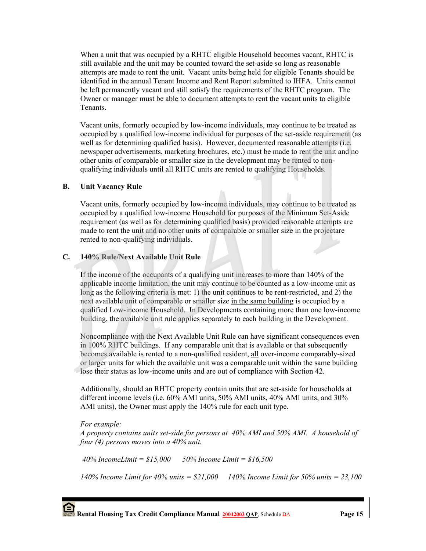When a unit that was occupied by a RHTC eligible Household becomes vacant, RHTC is still available and the unit may be counted toward the set-aside so long as reasonable attempts are made to rent the unit. Vacant units being held for eligible Tenants should be identified in the annual Tenant Income and Rent Report submitted to IHFA. Units cannot be left permanently vacant and still satisfy the requirements of the RHTC program. The Owner or manager must be able to document attempts to rent the vacant units to eligible Tenants.

Vacant units, formerly occupied by low-income individuals, may continue to be treated as occupied by a qualified low-income individual for purposes of the set-aside requirement (as well as for determining qualified basis). However, documented reasonable attempts (i.e. newspaper advertisements, marketing brochures, etc.) must be made to rent the unit and no other units of comparable or smaller size in the development may be rented to nonqualifying individuals until all RHTC units are rented to qualifying Households.

#### **B. Unit Vacancy Rule**

Vacant units, formerly occupied by low-income individuals, may continue to be treated as occupied by a qualified low-income Household for purposes of the Minimum Set-Aside requirement (as well as for determining qualified basis) provided reasonable attempts are made to rent the unit and no other units of comparable or smaller size in the projectare rented to non-qualifying individuals.

#### **C. 140% Rule/Next Available Unit Rule**

If the income of the occupants of a qualifying unit increases to more than 140% of the applicable income limitation, the unit may continue to be counted as a low-income unit as long as the following criteria is met: 1) the unit continues to be rent-restricted, and 2) the next available unit of comparable or smaller size in the same building is occupied by a qualified Low-income Household. In Developments containing more than one low-income building, the available unit rule applies separately to each building in the Development.

Noncompliance with the Next Available Unit Rule can have significant consequences even in 100% RHTC buildings. If any comparable unit that is available or that subsequently becomes available is rented to a non-qualified resident, all over-income comparably-sized or larger units for which the available unit was a comparable unit within the same building lose their status as low-income units and are out of compliance with Section 42.

Additionally, should an RHTC property contain units that are set-aside for households at different income levels (i.e. 60% AMI units, 50% AMI units, 40% AMI units, and 30% AMI units), the Owner must apply the 140% rule for each unit type.

#### *For example:*

*A property contains units set-side for persons at 40% AMI and 50% AMI. A household of four (4) persons moves into a 40% unit.* 

 *40% IncomeLimit = \$15,000 50% Income Limit = \$16,500* 

*140% Income Limit for 40% units = \$21,000 140% Income Limit for 50% units = 23,100*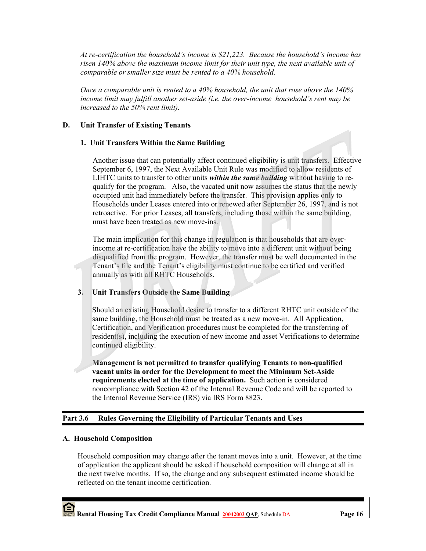*At re-certification the household's income is \$21,223. Because the household's income has risen 140% above the maximum income limit for their unit type, the next available unit of comparable or smaller size must be rented to a 40% household.* 

*Once a comparable unit is rented to a 40% household, the unit that rose above the 140% income limit may fulfill another set-aside (i.e. the over-income household's rent may be increased to the 50% rent limit).* 

#### **D. Unit Transfer of Existing Tenants**

#### **1. Unit Transfers Within the Same Building**

Another issue that can potentially affect continued eligibility is unit transfers. Effective September 6, 1997, the Next Available Unit Rule was modified to allow residents of LIHTC units to transfer to other units *within the same building* without having to requalify for the program. Also, the vacated unit now assumes the status that the newly occupied unit had immediately before the transfer. This provision applies only to Households under Leases entered into or renewed after September 26, 1997, and is not retroactive. For prior Leases, all transfers, including those within the same building, must have been treated as new move-ins.

The main implication for this change in regulation is that households that are overincome at re-certification have the ability to move into a different unit without being disqualified from the program. However, the transfer must be well documented in the Tenant's file and the Tenant's eligibility must continue to be certified and verified annually as with all RHTC Households.

#### **3. Unit Transfers Outside the Same Building**

Should an existing Household desire to transfer to a different RHTC unit outside of the same building, the Household must be treated as a new move-in. All Application, Certification, and Verification procedures must be completed for the transferring of resident(s), including the execution of new income and asset Verifications to determine continued eligibility.

**Management is not permitted to transfer qualifying Tenants to non-qualified vacant units in order for the Development to meet the Minimum Set-Aside requirements elected at the time of application.** Such action is considered noncompliance with Section 42 of the Internal Revenue Code and will be reported to the Internal Revenue Service (IRS) via IRS Form 8823.

### **Part 3.6 Rules Governing the Eligibility of Particular Tenants and Uses**

#### **A. Household Composition**

Household composition may change after the tenant moves into a unit. However, at the time of application the applicant should be asked if household composition will change at all in the next twelve months. If so, the change and any subsequent estimated income should be reflected on the tenant income certification.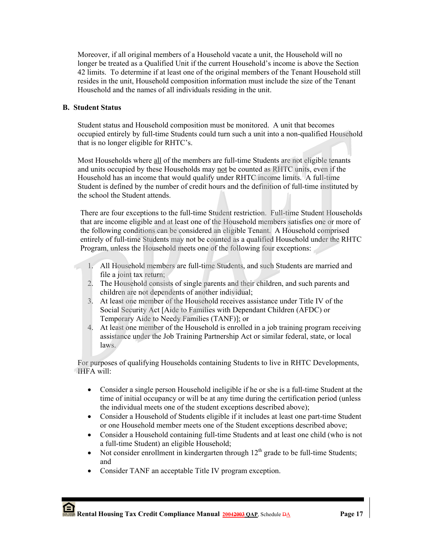Moreover, if all original members of a Household vacate a unit, the Household will no longer be treated as a Qualified Unit if the current Household's income is above the Section 42 limits. To determine if at least one of the original members of the Tenant Household still resides in the unit, Household composition information must include the size of the Tenant Household and the names of all individuals residing in the unit.

#### **B. Student Status**

Student status and Household composition must be monitored. A unit that becomes occupied entirely by full-time Students could turn such a unit into a non-qualified Household that is no longer eligible for RHTC's.

Most Households where all of the members are full-time Students are not eligible tenants and units occupied by these Households may not be counted as RHTC units, even if the Household has an income that would qualify under RHTC income limits. A full-time Student is defined by the number of credit hours and the definition of full-time instituted by the school the Student attends.

There are four exceptions to the full-time Student restriction. Full-time Student Households that are income eligible and at least one of the Household members satisfies one or more of the following conditions can be considered an eligible Tenant. A Household comprised entirely of full-time Students may not be counted as a qualified Household under the RHTC Program, unless the Household meets one of the following four exceptions:

- 1. All Household members are full-time Students, and such Students are married and file a joint tax return;
- 2. The Household consists of single parents and their children, and such parents and children are not dependents of another individual;
- 3. At least one member of the Household receives assistance under Title IV of the Social Security Act [Aide to Families with Dependant Children (AFDC) or Temporary Aide to Needy Families (TANF)]; or
- 4. At least one member of the Household is enrolled in a job training program receiving assistance under the Job Training Partnership Act or similar federal, state, or local laws.

For purposes of qualifying Households containing Students to live in RHTC Developments, IHFA will:

- Consider a single person Household ineligible if he or she is a full-time Student at the time of initial occupancy or will be at any time during the certification period (unless the individual meets one of the student exceptions described above);
- Consider a Household of Students eligible if it includes at least one part-time Student or one Household member meets one of the Student exceptions described above;
- Consider a Household containing full-time Students and at least one child (who is not a full-time Student) an eligible Household;
- Not consider enrollment in kindergarten through  $12<sup>th</sup>$  grade to be full-time Students; and
- Consider TANF an acceptable Title IV program exception.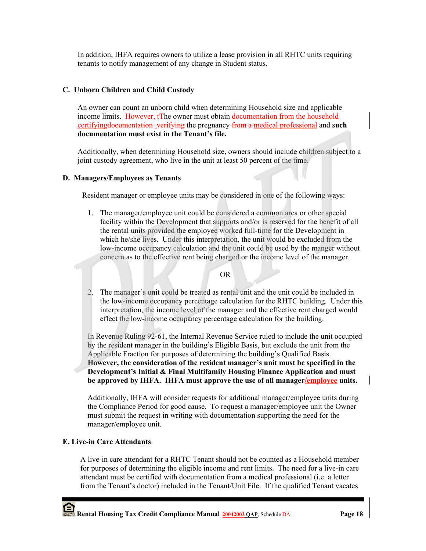In addition, IHFA requires owners to utilize a lease provision in all RHTC units requiring tenants to notify management of any change in Student status.

### **C. Unborn Children and Child Custody**

An owner can count an unborn child when determining Household size and applicable income limits. However, tThe owner must obtain documentation from the household certifyingdocumentation verifying the pregnancy from a medical professional and **such documentation must exist in the Tenant's file.** 

Additionally, when determining Household size, owners should include children subject to a joint custody agreement, who live in the unit at least 50 percent of the time.

#### **D. Managers/Employees as Tenants**

Resident manager or employee units may be considered in one of the following ways:

1. The manager/employee unit could be considered a common area or other special facility within the Development that supports and/or is reserved for the benefit of all the rental units provided the employee worked full-time for the Development in which he/she lives. Under this interpretation, the unit would be excluded from the low-income occupancy calculation and the unit could be used by the manger without concern as to the effective rent being charged or the income level of the manager.

OR

2. The manager's unit could be treated as rental unit and the unit could be included in the low-income occupancy percentage calculation for the RHTC building. Under this interpretation, the income level of the manager and the effective rent charged would effect the low-income occupancy percentage calculation for the building.

In Revenue Ruling 92-61, the Internal Revenue Service ruled to include the unit occupied by the resident manager in the building's Eligible Basis, but exclude the unit from the Applicable Fraction for purposes of determining the building's Qualified Basis. **However, the consideration of the resident manager's unit must be specified in the Development's Initial & Final Multifamily Housing Finance Application and must be approved by IHFA. IHFA must approve the use of all manager/employee units.** 

Additionally, IHFA will consider requests for additional manager/employee units during the Compliance Period for good cause. To request a manager/employee unit the Owner must submit the request in writing with documentation supporting the need for the manager/employee unit.

### **E. Live-in Care Attendants**

A live-in care attendant for a RHTC Tenant should not be counted as a Household member for purposes of determining the eligible income and rent limits. The need for a live-in care attendant must be certified with documentation from a medical professional (i.e. a letter from the Tenant's doctor) included in the Tenant/Unit File. If the qualified Tenant vacates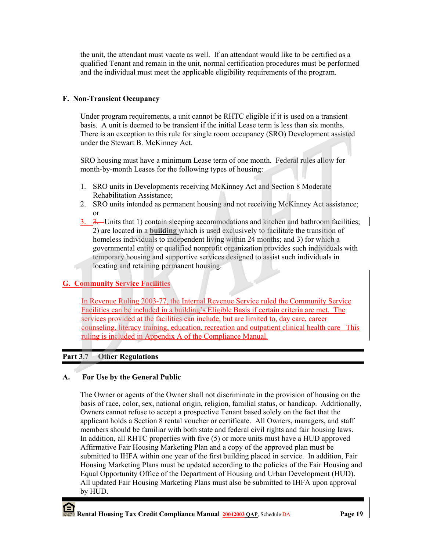the unit, the attendant must vacate as well. If an attendant would like to be certified as a qualified Tenant and remain in the unit, normal certification procedures must be performed and the individual must meet the applicable eligibility requirements of the program.

### **F. Non-Transient Occupancy**

Under program requirements, a unit cannot be RHTC eligible if it is used on a transient basis. A unit is deemed to be transient if the initial Lease term is less than six months. There is an exception to this rule for single room occupancy (SRO) Development assisted under the Stewart B. McKinney Act.

SRO housing must have a minimum Lease term of one month. Federal rules allow for month-by-month Leases for the following types of housing:

- 1. SRO units in Developments receiving McKinney Act and Section 8 Moderate Rehabilitation Assistance;
- 2. SRO units intended as permanent housing and not receiving McKinney Act assistance; or
- 3.  $\frac{3}{2}$  Units that 1) contain sleeping accommodations and kitchen and bathroom facilities; 2) are located in a **building** which is used exclusively to facilitate the transition of homeless individuals to independent living within 24 months; and 3) for which a governmental entity or qualified nonprofit organization provides such individuals with temporary housing and supportive services designed to assist such individuals in locating and retaining permanent housing.

# **G. Community Service Facilities**

In Revenue Ruling 2003-77, the Internal Revenue Service ruled the Community Service Facilities can be included in a building's Eligible Basis if certain criteria are met. The services provided at the facilities can include, but are limited to, day care, career counseling, literacy training, education, recreation and outpatient clinical health care This ruling is included in Appendix A of the Compliance Manual.

# **Part 3.7 Other Regulations**

# **A. For Use by the General Public**

The Owner or agents of the Owner shall not discriminate in the provision of housing on the basis of race, color, sex, national origin, religion, familial status, or handicap. Additionally, Owners cannot refuse to accept a prospective Tenant based solely on the fact that the applicant holds a Section 8 rental voucher or certificate. All Owners, managers, and staff members should be familiar with both state and federal civil rights and fair housing laws. In addition, all RHTC properties with five (5) or more units must have a HUD approved Affirmative Fair Housing Marketing Plan and a copy of the approved plan must be submitted to IHFA within one year of the first building placed in service. In addition, Fair Housing Marketing Plans must be updated according to the policies of the Fair Housing and Equal Opportunity Office of the Department of Housing and Urban Development (HUD). All updated Fair Housing Marketing Plans must also be submitted to IHFA upon approval by HUD.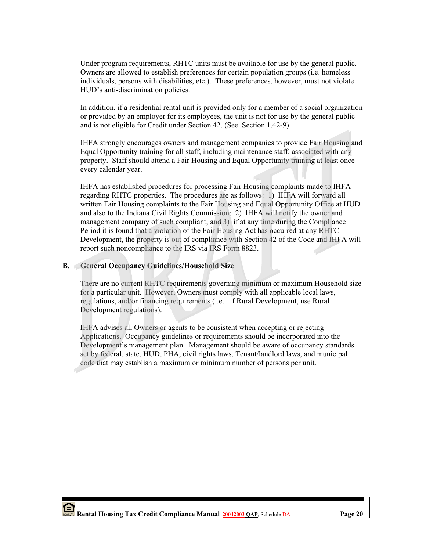Under program requirements, RHTC units must be available for use by the general public. Owners are allowed to establish preferences for certain population groups (i.e. homeless individuals, persons with disabilities, etc.). These preferences, however, must not violate HUD's anti-discrimination policies.

In addition, if a residential rental unit is provided only for a member of a social organization or provided by an employer for its employees, the unit is not for use by the general public and is not eligible for Credit under Section 42. (See Section 1.42-9).

IHFA strongly encourages owners and management companies to provide Fair Housing and Equal Opportunity training for all staff, including maintenance staff, associated with any property. Staff should attend a Fair Housing and Equal Opportunity training at least once every calendar year.

IHFA has established procedures for processing Fair Housing complaints made to IHFA regarding RHTC properties. The procedures are as follows: 1) IHFA will forward all written Fair Housing complaints to the Fair Housing and Equal Opportunity Office at HUD and also to the Indiana Civil Rights Commission; 2) IHFA will notify the owner and management company of such compliant; and 3) if at any time during the Compliance Period it is found that a violation of the Fair Housing Act has occurred at any RHTC Development, the property is out of compliance with Section 42 of the Code and IHFA will report such noncompliance to the IRS via IRS Form 8823.

#### **B. General Occupancy Guidelines/Household Size**

There are no current RHTC requirements governing minimum or maximum Household size for a particular unit. However, Owners must comply with all applicable local laws, regulations, and/or financing requirements (i.e. . if Rural Development, use Rural Development regulations).

IHFA advises all Owners or agents to be consistent when accepting or rejecting Applications. Occupancy guidelines or requirements should be incorporated into the Development's management plan. Management should be aware of occupancy standards set by federal, state, HUD, PHA, civil rights laws, Tenant/landlord laws, and municipal code that may establish a maximum or minimum number of persons per unit.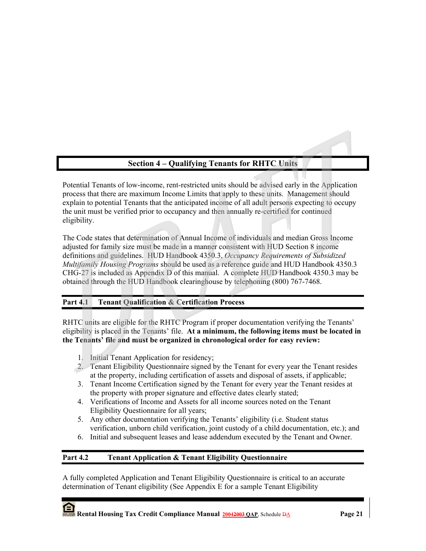# **Section 4 – Qualifying Tenants for RHTC Units**

Potential Tenants of low-income, rent-restricted units should be advised early in the Application process that there are maximum Income Limits that apply to these units. Management should explain to potential Tenants that the anticipated income of all adult persons expecting to occupy the unit must be verified prior to occupancy and then annually re-certified for continued eligibility.

The Code states that determination of Annual Income of individuals and median Gross Income adjusted for family size must be made in a manner consistent with HUD Section 8 income definitions and guidelines. HUD Handbook 4350.3, *Occupancy Requirements of Subsidized Multifamily Housing Programs* should be used as a reference guide and HUD Handbook 4350.3 CHG-27 is included as Appendix D of this manual. A complete HUD Handbook 4350.3 may be obtained through the HUD Handbook clearinghouse by telephoning (800) 767-7468.

# **Part 4.1 Tenant Qualification & Certification Process**

RHTC units are eligible for the RHTC Program if proper documentation verifying the Tenants' eligibility is placed in the Tenants' file. **At a minimum, the following items must be located in the Tenants' file and must be organized in chronological order for easy review:** 

- 1. Initial Tenant Application for residency;
- 2. Tenant Eligibility Questionnaire signed by the Tenant for every year the Tenant resides at the property, including certification of assets and disposal of assets, if applicable;
- 3. Tenant Income Certification signed by the Tenant for every year the Tenant resides at the property with proper signature and effective dates clearly stated;
- 4. Verifications of Income and Assets for all income sources noted on the Tenant Eligibility Questionnaire for all years;
- 5. Any other documentation verifying the Tenants' eligibility (i.e. Student status verification, unborn child verification, joint custody of a child documentation, etc.); and
- 6. Initial and subsequent leases and lease addendum executed by the Tenant and Owner.

# **Part 4.2 Tenant Application & Tenant Eligibility Questionnaire**

A fully completed Application and Tenant Eligibility Questionnaire is critical to an accurate determination of Tenant eligibility (See Appendix E for a sample Tenant Eligibility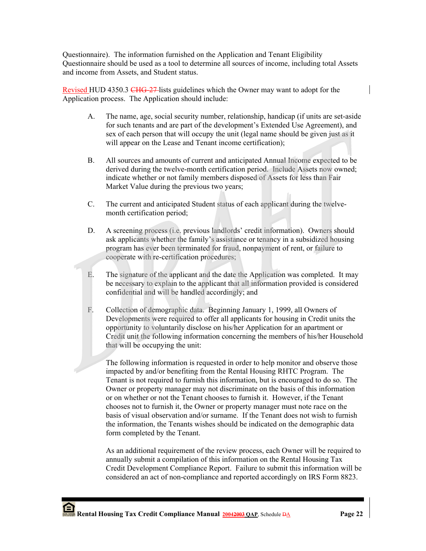Questionnaire). The information furnished on the Application and Tenant Eligibility Questionnaire should be used as a tool to determine all sources of income, including total Assets and income from Assets, and Student status.

Revised HUD 4350.3 CHG-27 lists guidelines which the Owner may want to adopt for the Application process. The Application should include:

- A. The name, age, social security number, relationship, handicap (if units are set-aside for such tenants and are part of the development's Extended Use Agreement), and sex of each person that will occupy the unit (legal name should be given just as it will appear on the Lease and Tenant income certification);
- B. All sources and amounts of current and anticipated Annual Income expected to be derived during the twelve-month certification period. Include Assets now owned; indicate whether or not family members disposed of Assets for less than Fair Market Value during the previous two years;
- C. The current and anticipated Student status of each applicant during the twelvemonth certification period;
- D. A screening process (i.e. previous landlords' credit information). Owners should ask applicants whether the family's assistance or tenancy in a subsidized housing program has ever been terminated for fraud, nonpayment of rent, or failure to cooperate with re-certification procedures;
- E. The signature of the applicant and the date the Application was completed. It may be necessary to explain to the applicant that all information provided is considered confidential and will be handled accordingly; and
- F. Collection of demographic data. Beginning January 1, 1999, all Owners of Developments were required to offer all applicants for housing in Credit units the opportunity to voluntarily disclose on his/her Application for an apartment or Credit unit the following information concerning the members of his/her Household that will be occupying the unit:

The following information is requested in order to help monitor and observe those impacted by and/or benefiting from the Rental Housing RHTC Program. The Tenant is not required to furnish this information, but is encouraged to do so. The Owner or property manager may not discriminate on the basis of this information or on whether or not the Tenant chooses to furnish it. However, if the Tenant chooses not to furnish it, the Owner or property manager must note race on the basis of visual observation and/or surname. If the Tenant does not wish to furnish the information, the Tenants wishes should be indicated on the demographic data form completed by the Tenant.

As an additional requirement of the review process, each Owner will be required to annually submit a compilation of this information on the Rental Housing Tax Credit Development Compliance Report. Failure to submit this information will be considered an act of non-compliance and reported accordingly on IRS Form 8823.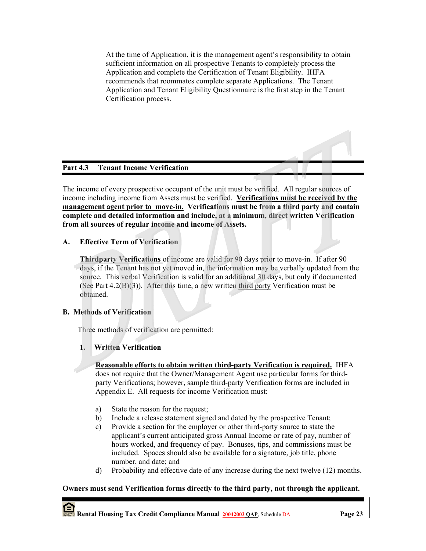At the time of Application, it is the management agent's responsibility to obtain sufficient information on all prospective Tenants to completely process the Application and complete the Certification of Tenant Eligibility. IHFA recommends that roommates complete separate Applications. The Tenant Application and Tenant Eligibility Questionnaire is the first step in the Tenant Certification process.

### **Part 4.3 Tenant Income Verification**

The income of every prospective occupant of the unit must be verified. All regular sources of income including income from Assets must be verified. **Verifications must be received by the management agent prior to move-in. Verifications must be from a third party and contain complete and detailed information and include, at a minimum, direct written Verification from all sources of regular income and income of Assets.** 

### **A. Effective Term of Verification**

**Thirdparty Verifications** of income are valid for 90 days prior to move-in. If after 90 days, if the Tenant has not yet moved in, the information may be verbally updated from the source. This verbal Verification is valid for an additional 30 days, but only if documented (See Part 4.2(B)(3)). After this time, a new written third party Verification must be obtained.

### **B. Methods of Verification**

Three methods of verification are permitted:

### **1. Written Verification**

**Reasonable efforts to obtain written third-party Verification is required.** IHFA does not require that the Owner/Management Agent use particular forms for thirdparty Verifications; however, sample third-party Verification forms are included in Appendix E. All requests for income Verification must:

- a) State the reason for the request;
- b) Include a release statement signed and dated by the prospective Tenant;
- c) Provide a section for the employer or other third-party source to state the applicant's current anticipated gross Annual Income or rate of pay, number of hours worked, and frequency of pay. Bonuses, tips, and commissions must be included. Spaces should also be available for a signature, job title, phone number, and date; and
- d) Probability and effective date of any increase during the next twelve (12) months.

# **Owners must send Verification forms directly to the third party, not through the applicant.**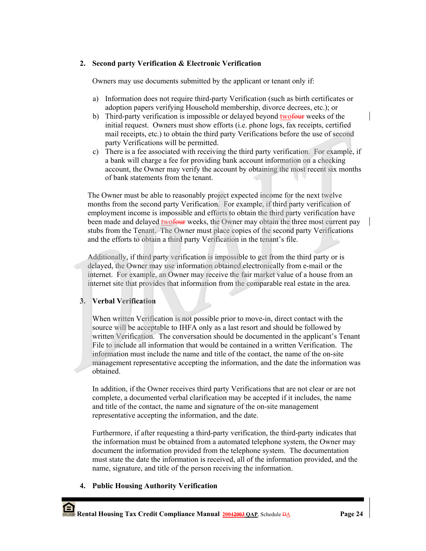#### **2. Second party Verification & Electronic Verification**

Owners may use documents submitted by the applicant or tenant only if:

- a) Information does not require third-party Verification (such as birth certificates or adoption papers verifying Household membership, divorce decrees, etc.); or
- b) Third-party verification is impossible or delayed beyond two four weeks of the initial request. Owners must show efforts (i.e. phone logs, fax receipts, certified mail receipts, etc.) to obtain the third party Verifications before the use of second party Verifications will be permitted.
- c) There is a fee associated with receiving the third party verification. For example, if a bank will charge a fee for providing bank account information on a checking account, the Owner may verify the account by obtaining the most recent six months of bank statements from the tenant.

The Owner must be able to reasonably project expected income for the next twelve months from the second party Verification. For example, if third party verification of employment income is impossible and efforts to obtain the third party verification have been made and delayed two four weeks, the Owner may obtain the three most current pay stubs from the Tenant. The Owner must place copies of the second party Verifications and the efforts to obtain a third party Verification in the tenant's file.

Additionally, if third party verification is impossible to get from the third party or is delayed, the Owner may use information obtained electronically from e-mail or the internet. For example, an Owner may receive the fair market value of a house from an internet site that provides that information from the comparable real estate in the area.

#### **3. Verbal Verification**

When written Verification is not possible prior to move-in, direct contact with the source will be acceptable to IHFA only as a last resort and should be followed by written Verification. The conversation should be documented in the applicant's Tenant File to include all information that would be contained in a written Verification. The information must include the name and title of the contact, the name of the on-site management representative accepting the information, and the date the information was obtained.

In addition, if the Owner receives third party Verifications that are not clear or are not complete, a documented verbal clarification may be accepted if it includes, the name and title of the contact, the name and signature of the on-site management representative accepting the information, and the date.

Furthermore, if after requesting a third-party verification, the third-party indicates that the information must be obtained from a automated telephone system, the Owner may document the information provided from the telephone system. The documentation must state the date the information is received, all of the information provided, and the name, signature, and title of the person receiving the information.

#### **4. Public Housing Authority Verification**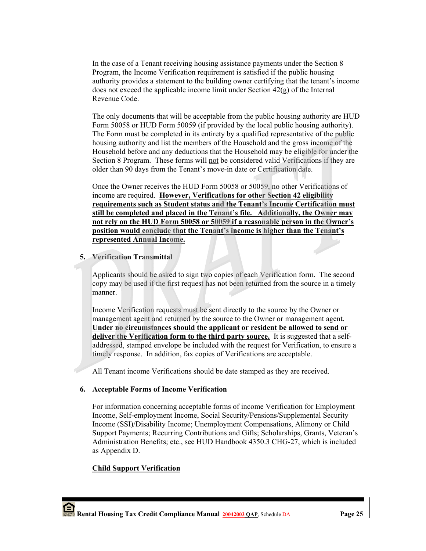In the case of a Tenant receiving housing assistance payments under the Section 8 Program, the Income Verification requirement is satisfied if the public housing authority provides a statement to the building owner certifying that the tenant's income does not exceed the applicable income limit under Section  $42(g)$  of the Internal Revenue Code.

The only documents that will be acceptable from the public housing authority are HUD Form 50058 or HUD Form 50059 (if provided by the local public housing authority). The Form must be completed in its entirety by a qualified representative of the public housing authority and list the members of the Household and the gross income of the Household before and any deductions that the Household may be eligible for under the Section 8 Program. These forms will not be considered valid Verifications if they are older than 90 days from the Tenant's move-in date or Certification date.

Once the Owner receives the HUD Form 50058 or 50059, no other Verifications of income are required. **However, Verifications for other Section 42 eligibility requirements such as Student status and the Tenant's Income Certification must still be completed and placed in the Tenant's file. Additionally, the Owner may not rely on the HUD Form 50058 or 50059 if a reasonable person in the Owner's position would conclude that the Tenant's income is higher than the Tenant's represented Annual Income.**

#### **5. Verification Transmittal**

Applicants should be asked to sign two copies of each Verification form. The second copy may be used if the first request has not been returned from the source in a timely manner.

Income Verification requests must be sent directly to the source by the Owner or management agent and returned by the source to the Owner or management agent. **Under no circumstances should the applicant or resident be allowed to send or deliver the Verification form to the third party source.** It is suggested that a selfaddressed, stamped envelope be included with the request for Verification, to ensure a timely response. In addition, fax copies of Verifications are acceptable.

All Tenant income Verifications should be date stamped as they are received.

### **6. Acceptable Forms of Income Verification**

For information concerning acceptable forms of income Verification for Employment Income, Self-employment Income, Social Security/Pensions/Supplemental Security Income (SSI)/Disability Income; Unemployment Compensations, Alimony or Child Support Payments; Recurring Contributions and Gifts; Scholarships, Grants, Veteran's Administration Benefits; etc., see HUD Handbook 4350.3 CHG-27, which is included as Appendix D.

### **Child Support Verification**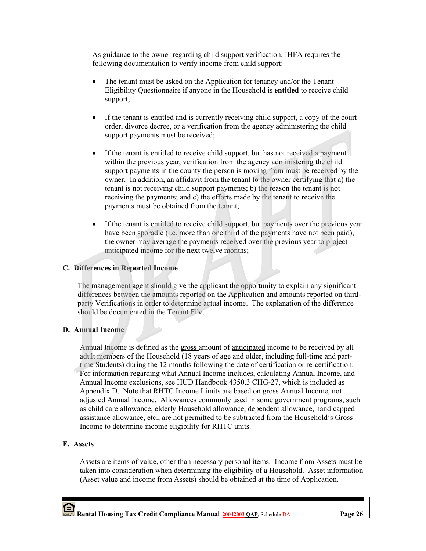As guidance to the owner regarding child support verification, IHFA requires the following documentation to verify income from child support:

- The tenant must be asked on the Application for tenancy and/or the Tenant Eligibility Questionnaire if anyone in the Household is **entitled** to receive child support;
- If the tenant is entitled and is currently receiving child support, a copy of the court order, divorce decree, or a verification from the agency administering the child support payments must be received;
- If the tenant is entitled to receive child support, but has not received a payment within the previous year, verification from the agency administering the child support payments in the county the person is moving from must be received by the owner. In addition, an affidavit from the tenant to the owner certifying that a) the tenant is not receiving child support payments; b) the reason the tenant is not receiving the payments; and c) the efforts made by the tenant to receive the payments must be obtained from the tenant;
- If the tenant is entitled to receive child support, but payments over the previous year have been sporadic (i.e. more than one third of the payments have not been paid), the owner may average the payments received over the previous year to project anticipated income for the next twelve months;

#### **C. Differences in Reported Income**

The management agent should give the applicant the opportunity to explain any significant differences between the amounts reported on the Application and amounts reported on thirdparty Verifications in order to determine actual income. The explanation of the difference should be documented in the Tenant File.

#### **D. Annual Income**

Annual Income is defined as the gross amount of anticipated income to be received by all adult members of the Household (18 years of age and older, including full-time and parttime Students) during the 12 months following the date of certification or re-certification. For information regarding what Annual Income includes, calculating Annual Income, and Annual Income exclusions, see HUD Handbook 4350.3 CHG-27, which is included as Appendix D. Note that RHTC Income Limits are based on gross Annual Income, not adjusted Annual Income. Allowances commonly used in some government programs, such as child care allowance, elderly Household allowance, dependent allowance, handicapped assistance allowance, etc., are not permitted to be subtracted from the Household's Gross Income to determine income eligibility for RHTC units.

### **E. Assets**

Assets are items of value, other than necessary personal items. Income from Assets must be taken into consideration when determining the eligibility of a Household. Asset information (Asset value and income from Assets) should be obtained at the time of Application.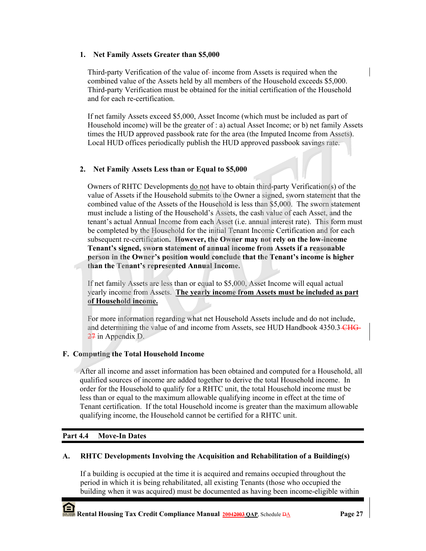#### **1. Net Family Assets Greater than \$5,000**

Third-party Verification of the value of income from Assets is required when the combined value of the Assets held by all members of the Household exceeds \$5,000. Third-party Verification must be obtained for the initial certification of the Household and for each re-certification.

If net family Assets exceed \$5,000, Asset Income (which must be included as part of Household income) will be the greater of : a) actual Asset Income; or b) net family Assets times the HUD approved passbook rate for the area (the Imputed Income from Assets). Local HUD offices periodically publish the HUD approved passbook savings rate.

### **2. Net Family Assets Less than or Equal to \$5,000**

Owners of RHTC Developments do not have to obtain third-party Verification(s) of the value of Assets if the Household submits to the Owner a signed, sworn statement that the combined value of the Assets of the Household is less than \$5,000. The sworn statement must include a listing of the Household's Assets, the cash value of each Asset, and the tenant's actual Annual Income from each Asset (i.e. annual interest rate). This form must be completed by the Household for the initial Tenant Income Certification and for each subsequent re-certification**. However, the Owner may not rely on the low-income Tenant's signed, sworn statement of annual income from Assets if a reasonable person in the Owner's position would conclude that the Tenant's income is higher than the Tenant's represented Annual Income.** 

If net family Assets are less than or equal to \$5,000, Asset Income will equal actual yearly income from Assets. **The yearly income from Assets must be included as part of Household income.**

For more information regarding what net Household Assets include and do not include, and determining the value of and income from Assets, see HUD Handbook 4350.3 CHG-27 in Appendix D.

### **F. Computing the Total Household Income**

After all income and asset information has been obtained and computed for a Household, all qualified sources of income are added together to derive the total Household income. In order for the Household to qualify for a RHTC unit, the total Household income must be less than or equal to the maximum allowable qualifying income in effect at the time of Tenant certification. If the total Household income is greater than the maximum allowable qualifying income, the Household cannot be certified for a RHTC unit.

### **Part 4.4 Move-In Dates**

#### **A. RHTC Developments Involving the Acquisition and Rehabilitation of a Building(s)**

If a building is occupied at the time it is acquired and remains occupied throughout the period in which it is being rehabilitated, all existing Tenants (those who occupied the building when it was acquired) must be documented as having been income-eligible within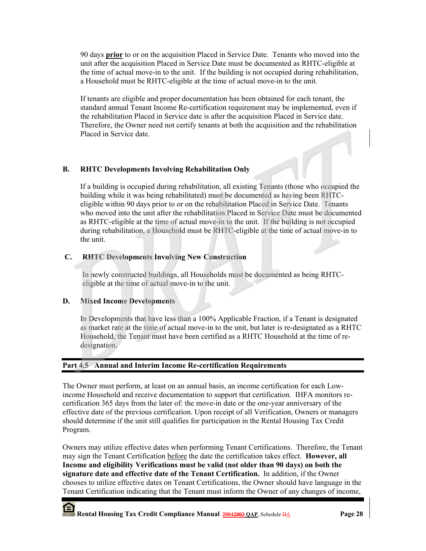90 days **prior** to or on the acquisition Placed in Service Date. Tenants who moved into the unit after the acquisition Placed in Service Date must be documented as RHTC-eligible at the time of actual move-in to the unit. If the building is not occupied during rehabilitation, a Household must be RHTC-eligible at the time of actual move-in to the unit.

If tenants are eligible and proper documentation has been obtained for each tenant, the standard annual Tenant Income Re-certification requirement may be implemented, even if the rehabilitation Placed in Service date is after the acquisition Placed in Service date. Therefore, the Owner need not certify tenants at both the acquisition and the rehabilitation Placed in Service date.

# **B. RHTC Developments Involving Rehabilitation Only**

If a building is occupied during rehabilitation, all existing Tenants (those who occupied the building while it was being rehabilitated) must be documented as having been RHTCeligible within 90 days prior to or on the rehabilitation Placed in Service Date. Tenants who moved into the unit after the rehabilitation Placed in Service Date must be documented as RHTC-eligible at the time of actual move-in to the unit. If the building is not occupied during rehabilitation, a Household must be RHTC-eligible at the time of actual move-in to the unit.

### **C. RHTC Developments Involving New Construction**

In newly constructed buildings, all Households must be documented as being RHTCeligible at the time of actual move-in to the unit.

### **D. Mixed Income Developments**

In Developments that have less than a 100% Applicable Fraction, if a Tenant is designated as market rate at the time of actual move-in to the unit, but later is re-designated as a RHTC Household, the Tenant must have been certified as a RHTC Household at the time of redesignation.

# **Part 4.5 Annual and Interim Income Re-certification Requirements**

The Owner must perform, at least on an annual basis, an income certification for each Lowincome Household and receive documentation to support that certification. IHFA monitors recertification 365 days from the later of: the move-in date or the one-year anniversary of the effective date of the previous certification. Upon receipt of all Verification, Owners or managers should determine if the unit still qualifies for participation in the Rental Housing Tax Credit Program.

Owners may utilize effective dates when performing Tenant Certifications. Therefore, the Tenant may sign the Tenant Certification before the date the certification takes effect. **However, all Income and eligibility Verifications must be valid (not older than 90 days) on both the signature date and effective date of the Tenant Certification.** In addition, if the Owner chooses to utilize effective dates on Tenant Certifications, the Owner should have language in the Tenant Certification indicating that the Tenant must inform the Owner of any changes of income,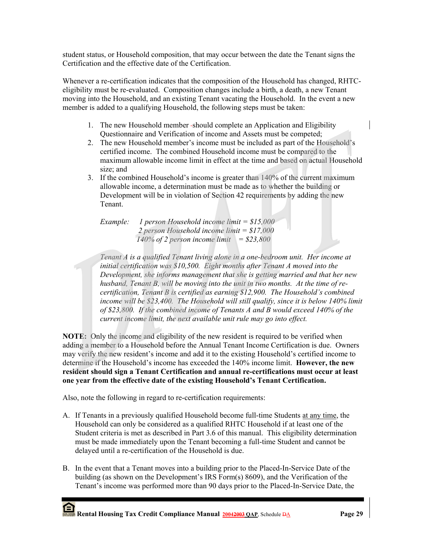student status, or Household composition, that may occur between the date the Tenant signs the Certification and the effective date of the Certification.

Whenever a re-certification indicates that the composition of the Household has changed, RHTCeligibility must be re-evaluated. Composition changes include a birth, a death, a new Tenant moving into the Household, and an existing Tenant vacating the Household. In the event a new member is added to a qualifying Household, the following steps must be taken:

- 1. The new Household member should complete an Application and Eligibility Questionnaire and Verification of income and Assets must be competed;
- 2. The new Household member's income must be included as part of the Household's certified income. The combined Household income must be compared to the maximum allowable income limit in effect at the time and based on actual Household size; and
- 3. If the combined Household's income is greater than 140% of the current maximum allowable income, a determination must be made as to whether the building or Development will be in violation of Section 42 requirements by adding the new Tenant.
	- *Example: 1 person Household income limit = \$15,000 2 person Household income limit = \$17,000 140% of 2 person income limit = \$23,800*

*Tenant A is a qualified Tenant living alone in a one-bedroom unit. Her income at initial certification was \$10,500. Eight months after Tenant A moved into the Development, she informs management that she is getting married and that her new husband, Tenant B, will be moving into the unit in two months. At the time of recertification, Tenant B is certified as earning \$12,900. The Household's combined income will be \$23,400. The Household will still qualify, since it is below 140% limit of \$23,800. If the combined income of Tenants A and B would exceed 140% of the current income limit, the next available unit rule may go into effect.* 

**NOTE:** Only the income and eligibility of the new resident is required to be verified when adding a member to a Household before the Annual Tenant Income Certification is due. Owners may verify the new resident's income and add it to the existing Household's certified income to determine if the Household's income has exceeded the 140% income limit. **However, the new resident should sign a Tenant Certification and annual re-certifications must occur at least one year from the effective date of the existing Household's Tenant Certification.** 

Also, note the following in regard to re-certification requirements:

- A. If Tenants in a previously qualified Household become full-time Students at any time, the Household can only be considered as a qualified RHTC Household if at least one of the Student criteria is met as described in Part 3.6 of this manual. This eligibility determination must be made immediately upon the Tenant becoming a full-time Student and cannot be delayed until a re-certification of the Household is due.
- B. In the event that a Tenant moves into a building prior to the Placed-In-Service Date of the building (as shown on the Development's IRS Form(s) 8609), and the Verification of the Tenant's income was performed more than 90 days prior to the Placed-In-Service Date, the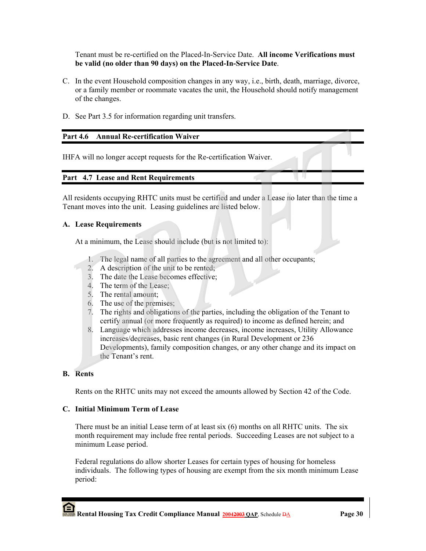Tenant must be re-certified on the Placed-In-Service Date. **All income Verifications must be valid (no older than 90 days) on the Placed-In-Service Date**.

- C. In the event Household composition changes in any way, i.e., birth, death, marriage, divorce, or a family member or roommate vacates the unit, the Household should notify management of the changes.
- D. See Part 3.5 for information regarding unit transfers.

#### **Part 4.6 Annual Re-certification Waiver**

IHFA will no longer accept requests for the Re-certification Waiver.

#### **Part 4.7 Lease and Rent Requirements**

All residents occupying RHTC units must be certified and under a Lease no later than the time a Tenant moves into the unit. Leasing guidelines are listed below.

#### **A. Lease Requirements**

At a minimum, the Lease should include (but is not limited to):

- 1. The legal name of all parties to the agreement and all other occupants;
- 2. A description of the unit to be rented;
- 3. The date the Lease becomes effective;
- 4. The term of the Lease;
- 5. The rental amount;
- 6. The use of the premises;
- 7. The rights and obligations of the parties, including the obligation of the Tenant to certify annual (or more frequently as required) to income as defined herein; and
- 8. Language which addresses income decreases, income increases, Utility Allowance increases/decreases, basic rent changes (in Rural Development or 236 Developments), family composition changes, or any other change and its impact on the Tenant's rent.

### **B. Rents**

Rents on the RHTC units may not exceed the amounts allowed by Section 42 of the Code.

#### **C. Initial Minimum Term of Lease**

There must be an initial Lease term of at least six (6) months on all RHTC units. The six month requirement may include free rental periods. Succeeding Leases are not subject to a minimum Lease period.

Federal regulations do allow shorter Leases for certain types of housing for homeless individuals. The following types of housing are exempt from the six month minimum Lease period: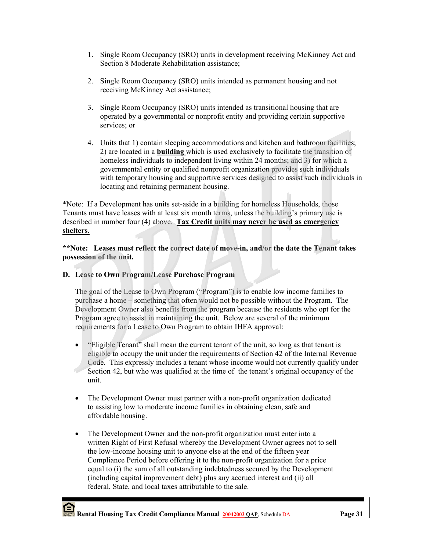- 1. Single Room Occupancy (SRO) units in development receiving McKinney Act and Section 8 Moderate Rehabilitation assistance;
- 2. Single Room Occupancy (SRO) units intended as permanent housing and not receiving McKinney Act assistance;
- 3. Single Room Occupancy (SRO) units intended as transitional housing that are operated by a governmental or nonprofit entity and providing certain supportive services; or
- 4. Units that 1) contain sleeping accommodations and kitchen and bathroom facilities; 2) are located in a **building** which is used exclusively to facilitate the transition of homeless individuals to independent living within 24 months; and 3) for which a governmental entity or qualified nonprofit organization provides such individuals with temporary housing and supportive services designed to assist such individuals in locating and retaining permanent housing.

\*Note: If a Development has units set-aside in a building for homeless Households, those Tenants must have leases with at least six month terms, unless the building's primary use is described in number four (4) above. **Tax Credit units may never be used as emergency shelters.**

**\*\*Note: Leases must reflect the correct date of move-in, and/or the date the Tenant takes possession of the unit.** 

#### **D. Lease to Own Program/Lease Purchase Program**

The goal of the Lease to Own Program ("Program") is to enable low income families to purchase a home – something that often would not be possible without the Program. The Development Owner also benefits from the program because the residents who opt for the Program agree to assist in maintaining the unit. Below are several of the minimum requirements for a Lease to Own Program to obtain IHFA approval:

- "Eligible Tenant" shall mean the current tenant of the unit, so long as that tenant is eligible to occupy the unit under the requirements of Section 42 of the Internal Revenue Code. This expressly includes a tenant whose income would not currently qualify under Section 42, but who was qualified at the time of the tenant's original occupancy of the unit.
- The Development Owner must partner with a non-profit organization dedicated to assisting low to moderate income families in obtaining clean, safe and affordable housing.
- The Development Owner and the non-profit organization must enter into a written Right of First Refusal whereby the Development Owner agrees not to sell the low-income housing unit to anyone else at the end of the fifteen year Compliance Period before offering it to the non-profit organization for a price equal to (i) the sum of all outstanding indebtedness secured by the Development (including capital improvement debt) plus any accrued interest and (ii) all federal, State, and local taxes attributable to the sale.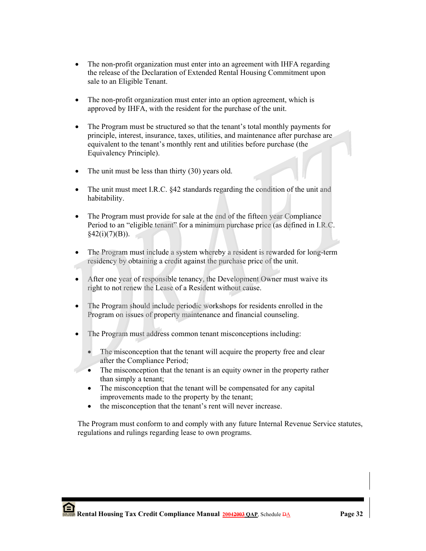- The non-profit organization must enter into an agreement with IHFA regarding the release of the Declaration of Extended Rental Housing Commitment upon sale to an Eligible Tenant.
- The non-profit organization must enter into an option agreement, which is approved by IHFA, with the resident for the purchase of the unit.
- The Program must be structured so that the tenant's total monthly payments for principle, interest, insurance, taxes, utilities, and maintenance after purchase are equivalent to the tenant's monthly rent and utilities before purchase (the Equivalency Principle).
- The unit must be less than thirty (30) years old.
- The unit must meet I.R.C. §42 standards regarding the condition of the unit and habitability.
- The Program must provide for sale at the end of the fifteen year Compliance Period to an "eligible tenant" for a minimum purchase price (as defined in I.R.C.  $\frac{242(i)(7)(B)}{B}$ .
- The Program must include a system whereby a resident is rewarded for long-term residency by obtaining a credit against the purchase price of the unit.
- After one year of responsible tenancy, the Development Owner must waive its right to not renew the Lease of a Resident without cause.
- The Program should include periodic workshops for residents enrolled in the Program on issues of property maintenance and financial counseling.
- The Program must address common tenant misconceptions including:
	- The misconception that the tenant will acquire the property free and clear after the Compliance Period;
	- The misconception that the tenant is an equity owner in the property rather than simply a tenant;
	- The misconception that the tenant will be compensated for any capital improvements made to the property by the tenant;
	- the misconception that the tenant's rent will never increase.

The Program must conform to and comply with any future Internal Revenue Service statutes, regulations and rulings regarding lease to own programs.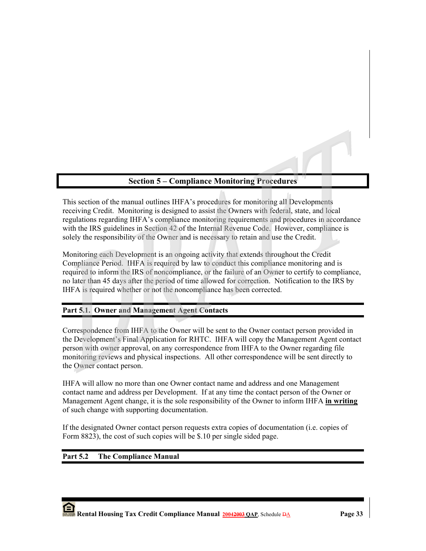# **Section 5 – Compliance Monitoring Procedures**

This section of the manual outlines IHFA's procedures for monitoring all Developments receiving Credit. Monitoring is designed to assist the Owners with federal, state, and local regulations regarding IHFA's compliance monitoring requirements and procedures in accordance with the IRS guidelines in Section 42 of the Internal Revenue Code. However, compliance is solely the responsibility of the Owner and is necessary to retain and use the Credit.

Monitoring each Development is an ongoing activity that extends throughout the Credit Compliance Period. IHFA is required by law to conduct this compliance monitoring and is required to inform the IRS of noncompliance, or the failure of an Owner to certify to compliance, no later than 45 days after the period of time allowed for correction. Notification to the IRS by IHFA is required whether or not the noncompliance has been corrected.

# **Part 5.1. Owner and Management Agent Contacts**

Correspondence from IHFA to the Owner will be sent to the Owner contact person provided in the Development's Final Application for RHTC. IHFA will copy the Management Agent contact person with owner approval, on any correspondence from IHFA to the Owner regarding file monitoring reviews and physical inspections. All other correspondence will be sent directly to the Owner contact person.

IHFA will allow no more than one Owner contact name and address and one Management contact name and address per Development. If at any time the contact person of the Owner or Management Agent change, it is the sole responsibility of the Owner to inform IHFA **in writing** of such change with supporting documentation.

If the designated Owner contact person requests extra copies of documentation (i.e. copies of Form 8823), the cost of such copies will be \$.10 per single sided page.

# **Part 5.2 The Compliance Manual**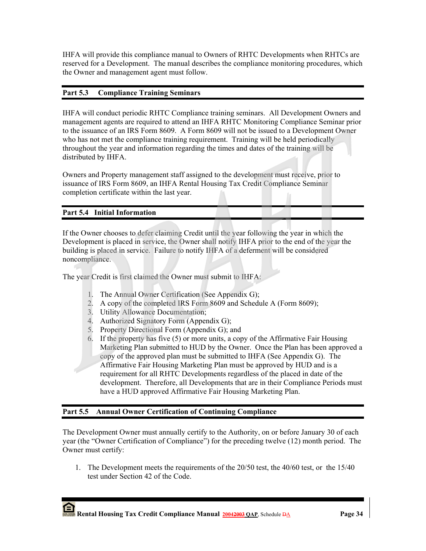IHFA will provide this compliance manual to Owners of RHTC Developments when RHTCs are reserved for a Development. The manual describes the compliance monitoring procedures, which the Owner and management agent must follow.

### **Part 5.3 Compliance Training Seminars**

IHFA will conduct periodic RHTC Compliance training seminars. All Development Owners and management agents are required to attend an IHFA RHTC Monitoring Compliance Seminar prior to the issuance of an IRS Form 8609. A Form 8609 will not be issued to a Development Owner who has not met the compliance training requirement. Training will be held periodically throughout the year and information regarding the times and dates of the training will be distributed by IHFA.

Owners and Property management staff assigned to the development must receive, prior to issuance of IRS Form 8609, an IHFA Rental Housing Tax Credit Compliance Seminar completion certificate within the last year.

# **Part 5.4 Initial Information**

If the Owner chooses to defer claiming Credit until the year following the year in which the Development is placed in service, the Owner shall notify IHFA prior to the end of the year the building is placed in service. Failure to notify IHFA of a deferment will be considered noncompliance.

The year Credit is first claimed the Owner must submit to IHFA:

- 1. The Annual Owner Certification (See Appendix G);
- 2. A copy of the completed IRS Form 8609 and Schedule A (Form 8609);
- 3. Utility Allowance Documentation;
- 4. Authorized Signatory Form (Appendix G);
- 5. Property Directional Form (Appendix G); and
- 6. If the property has five (5) or more units, a copy of the Affirmative Fair Housing Marketing Plan submitted to HUD by the Owner. Once the Plan has been approved a copy of the approved plan must be submitted to IHFA (See Appendix G). The Affirmative Fair Housing Marketing Plan must be approved by HUD and is a requirement for all RHTC Developments regardless of the placed in date of the development. Therefore, all Developments that are in their Compliance Periods must have a HUD approved Affirmative Fair Housing Marketing Plan.

# **Part 5.5 Annual Owner Certification of Continuing Compliance**

The Development Owner must annually certify to the Authority, on or before January 30 of each year (the "Owner Certification of Compliance") for the preceding twelve (12) month period. The Owner must certify:

1. The Development meets the requirements of the 20/50 test, the 40/60 test, or the 15/40 test under Section 42 of the Code.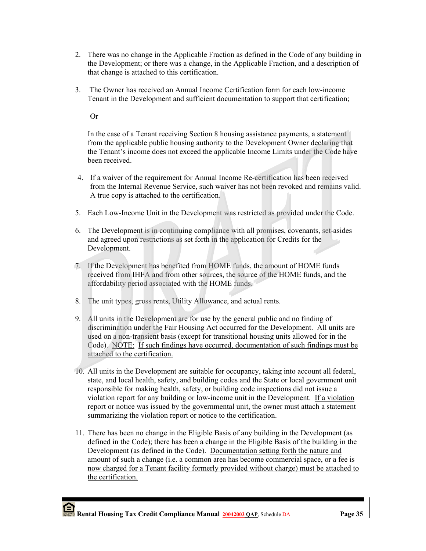- 2. There was no change in the Applicable Fraction as defined in the Code of any building in the Development; or there was a change, in the Applicable Fraction, and a description of that change is attached to this certification.
- 3. The Owner has received an Annual Income Certification form for each low-income Tenant in the Development and sufficient documentation to support that certification;

Or

In the case of a Tenant receiving Section 8 housing assistance payments, a statement from the applicable public housing authority to the Development Owner declaring that the Tenant's income does not exceed the applicable Income Limits under the Code have been received.

- 4. If a waiver of the requirement for Annual Income Re-certification has been received from the Internal Revenue Service, such waiver has not been revoked and remains valid. A true copy is attached to the certification.
- 5. Each Low-Income Unit in the Development was restricted as provided under the Code.
- 6. The Development is in continuing compliance with all promises, covenants, set-asides and agreed upon restrictions as set forth in the application for Credits for the Development.
- 7. If the Development has benefited from HOME funds, the amount of HOME funds received from IHFA and from other sources, the source of the HOME funds, and the affordability period associated with the HOME funds.
- 8. The unit types, gross rents, Utility Allowance, and actual rents.
- 9. All units in the Development are for use by the general public and no finding of discrimination under the Fair Housing Act occurred for the Development. All units are used on a non-transient basis (except for transitional housing units allowed for in the Code). NOTE: If such findings have occurred, documentation of such findings must be attached to the certification.
- 10. All units in the Development are suitable for occupancy, taking into account all federal, state, and local health, safety, and building codes and the State or local government unit responsible for making health, safety, or building code inspections did not issue a violation report for any building or low-income unit in the Development. If a violation report or notice was issued by the governmental unit, the owner must attach a statement summarizing the violation report or notice to the certification.
- 11. There has been no change in the Eligible Basis of any building in the Development (as defined in the Code); there has been a change in the Eligible Basis of the building in the Development (as defined in the Code). Documentation setting forth the nature and amount of such a change (i.e. a common area has become commercial space, or a fee is now charged for a Tenant facility formerly provided without charge) must be attached to the certification.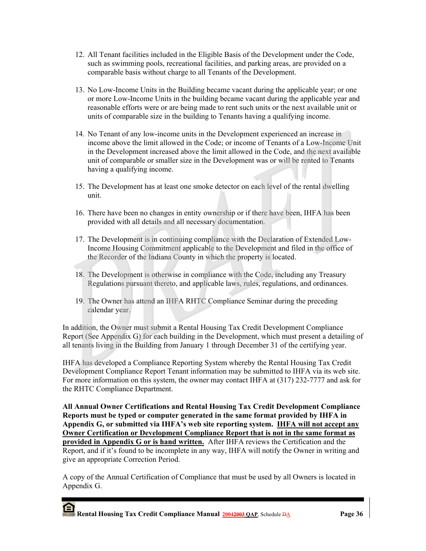- 12. All Tenant facilities included in the Eligible Basis of the Development under the Code, such as swimming pools, recreational facilities, and parking areas, are provided on a comparable basis without charge to all Tenants of the Development.
- 13. No Low-Income Units in the Building became vacant during the applicable year; or one or more Low-Income Units in the building became vacant during the applicable year and reasonable efforts were or are being made to rent such units or the next available unit or units of comparable size in the building to Tenants having a qualifying income.
- 14. No Tenant of any low-income units in the Development experienced an increase in income above the limit allowed in the Code; or income of Tenants of a Low-Income Unit in the Development increased above the limit allowed in the Code, and the next available unit of comparable or smaller size in the Development was or will be rented to Tenants having a qualifying income.
- 15. The Development has at least one smoke detector on each level of the rental dwelling unit.
- 16. There have been no changes in entity ownership or if there have been, IHFA has been provided with all details and all necessary documentation.
- 17. The Development is in continuing compliance with the Declaration of Extended Low-Income Housing Commitment applicable to the Development and filed in the office of the Recorder of the Indiana County in which the property is located.
- 18. The Development is otherwise in compliance with the Code, including any Treasury Regulations pursuant thereto, and applicable laws, rules, regulations, and ordinances.
- 19. The Owner has attend an IHFA RHTC Compliance Seminar during the preceding calendar year.

In addition, the Owner must submit a Rental Housing Tax Credit Development Compliance Report (See Appendix G) for each building in the Development, which must present a detailing of all tenants living in the Building from January 1 through December 31 of the certifying year.

IHFA has developed a Compliance Reporting System whereby the Rental Housing Tax Credit Development Compliance Report Tenant information may be submitted to IHFA via its web site. For more information on this system, the owner may contact IHFA at (317) 232-7777 and ask for the RHTC Compliance Department.

**All Annual Owner Certifications and Rental Housing Tax Credit Development Compliance Reports must be typed or computer generated in the same format provided by IHFA in Appendix G, or submitted via IHFA's web site reporting system. IHFA will not accept any Owner Certification or Development Compliance Report that is not in the same format as provided in Appendix G or is hand written.** After IHFA reviews the Certification and the Report, and if it's found to be incomplete in any way, IHFA will notify the Owner in writing and give an appropriate Correction Period.

A copy of the Annual Certification of Compliance that must be used by all Owners is located in Appendix G.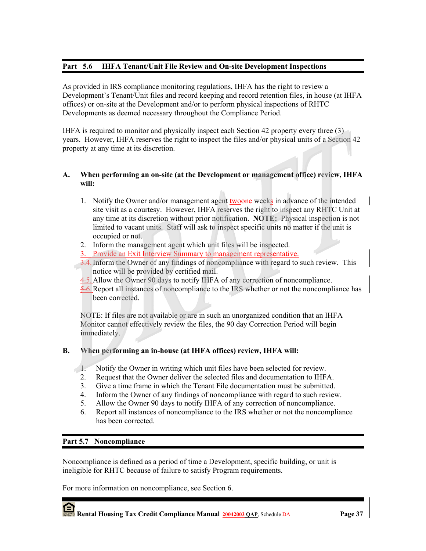# **Part 5.6 IHFA Tenant/Unit File Review and On-site Development Inspections**

As provided in IRS compliance monitoring regulations, IHFA has the right to review a Development's Tenant/Unit files and record keeping and record retention files, in house (at IHFA offices) or on-site at the Development and/or to perform physical inspections of RHTC Developments as deemed necessary throughout the Compliance Period.

IHFA is required to monitor and physically inspect each Section 42 property every three (3) years. However, IHFA reserves the right to inspect the files and/or physical units of a Section 42 property at any time at its discretion.

## **A. When performing an on-site (at the Development or management office) review, IHFA will:**

- 1. Notify the Owner and/or management agent twoone weeks in advance of the intended site visit as a courtesy. However, IHFA reserves the right to inspect any RHTC Unit at any time at its discretion without prior notification. **NOTE:** Physical inspection is not limited to vacant units. Staff will ask to inspect specific units no matter if the unit is occupied or not.
- 2. Inform the management agent which unit files will be inspected.
- 3. Provide an Exit Interview Summary to management representative.
- 3.4. Inform the Owner of any findings of noncompliance with regard to such review. This notice will be provided by certified mail.
- 4.5. Allow the Owner 90 days to notify IHFA of any correction of noncompliance.
- 5.6. Report all instances of noncompliance to the IRS whether or not the noncompliance has been corrected.

NOTE: If files are not available or are in such an unorganized condition that an IHFA Monitor cannot effectively review the files, the 90 day Correction Period will begin immediately.

# **B. When performing an in-house (at IHFA offices) review, IHFA will:**

- 1. Notify the Owner in writing which unit files have been selected for review.
	- 2. Request that the Owner deliver the selected files and documentation to IHFA.
	- 3. Give a time frame in which the Tenant File documentation must be submitted.
	- 4. Inform the Owner of any findings of noncompliance with regard to such review.
	- 5. Allow the Owner 90 days to notify IHFA of any correction of noncompliance.
	- 6. Report all instances of noncompliance to the IRS whether or not the noncompliance has been corrected.

## **Part 5.7 Noncompliance**

Noncompliance is defined as a period of time a Development, specific building, or unit is ineligible for RHTC because of failure to satisfy Program requirements.

For more information on noncompliance, see Section 6.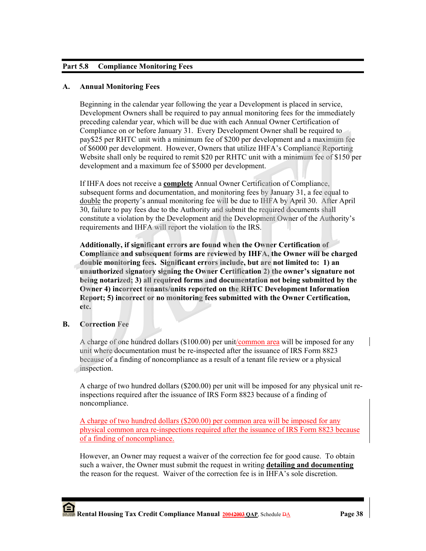# **Part 5.8 Compliance Monitoring Fees**

## **A. Annual Monitoring Fees**

Beginning in the calendar year following the year a Development is placed in service, Development Owners shall be required to pay annual monitoring fees for the immediately preceding calendar year, which will be due with each Annual Owner Certification of Compliance on or before January 31. Every Development Owner shall be required to pay\$25 per RHTC unit with a minimum fee of \$200 per development and a maximum fee of \$6000 per development. However, Owners that utilize IHFA's Compliance Reporting Website shall only be required to remit \$20 per RHTC unit with a minimum fee of \$150 per development and a maximum fee of \$5000 per development.

If IHFA does not receive a **complete** Annual Owner Certification of Compliance, subsequent forms and documentation, and monitoring fees by January 31, a fee equal to double the property's annual monitoring fee will be due to IHFA by April 30. After April 30, failure to pay fees due to the Authority and submit the required documents shall constitute a violation by the Development and the Development Owner of the Authority's requirements and IHFA will report the violation to the IRS.

**Additionally, if significant errors are found when the Owner Certification of Compliance and subsequent forms are reviewed by IHFA, the Owner will be charged double monitoring fees. Significant errors include, but are not limited to: 1) an unauthorized signatory signing the Owner Certification 2) the owner's signature not being notarized; 3) all required forms and documentation not being submitted by the Owner 4) incorrect tenants/units reported on the RHTC Development Information Report; 5) incorrect or no monitoring fees submitted with the Owner Certification, etc.** 

## **B. Correction Fee**

A charge of one hundred dollars (\$100.00) per unit/common area will be imposed for any unit where documentation must be re-inspected after the issuance of IRS Form 8823 because of a finding of noncompliance as a result of a tenant file review or a physical inspection.

A charge of two hundred dollars (\$200.00) per unit will be imposed for any physical unit reinspections required after the issuance of IRS Form 8823 because of a finding of noncompliance.

A charge of two hundred dollars (\$200.00) per common area will be imposed for any physical common area re-inspections required after the issuance of IRS Form 8823 because of a finding of noncompliance.

However, an Owner may request a waiver of the correction fee for good cause. To obtain such a waiver, the Owner must submit the request in writing **detailing and documenting** the reason for the request. Waiver of the correction fee is in IHFA's sole discretion.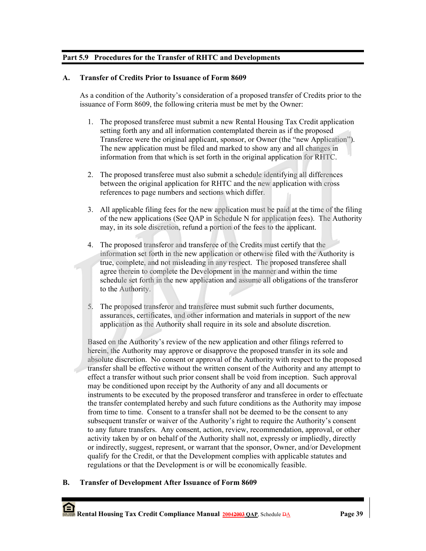# **Part 5.9 Procedures for the Transfer of RHTC and Developments**

### **A. Transfer of Credits Prior to Issuance of Form 8609**

As a condition of the Authority's consideration of a proposed transfer of Credits prior to the issuance of Form 8609, the following criteria must be met by the Owner:

- 1. The proposed transferee must submit a new Rental Housing Tax Credit application setting forth any and all information contemplated therein as if the proposed Transferee were the original applicant, sponsor, or Owner (the "new Application"). The new application must be filed and marked to show any and all changes in information from that which is set forth in the original application for RHTC.
- 2. The proposed transferee must also submit a schedule identifying all differences between the original application for RHTC and the new application with cross references to page numbers and sections which differ.
- 3. All applicable filing fees for the new application must be paid at the time of the filing of the new applications (See QAP in Schedule N for application fees). The Authority may, in its sole discretion, refund a portion of the fees to the applicant.
- 4. The proposed transferor and transferee of the Credits must certify that the information set forth in the new application or otherwise filed with the Authority is true, complete, and not misleading in any respect. The proposed transferee shall agree therein to complete the Development in the manner and within the time schedule set forth in the new application and assume all obligations of the transferor to the Authority.
- 5. The proposed transferor and transferee must submit such further documents, assurances, certificates, and other information and materials in support of the new application as the Authority shall require in its sole and absolute discretion.

Based on the Authority's review of the new application and other filings referred to herein, the Authority may approve or disapprove the proposed transfer in its sole and absolute discretion. No consent or approval of the Authority with respect to the proposed transfer shall be effective without the written consent of the Authority and any attempt to effect a transfer without such prior consent shall be void from inception. Such approval may be conditioned upon receipt by the Authority of any and all documents or instruments to be executed by the proposed transferor and transferee in order to effectuate the transfer contemplated hereby and such future conditions as the Authority may impose from time to time. Consent to a transfer shall not be deemed to be the consent to any subsequent transfer or waiver of the Authority's right to require the Authority's consent to any future transfers. Any consent, action, review, recommendation, approval, or other activity taken by or on behalf of the Authority shall not, expressly or impliedly, directly or indirectly, suggest, represent, or warrant that the sponsor, Owner, and/or Development qualify for the Credit, or that the Development complies with applicable statutes and regulations or that the Development is or will be economically feasible.

## **B. Transfer of Development After Issuance of Form 8609**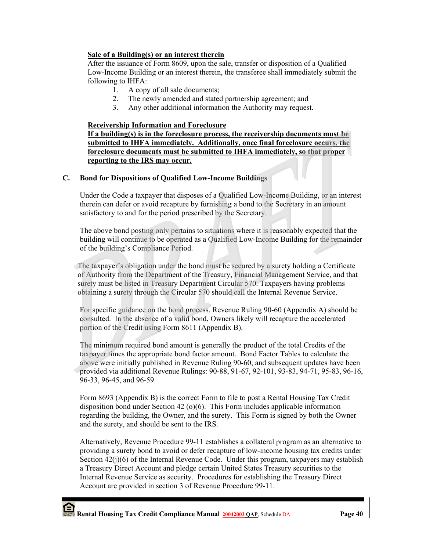# **Sale of a Building(s) or an interest therein**

After the issuance of Form 8609, upon the sale, transfer or disposition of a Qualified Low-Income Building or an interest therein, the transferee shall immediately submit the following to IHFA:

- 1. A copy of all sale documents;
- 2. The newly amended and stated partnership agreement; and
- 3. Any other additional information the Authority may request.

#### **Receivership Information and Foreclosure**

**If a building(s) is in the foreclosure process, the receivership documents must be submitted to IHFA immediately. Additionally, once final foreclosure occurs, the foreclosure documents must be submitted to IHFA immediately, so that proper reporting to the IRS may occur.**

## **C. Bond for Dispositions of Qualified Low-Income Buildings**

Under the Code a taxpayer that disposes of a Qualified Low-Income Building, or an interest therein can defer or avoid recapture by furnishing a bond to the Secretary in an amount satisfactory to and for the period prescribed by the Secretary.

The above bond posting only pertains to situations where it is reasonably expected that the building will continue to be operated as a Qualified Low-Income Building for the remainder of the building's Compliance Period.

The taxpayer's obligation under the bond must be secured by a surety holding a Certificate of Authority from the Department of the Treasury, Financial Management Service, and that surety must be listed in Treasury Department Circular 570. Taxpayers having problems obtaining a surety through the Circular 570 should call the Internal Revenue Service.

For specific guidance on the bond process, Revenue Ruling 90-60 (Appendix A) should be consulted. In the absence of a valid bond, Owners likely will recapture the accelerated portion of the Credit using Form 8611 (Appendix B).

The minimum required bond amount is generally the product of the total Credits of the taxpayer times the appropriate bond factor amount. Bond Factor Tables to calculate the above were initially published in Revenue Ruling 90-60, and subsequent updates have been provided via additional Revenue Rulings: 90-88, 91-67, 92-101, 93-83, 94-71, 95-83, 96-16, 96-33, 96-45, and 96-59.

Form 8693 (Appendix B) is the correct Form to file to post a Rental Housing Tax Credit disposition bond under Section 42 ( $o$ )(6). This Form includes applicable information regarding the building, the Owner, and the surety. This Form is signed by both the Owner and the surety, and should be sent to the IRS.

Alternatively, Revenue Procedure 99-11 establishes a collateral program as an alternative to providing a surety bond to avoid or defer recapture of low-income housing tax credits under Section  $42(i)(6)$  of the Internal Revenue Code. Under this program, taxpayers may establish a Treasury Direct Account and pledge certain United States Treasury securities to the Internal Revenue Service as security. Procedures for establishing the Treasury Direct Account are provided in section 3 of Revenue Procedure 99-11.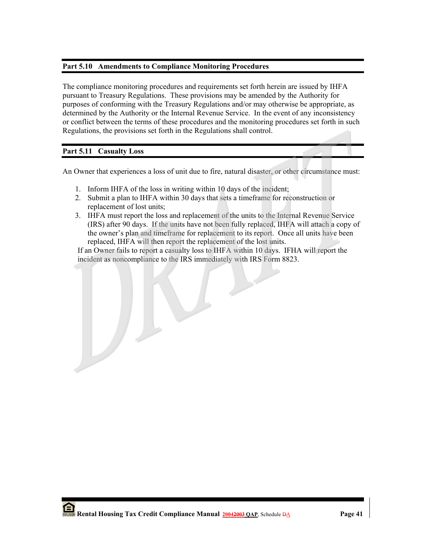# **Part 5.10 Amendments to Compliance Monitoring Procedures**

The compliance monitoring procedures and requirements set forth herein are issued by IHFA pursuant to Treasury Regulations. These provisions may be amended by the Authority for purposes of conforming with the Treasury Regulations and/or may otherwise be appropriate, as determined by the Authority or the Internal Revenue Service. In the event of any inconsistency or conflict between the terms of these procedures and the monitoring procedures set forth in such Regulations, the provisions set forth in the Regulations shall control.

# **Part 5.11 Casualty Loss**

An Owner that experiences a loss of unit due to fire, natural disaster, or other circumstance must:

- 1. Inform IHFA of the loss in writing within 10 days of the incident;
- 2. Submit a plan to IHFA within 30 days that sets a timeframe for reconstruction or replacement of lost units;
- 3. IHFA must report the loss and replacement of the units to the Internal Revenue Service (IRS) after 90 days. If the units have not been fully replaced, IHFA will attach a copy of the owner's plan and timeframe for replacement to its report. Once all units have been replaced, IHFA will then report the replacement of the lost units.

If an Owner fails to report a casualty loss to IHFA within 10 days. IFHA will report the incident as noncompliance to the IRS immediately with IRS Form 8823.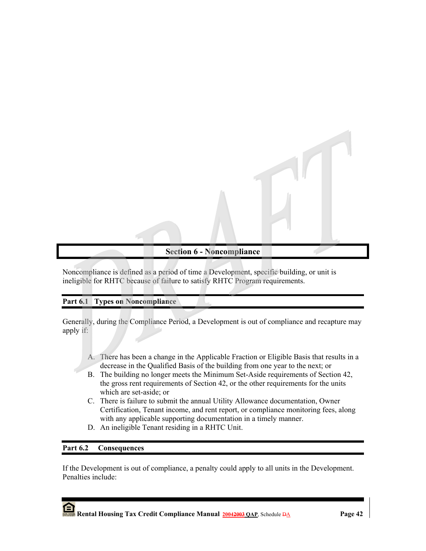

Noncompliance is defined as a period of time a Development, specific building, or unit is ineligible for RHTC because of failure to satisfy RHTC Program requirements.

# **Part 6.1 Types on Noncompliance**

Generally, during the Compliance Period, a Development is out of compliance and recapture may apply if:

- A. There has been a change in the Applicable Fraction or Eligible Basis that results in a decrease in the Qualified Basis of the building from one year to the next; or
- B. The building no longer meets the Minimum Set-Aside requirements of Section 42, the gross rent requirements of Section 42, or the other requirements for the units which are set-aside; or
- C. There is failure to submit the annual Utility Allowance documentation, Owner Certification, Tenant income, and rent report, or compliance monitoring fees, along with any applicable supporting documentation in a timely manner.
- D. An ineligible Tenant residing in a RHTC Unit.

# **Part 6.2 Consequences**

If the Development is out of compliance, a penalty could apply to all units in the Development. Penalties include: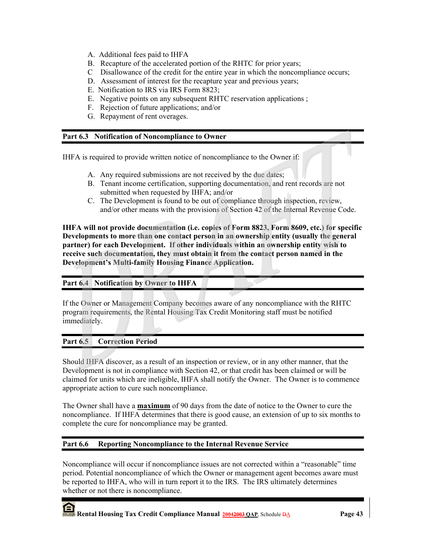- A. Additional fees paid to IHFA
- B. Recapture of the accelerated portion of the RHTC for prior years;
- C Disallowance of the credit for the entire year in which the noncompliance occurs;
- D. Assessment of interest for the recapture year and previous years;
- E. Notification to IRS via IRS Form 8823;
- E. Negative points on any subsequent RHTC reservation applications ;
- F. Rejection of future applications; and/or
- G. Repayment of rent overages.

# **Part 6.3 Notification of Noncompliance to Owner**

IHFA is required to provide written notice of noncompliance to the Owner if:

- A. Any required submissions are not received by the due dates;
- B. Tenant income certification, supporting documentation, and rent records are not submitted when requested by IHFA; and/or
- C. The Development is found to be out of compliance through inspection, review, and/or other means with the provisions of Section 42 of the Internal Revenue Code.

**IHFA will not provide documentation (i.e. copies of Form 8823, Form 8609, etc.) for specific Developments to more than one contact person in an ownership entity (usually the general partner) for each Development. If other individuals within an ownership entity wish to receive such documentation, they must obtain it from the contact person named in the Development's Multi-family Housing Finance Application.** 

# **Part 6.4 Notification by Owner to IHFA**

If the Owner or Management Company becomes aware of any noncompliance with the RHTC program requirements, the Rental Housing Tax Credit Monitoring staff must be notified immediately.

# **Part 6.5 Correction Period**

Should IHFA discover, as a result of an inspection or review, or in any other manner, that the Development is not in compliance with Section 42, or that credit has been claimed or will be claimed for units which are ineligible, IHFA shall notify the Owner. The Owner is to commence appropriate action to cure such noncompliance.

The Owner shall have a **maximum** of 90 days from the date of notice to the Owner to cure the noncompliance. If IHFA determines that there is good cause, an extension of up to six months to complete the cure for noncompliance may be granted.

# **Part 6.6 Reporting Noncompliance to the Internal Revenue Service**

Noncompliance will occur if noncompliance issues are not corrected within a "reasonable" time period. Potential noncompliance of which the Owner or management agent becomes aware must be reported to IHFA, who will in turn report it to the IRS. The IRS ultimately determines whether or not there is noncompliance.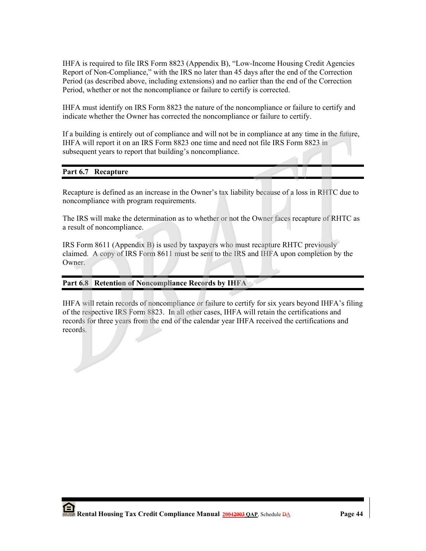IHFA is required to file IRS Form 8823 (Appendix B), "Low-Income Housing Credit Agencies Report of Non-Compliance," with the IRS no later than 45 days after the end of the Correction Period (as described above, including extensions) and no earlier than the end of the Correction Period, whether or not the noncompliance or failure to certify is corrected.

IHFA must identify on IRS Form 8823 the nature of the noncompliance or failure to certify and indicate whether the Owner has corrected the noncompliance or failure to certify.

If a building is entirely out of compliance and will not be in compliance at any time in the future, IHFA will report it on an IRS Form 8823 one time and need not file IRS Form 8823 in subsequent years to report that building's noncompliance.

# **Part 6.7 Recapture**

Recapture is defined as an increase in the Owner's tax liability because of a loss in RHTC due to noncompliance with program requirements.

The IRS will make the determination as to whether or not the Owner faces recapture of RHTC as a result of noncompliance.

IRS Form 8611 (Appendix B) is used by taxpayers who must recapture RHTC previously claimed. A copy of IRS Form 8611 must be sent to the IRS and IHFA upon completion by the Owner.

## **Part 6.8 Retention of Noncompliance Records by IHFA**

IHFA will retain records of noncompliance or failure to certify for six years beyond IHFA's filing of the respective IRS Form 8823. In all other cases, IHFA will retain the certifications and records for three years from the end of the calendar year IHFA received the certifications and records.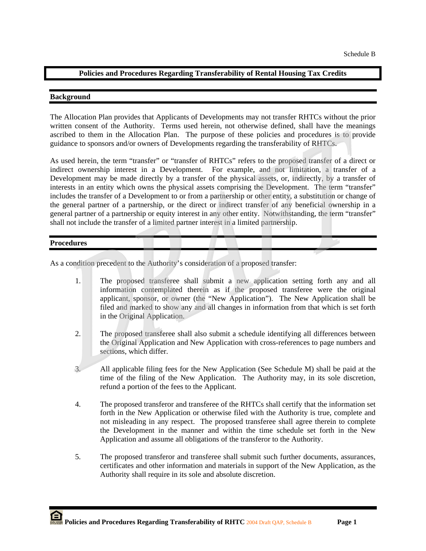# **Policies and Procedures Regarding Transferability of Rental Housing Tax Credits**

### **Background**

The Allocation Plan provides that Applicants of Developments may not transfer RHTCs without the prior written consent of the Authority. Terms used herein, not otherwise defined, shall have the meanings ascribed to them in the Allocation Plan. The purpose of these policies and procedures is to provide guidance to sponsors and/or owners of Developments regarding the transferability of RHTCs.

As used herein, the term "transfer" or "transfer of RHTCs" refers to the proposed transfer of a direct or indirect ownership interest in a Development. For example, and not limitation, a transfer of a Development may be made directly by a transfer of the physical assets, or, indirectly, by a transfer of interests in an entity which owns the physical assets comprising the Development. The term "transfer" includes the transfer of a Development to or from a partnership or other entity, a substitution or change of the general partner of a partnership, or the direct or indirect transfer of any beneficial ownership in a general partner of a partnership or equity interest in any other entity. Notwithstanding, the term "transfer" shall not include the transfer of a limited partner interest in a limited partnership.

#### **Procedures**

As a condition precedent to the Authority's consideration of a proposed transfer:

- 1. The proposed transferee shall submit a new application setting forth any and all information contemplated therein as if the proposed transferee were the original applicant, sponsor, or owner (the "New Application"). The New Application shall be filed and marked to show any and all changes in information from that which is set forth in the Original Application.
- 2. The proposed transferee shall also submit a schedule identifying all differences between the Original Application and New Application with cross-references to page numbers and sections, which differ.
- 3. All applicable filing fees for the New Application (See Schedule M) shall be paid at the time of the filing of the New Application. The Authority may, in its sole discretion, refund a portion of the fees to the Applicant.
- 4. The proposed transferor and transferee of the RHTCs shall certify that the information set forth in the New Application or otherwise filed with the Authority is true, complete and not misleading in any respect. The proposed transferee shall agree therein to complete the Development in the manner and within the time schedule set forth in the New Application and assume all obligations of the transferor to the Authority.
- 5. The proposed transferor and transferee shall submit such further documents, assurances, certificates and other information and materials in support of the New Application, as the Authority shall require in its sole and absolute discretion.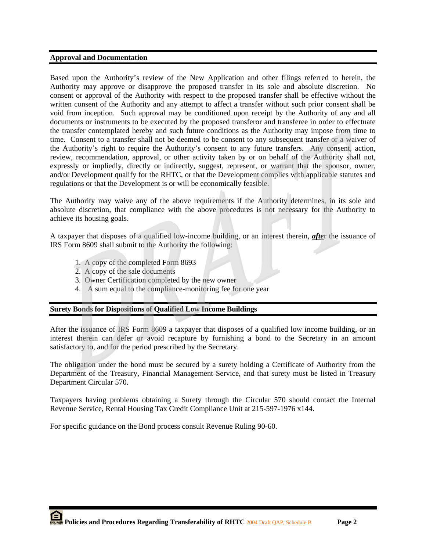# **Approval and Documentation**

Based upon the Authority's review of the New Application and other filings referred to herein, the Authority may approve or disapprove the proposed transfer in its sole and absolute discretion. No consent or approval of the Authority with respect to the proposed transfer shall be effective without the written consent of the Authority and any attempt to affect a transfer without such prior consent shall be void from inception. Such approval may be conditioned upon receipt by the Authority of any and all documents or instruments to be executed by the proposed transferor and transferee in order to effectuate the transfer contemplated hereby and such future conditions as the Authority may impose from time to time. Consent to a transfer shall not be deemed to be consent to any subsequent transfer or a waiver of the Authority's right to require the Authority's consent to any future transfers. Any consent, action, review, recommendation, approval, or other activity taken by or on behalf of the Authority shall not, expressly or impliedly, directly or indirectly, suggest, represent, or warrant that the sponsor, owner, and/or Development qualify for the RHTC, or that the Development complies with applicable statutes and regulations or that the Development is or will be economically feasible.

The Authority may waive any of the above requirements if the Authority determines, in its sole and absolute discretion, that compliance with the above procedures is not necessary for the Authority to achieve its housing goals.

A taxpayer that disposes of a qualified low-income building, or an interest therein, *afte*r the issuance of IRS Form 8609 shall submit to the Authority the following:

- 1. A copy of the completed Form 8693
- 2. A copy of the sale documents
- 3. Owner Certification completed by the new owner
- 4. A sum equal to the compliance-monitoring fee for one year

## **Surety Bonds for Dispositions of Qualified Low Income Buildings**

After the issuance of IRS Form 8609 a taxpayer that disposes of a qualified low income building, or an interest therein can defer or avoid recapture by furnishing a bond to the Secretary in an amount satisfactory to, and for the period prescribed by the Secretary.

The obligation under the bond must be secured by a surety holding a Certificate of Authority from the Department of the Treasury, Financial Management Service, and that surety must be listed in Treasury Department Circular 570.

Taxpayers having problems obtaining a Surety through the Circular 570 should contact the Internal Revenue Service, Rental Housing Tax Credit Compliance Unit at 215-597-1976 x144.

For specific guidance on the Bond process consult Revenue Ruling 90-60.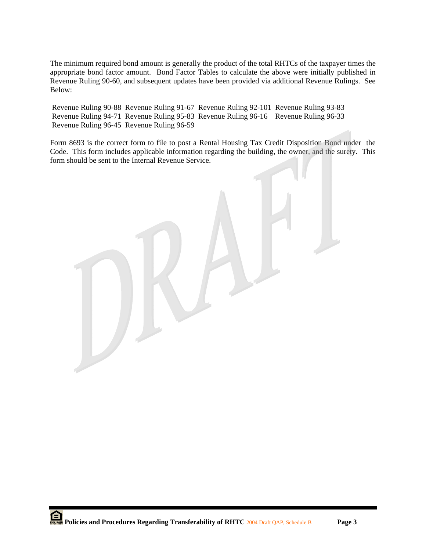The minimum required bond amount is generally the product of the total RHTCs of the taxpayer times the appropriate bond factor amount. Bond Factor Tables to calculate the above were initially published in Revenue Ruling 90-60, and subsequent updates have been provided via additional Revenue Rulings. See Below:

 Revenue Ruling 90-88 Revenue Ruling 91-67 Revenue Ruling 92-101 Revenue Ruling 93-83 Revenue Ruling 94-71 Revenue Ruling 95-83 Revenue Ruling 96-16 Revenue Ruling 96-33 Revenue Ruling 96-45 Revenue Ruling 96-59

Form 8693 is the correct form to file to post a Rental Housing Tax Credit Disposition Bond under the Code. This form includes applicable information regarding the building, the owner, and the surety. This form should be sent to the Internal Revenue Service.

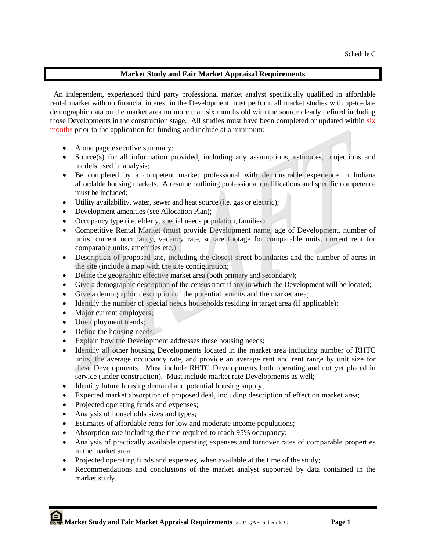# **Market Study and Fair Market Appraisal Requirements**

 An independent, experienced third party professional market analyst specifically qualified in affordable rental market with no financial interest in the Development must perform all market studies with up-to-date demographic data on the market area no more than six months old with the source clearly defined including those Developments in the construction stage. All studies must have been completed or updated within six months prior to the application for funding and include at a minimum:

- A one page executive summary;
- Source(s) for all information provided, including any assumptions, estimates, projections and models used in analysis;
- Be completed by a competent market professional with demonstrable experience in Indiana affordable housing markets. A resume outlining professional qualifications and specific competence must be included;
- Utility availability, water, sewer and heat source (i.e. gas or electric);
- Development amenities (see Allocation Plan);
- Occupancy type (i.e. elderly, special needs population, families)
- Competitive Rental Market (must provide Development name, age of Development, number of units, current occupancy, vacancy rate, square footage for comparable units, current rent for comparable units, amenities etc,)
- Description of proposed site, including the closest street boundaries and the number of acres in the site (include a map with the site configuration;
- Define the geographic effective market area (both primary and secondary);
- Give a demographic description of the census tract if any in which the Development will be located;
- Give a demographic description of the potential tenants and the market area;
- Identify the number of special needs households residing in target area (if applicable);
- Major current employers;
- Unemployment trends;
- Define the housing needs;
- Explain how the Development addresses these housing needs;
- Identify all other housing Developments located in the market area including number of RHTC units, the average occupancy rate, and provide an average rent and rent range by unit size for these Developments. Must include RHTC Developments both operating and not yet placed in service (under construction). Must include market rate Developments as well;
- Identify future housing demand and potential housing supply;
- Expected market absorption of proposed deal, including description of effect on market area;
- Projected operating funds and expenses;
- Analysis of households sizes and types;
- Estimates of affordable rents for low and moderate income populations;
- Absorption rate including the time required to reach 95% occupancy;
- Analysis of practically available operating expenses and turnover rates of comparable properties in the market area;
- Projected operating funds and expenses, when available at the time of the study;
- Recommendations and conclusions of the market analyst supported by data contained in the market study.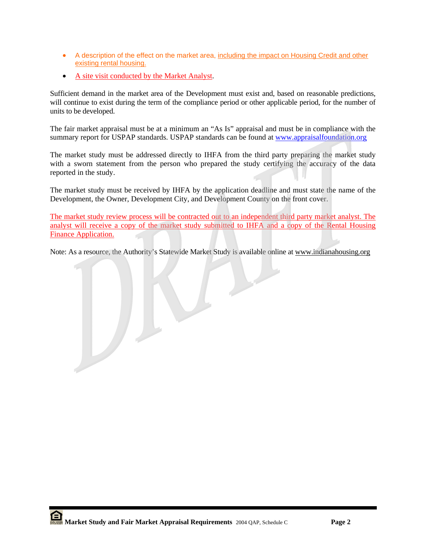- A description of the effect on the market area, including the impact on Housing Credit and other existing rental housing.
- A site visit conducted by the Market Analyst.

Sufficient demand in the market area of the Development must exist and, based on reasonable predictions, will continue to exist during the term of the compliance period or other applicable period, for the number of units to be developed.

The fair market appraisal must be at a minimum an "As Is" appraisal and must be in compliance with the summary report for USPAP standards. USPAP standards can be found at www.appraisalfoundation.org

The market study must be addressed directly to IHFA from the third party preparing the market study with a sworn statement from the person who prepared the study certifying the accuracy of the data reported in the study.

The market study must be received by IHFA by the application deadline and must state the name of the Development, the Owner, Development City, and Development County on the front cover.

The market study review process will be contracted out to an independent third party market analyst. The analyst will receive a copy of the market study submitted to IHFA and a copy of the Rental Housing Finance Application.

Note: As a resource, the Authority's Statewide Market Study is available online at www.indianahousing.org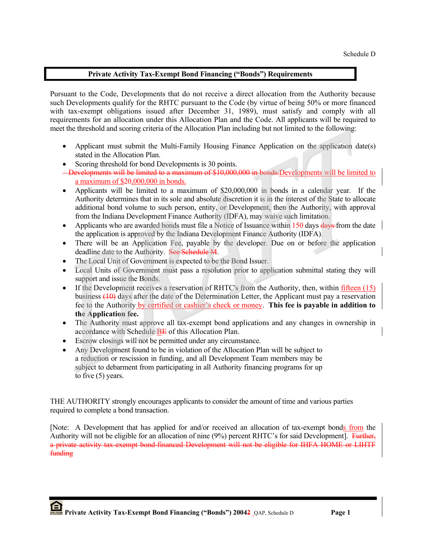# **Private Activity Tax-Exempt Bond Financing ("Bonds") Requirements**

Pursuant to the Code, Developments that do not receive a direct allocation from the Authority because such Developments qualify for the RHTC pursuant to the Code (by virtue of being 50% or more financed with tax-exempt obligations issued after December 31, 1989), must satisfy and comply with all requirements for an allocation under this Allocation Plan and the Code. All applicants will be required to meet the threshold and scoring criteria of the Allocation Plan including but not limited to the following:

- Applicant must submit the Multi-Family Housing Finance Application on the application date(s) stated in the Allocation Plan.
- Scoring threshold for bond Developments is 30 points.
- **Developments will be limited to a maximum of \$10,000,000 in bonds.** Developments will be limited to a maximum of \$20,000,000 in bonds.
- Applicants will be limited to a maximum of \$20,000,000 in bonds in a calendar year. If the Authority determines that in its sole and absolute discretion it is in the interest of the State to allocate additional bond volume to such person, entity, or Development, then the Authority, with approval from the Indiana Development Finance Authority (IDFA), may waive such limitation.
- Applicants who are awarded bonds must file a Notice of Issuance within 150 days days from the date the application is approved by the Indiana Development Finance Authority (IDFA).
- There will be an Application Fee, payable by the developer. Due on or before the application deadline date to the Authority. See Schedule M.
- The Local Unit of Government is expected to be the Bond Issuer.
- Local Units of Government must pass a resolution prior to application submittal stating they will support and issue the Bonds.
- If the Development receives a reservation of RHTC's from the Authority, then, within fifteen (15) business (10) days after the date of the Determination Letter, the Applicant must pay a reservation fee to the Authority by certified or cashier's check or money. **This fee is payable in addition to the Application fee.**
- The Authority must approve all tax-exempt bond applications and any changes in ownership in accordance with Schedule **BE** of this Allocation Plan.
- Escrow closings will not be permitted under any circumstance.
- Any Development found to be in violation of the Allocation Plan will be subject to a reduction or rescission in funding, and all Development Team members may be subject to debarment from participating in all Authority financing programs for up to five (5) years.

THE AUTHORITY strongly encourages applicants to consider the amount of time and various parties required to complete a bond transaction.

[Note: A Development that has applied for and/or received an allocation of tax-exempt bonds from the Authority will not be eligible for an allocation of nine (9%) percent RHTC's for said Development]. Further, a private activity tax-exempt bond-financed Development will not be eligible for IHFA HOME or LIHTF funding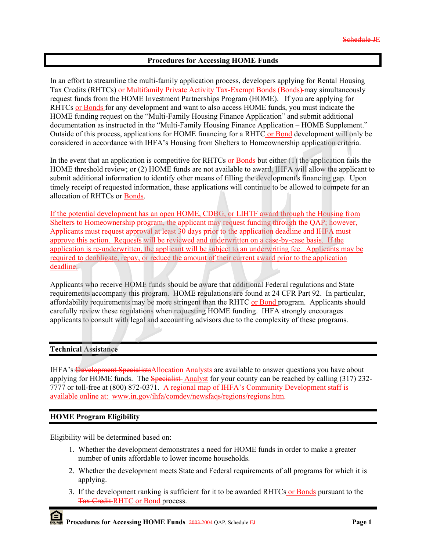# **Procedures for Accessing HOME Funds**

In an effort to streamline the multi-family application process, developers applying for Rental Housing Tax Credits (RHTCs) or Multifamily Private Activity Tax-Exempt Bonds (Bonds) may simultaneously request funds from the HOME Investment Partnerships Program (HOME). If you are applying for RHTCs or Bonds for any development and want to also access HOME funds, you must indicate the HOME funding request on the "Multi-Family Housing Finance Application" and submit additional documentation as instructed in the "Multi-Family Housing Finance Application – HOME Supplement." Outside of this process, applications for HOME financing for a RHTC or Bond development will only be considered in accordance with IHFA's Housing from Shelters to Homeownership application criteria.

In the event that an application is competitive for RHTCs or Bonds but either (1) the application fails the HOME threshold review; or (2) HOME funds are not available to award, IHFA will allow the applicant to submit additional information to identify other means of filling the development's financing gap. Upon timely receipt of requested information, these applications will continue to be allowed to compete for an allocation of RHTCs or Bonds.

If the potential development has an open HOME, CDBG, or LIHTF award through the Housing from Shelters to Homeownership program, the applicant may request funding through the QAP; however, Applicants must request approval at least 30 days prior to the application deadline and IHFA must approve this action. Requests will be reviewed and underwritten on a case-by-case basis. If the application is re-underwritten, the applicant will be subject to an underwriting fee. Applicants may be required to deobligate, repay, or reduce the amount of their current award prior to the application deadline.

Applicants who receive HOME funds should be aware that additional Federal regulations and State requirements accompany this program. HOME regulations are found at 24 CFR Part 92. In particular, affordability requirements may be more stringent than the RHTC or Bond program. Applicants should carefully review these regulations when requesting HOME funding. IHFA strongly encourages applicants to consult with legal and accounting advisors due to the complexity of these programs.

#### **Technical Assistance**

IHFA's Development SpecialistsAllocation Analysts are available to answer questions you have about applying for HOME funds. The Specialist Analyst for your county can be reached by calling (317) 232-7777 or toll-free at (800) 872-0371. A regional map of IHFA's Community Development staff is available online at: www.in.gov/ihfa/comdev/newsfaqs/regions/regions.htm.

# **HOME Program Eligibility**

Eligibility will be determined based on:

- 1. Whether the development demonstrates a need for HOME funds in order to make a greater number of units affordable to lower income households.
- 2. Whether the development meets State and Federal requirements of all programs for which it is applying.
- 3. If the development ranking is sufficient for it to be awarded RHTCs or Bonds pursuant to the Tax Credit RHTC or Bond process.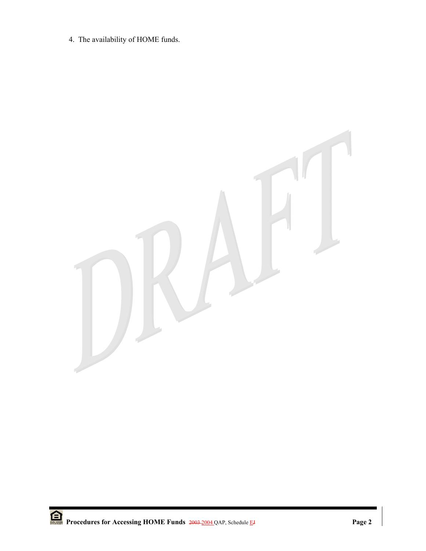4. The availability of HOME funds.

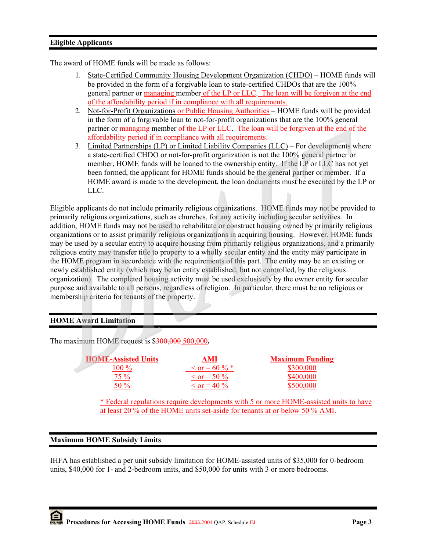# **Eligible Applicants**

The award of HOME funds will be made as follows:

- 1. State-Certified Community Housing Development Organization (CHDO) HOME funds will be provided in the form of a forgivable loan to state-certified CHDOs that are the 100% general partner or managing member of the LP or LLC. The loan will be forgiven at the end of the affordability period if in compliance with all requirements.
- 2. Not-for-Profit Organizations or Public Housing Authorities HOME funds will be provided in the form of a forgivable loan to not-for-profit organizations that are the 100% general partner or managing member of the LP or LLC. The loan will be forgiven at the end of the affordability period if in compliance with all requirements.
- 3. Limited Partnerships (LP) or Limited Liability Companies (LLC) For developments where a state-certified CHDO or not-for-profit organization is not the 100% general partner or member, HOME funds will be loaned to the ownership entity. If the LP or LLC has not yet been formed, the applicant for HOME funds should be the general partner or member. If a HOME award is made to the development, the loan documents must be executed by the LP or LLC.

Eligible applicants do not include primarily religious organizations. HOME funds may not be provided to primarily religious organizations, such as churches, for any activity including secular activities. In addition, HOME funds may not be used to rehabilitate or construct housing owned by primarily religious organizations or to assist primarily religious organizations in acquiring housing. However, HOME funds may be used by a secular entity to acquire housing from primarily religious organizations, and a primarily religious entity may transfer title to property to a wholly secular entity and the entity may participate in the HOME program in accordance with the requirements of this part. The entity may be an existing or newly established entity (which may be an entity established, but not controlled, by the religious organization). The completed housing activity must be used exclusively by the owner entity for secular purpose and available to all persons, regardless of religion. In particular, there must be no religious or membership criteria for tenants of the property.

# **HOME Award Limitation**

| <b>HOME-Assisted Units</b> | <b>AMI</b>             | <b>Maximum Funding</b> |
|----------------------------|------------------------|------------------------|
| $100\%$                    | $\gamma$ or = 60 % $*$ | \$300,000              |
| $75\%$                     | $\rm <$ or = 50 %      | \$400,000              |
| 50 %                       | $\epsilon$ or = 40 %   | \$500,000              |

**Maximum HOME Subsidy Limits** 

IHFA has established a per unit subsidy limitation for HOME-assisted units of \$35,000 for 0-bedroom units, \$40,000 for 1- and 2-bedroom units, and \$50,000 for units with 3 or more bedrooms.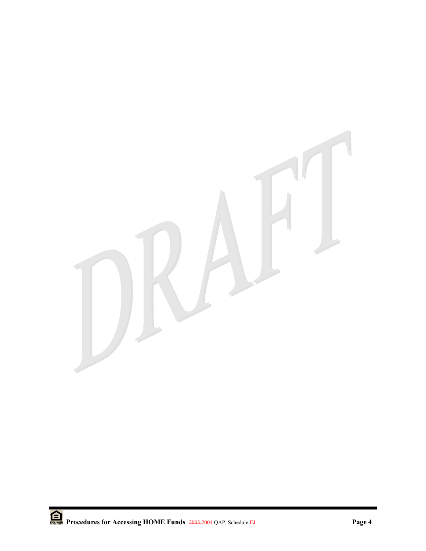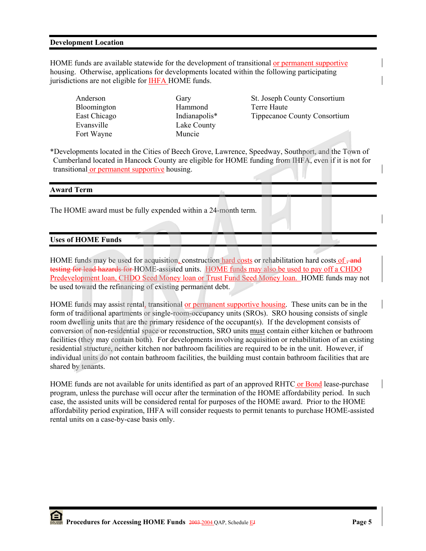## **Development Location**

HOME funds are available statewide for the development of transitional or permanent supportive housing. Otherwise, applications for developments located within the following participating jurisdictions are not eligible for IHFA HOME funds.

- Evansville Lake County Fort Wayne Muncie
- Bloomington Hammond Terre Haute

Anderson Gary St. Joseph County Consortium East Chicago **Indianapolis<sup>\*</sup>** Tippecanoe County Consortium

\*Developments located in the Cities of Beech Grove, Lawrence, Speedway, Southport, and the Town of Cumberland located in Hancock County are eligible for HOME funding from IHFA, even if it is not for transitional or permanent supportive housing.

#### **Award Term**

The HOME award must be fully expended within a 24-month term.

## **Uses of HOME Funds**

HOME funds may be used for acquisition, construction hard costs or rehabilitation hard costs of <del>, and</del> testing for lead hazards for HOME-assisted units. HOME funds may also be used to pay off a CHDO Predevelopment loan, CHDO Seed Money loan or Trust Fund Seed Money loan. HOME funds may not be used toward the refinancing of existing permanent debt.

HOME funds may assist rental, transitional or permanent supportive housing. These units can be in the form of traditional apartments or single-room-occupancy units (SROs). SRO housing consists of single room dwelling units that are the primary residence of the occupant(s). If the development consists of conversion of non-residential space or reconstruction, SRO units must contain either kitchen or bathroom facilities (they may contain both). For developments involving acquisition or rehabilitation of an existing residential structure, neither kitchen nor bathroom facilities are required to be in the unit. However, if individual units do not contain bathroom facilities, the building must contain bathroom facilities that are shared by tenants.

HOME funds are not available for units identified as part of an approved RHTC or Bond lease-purchase program, unless the purchase will occur after the termination of the HOME affordability period. In such case, the assisted units will be considered rental for purposes of the HOME award. Prior to the HOME affordability period expiration, IHFA will consider requests to permit tenants to purchase HOME-assisted rental units on a case-by-case basis only.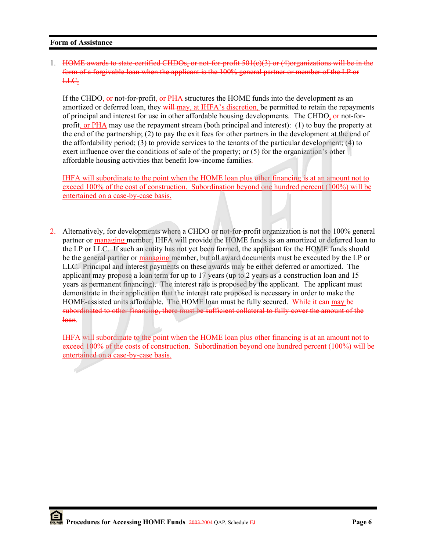#### **Form of Assistance**

1. HOME awards to state-certified CHDOs, or not-for-profit 501(c)(3) or (4)organizations will be in the form of a forgivable loan when the applicant is the 100% general partner or member of the LP or LLC.

If the CHDO,  $\theta$ -not-for-profit, or PHA structures the HOME funds into the development as an amortized or deferred loan, they will may, at IHFA's discretion, be permitted to retain the repayments of principal and interest for use in other affordable housing developments. The CHDO,  $\theta$  not-forprofit, or PHA may use the repayment stream (both principal and interest): (1) to buy the property at the end of the partnership; (2) to pay the exit fees for other partners in the development at the end of the affordability period; (3) to provide services to the tenants of the particular development; (4) to exert influence over the conditions of sale of the property; or (5) for the organization's other affordable housing activities that benefit low-income families.

IHFA will subordinate to the point when the HOME loan plus other financing is at an amount not to exceed 100% of the cost of construction. Subordination beyond one hundred percent (100%) will be entertained on a case-by-case basis.

2. Alternatively, for developments where a CHDO or not-for-profit organization is not the 100%-general partner or managing member, IHFA will provide the HOME funds as an amortized or deferred loan to the LP or LLC. If such an entity has not yet been formed, the applicant for the HOME funds should be the general partner or managing member, but all award documents must be executed by the LP or LLC. Principal and interest payments on these awards may be either deferred or amortized. The applicant may propose a loan term for up to 17 years (up to 2 years as a construction loan and 15 years as permanent financing). The interest rate is proposed by the applicant. The applicant must demonstrate in their application that the interest rate proposed is necessary in order to make the HOME-assisted units affordable. The HOME loan must be fully secured. While it can may be subordinated to other financing, there must be sufficient collateral to fully cover the amount of the loan.

IHFA will subordinate to the point when the HOME loan plus other financing is at an amount not to exceed 100% of the costs of construction. Subordination beyond one hundred percent (100%) will be entertained on a case-by-case basis.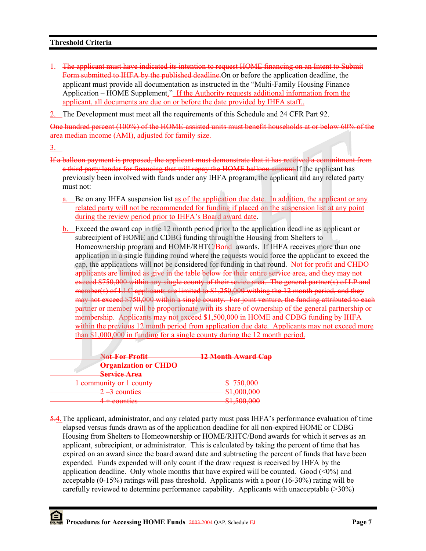# **Threshold Criteria**

1. The applicant must have indicated its intention to request HOME financing on an Intent to Submit Form submitted to IHFA by the published deadline. On or before the application deadline, the applicant must provide all documentation as instructed in the "Multi-Family Housing Finance Application – HOME Supplement." If the Authority requests additional information from the applicant, all documents are due on or before the date provided by IHFA staff..

2. The Development must meet all the requirements of this Schedule and 24 CFR Part 92.

One hundred percent (100%) of the HOME-assisted units must benefit households at or below 60% of the area median income (AMI), adjusted for family size.

3.

- If a balloon payment is proposed, the applicant must demonstrate that it has received a commitment from a third party lender for financing that will repay the HOME balloon amount. If the applicant has previously been involved with funds under any IHFA program, the applicant and any related party must not:
	- a. Be on any IHFA suspension list as of the application due date. In addition, the applicant or any related party will not be recommended for funding if placed on the suspension list at any point during the review period prior to IHFA's Board award date.
	- b. Exceed the award cap in the 12 month period prior to the application deadline as applicant or subrecipient of HOME and CDBG funding through the Housing from Shelters to Homeownership program and HOME/RHTC/Bond awards. If IHFA receives more than one application in a single funding round where the requests would force the applicant to exceed the cap, the applications will not be considered for funding in that round. Not for profit and CHDO applicants are limited as give in the table below for their entire service area, and they may not exceed \$750,000 within any single county of their sevice area. The general partner(s) of LP and member(s) of LLC applicants are limited to \$1,250,000 withing the 12 month period, and they may not exceed \$750,000 within a single county. For joint venture, the funding attributed to each partner or member will be proportionate with its share of ownership of the general partnership or membership. Applicants may not exceed \$1,500,000 in HOME and CDBG funding by IHFA within the previous 12 month period from application due date. Applicants may not exceed more than \$1,000,000 in funding for a single county during the 12 month period.

| Not-For-Profit-                      | <b>12 Month Award Cap</b>                |
|--------------------------------------|------------------------------------------|
| Organization or CHDO                 |                                          |
| <b>Service Area</b>                  |                                          |
| 1 community or 1 county              | \$750,000                                |
| $2$ counties<br><del>o countro</del> | $$1$ 000 000<br>$\mathfrak{v}$ 1,000,000 |
| $\sim$ oundo                         | 01.500.000<br><del>v1,000,000</del>      |

5.4. The applicant, administrator, and any related party must pass IHFA's performance evaluation of time elapsed versus funds drawn as of the application deadline for all non-expired HOME or CDBG Housing from Shelters to Homeownership or HOME/RHTC/Bond awards for which it serves as an applicant, subrecipient, or administrator. This is calculated by taking the percent of time that has expired on an award since the board award date and subtracting the percent of funds that have been expended. Funds expended will only count if the draw request is received by IHFA by the application deadline. Only whole months that have expired will be counted. Good  $\langle 0\% \rangle$  and acceptable (0-15%) ratings will pass threshold. Applicants with a poor (16-30%) rating will be carefully reviewed to determine performance capability. Applicants with unacceptable (>30%)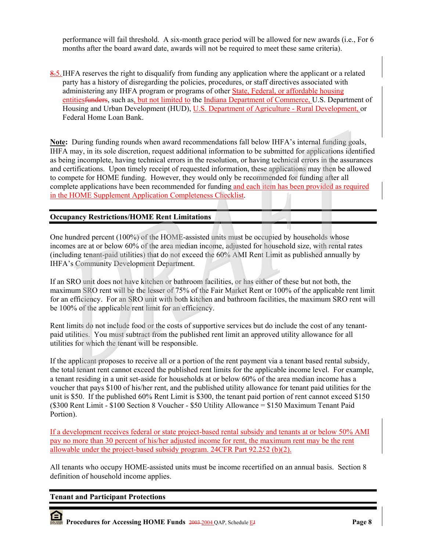performance will fail threshold. A six-month grace period will be allowed for new awards (i.e., For 6 months after the board award date, awards will not be required to meet these same criteria).

8.5. IHFA reserves the right to disqualify from funding any application where the applicant or a related party has a history of disregarding the policies, procedures, or staff directives associated with administering any IHFA program or programs of other **State**, Federal, or affordable housing entitiesfunders, such as, but not limited to the Indiana Department of Commerce, U.S. Department of Housing and Urban Development (HUD), U.S. Department of Agriculture - Rural Development, or Federal Home Loan Bank.

**Note:** During funding rounds when award recommendations fall below IHFA's internal funding goals, IHFA may, in its sole discretion, request additional information to be submitted for applications identified as being incomplete, having technical errors in the resolution, or having technical errors in the assurances and certifications. Upon timely receipt of requested information, these applications may then be allowed to compete for HOME funding. However, they would only be recommended for funding after all complete applications have been recommended for funding and each item has been provided as required in the HOME Supplement Application Completeness Checklist.

# **Occupancy Restrictions/HOME Rent Limitations**

One hundred percent (100%) of the HOME-assisted units must be occupied by households whose incomes are at or below 60% of the area median income, adjusted for household size, with rental rates (including tenant-paid utilities) that do not exceed the 60% AMI Rent Limit as published annually by IHFA's Community Development Department.

If an SRO unit does not have kitchen or bathroom facilities, or has either of these but not both, the maximum SRO rent will be the lesser of 75% of the Fair Market Rent or 100% of the applicable rent limit for an efficiency. For an SRO unit with both kitchen and bathroom facilities, the maximum SRO rent will be 100% of the applicable rent limit for an efficiency.

Rent limits do not include food or the costs of supportive services but do include the cost of any tenantpaid utilities. You must subtract from the published rent limit an approved utility allowance for all utilities for which the tenant will be responsible.

If the applicant proposes to receive all or a portion of the rent payment via a tenant based rental subsidy, the total tenant rent cannot exceed the published rent limits for the applicable income level. For example, a tenant residing in a unit set-aside for households at or below 60% of the area median income has a voucher that pays \$100 of his/her rent, and the published utility allowance for tenant paid utilities for the unit is \$50. If the published 60% Rent Limit is \$300, the tenant paid portion of rent cannot exceed \$150 (\$300 Rent Limit - \$100 Section 8 Voucher - \$50 Utility Allowance = \$150 Maximum Tenant Paid Portion).

If a development receives federal or state project-based rental subsidy and tenants at or below 50% AMI pay no more than 30 percent of his/her adjusted income for rent, the maximum rent may be the rent allowable under the project-based subsidy program. 24CFR Part 92.252 (b)(2).

All tenants who occupy HOME-assisted units must be income recertified on an annual basis. Section 8 definition of household income applies.

## **Tenant and Participant Protections**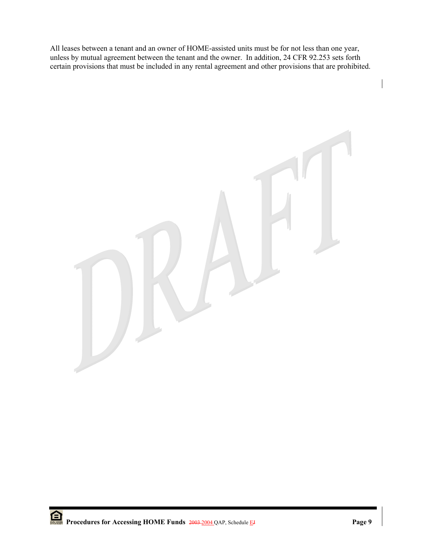All leases between a tenant and an owner of HOME-assisted units must be for not less than one year, unless by mutual agreement between the tenant and the owner. In addition, 24 CFR 92.253 sets forth certain provisions that must be included in any rental agreement and other provisions that are prohibited.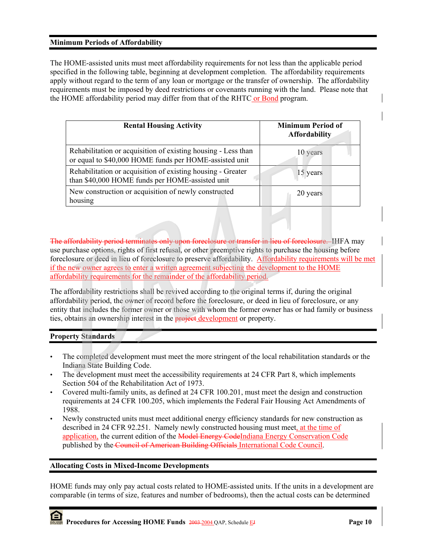# **Minimum Periods of Affordability**

The HOME-assisted units must meet affordability requirements for not less than the applicable period specified in the following table, beginning at development completion. The affordability requirements apply without regard to the term of any loan or mortgage or the transfer of ownership. The affordability requirements must be imposed by deed restrictions or covenants running with the land. Please note that the HOME affordability period may differ from that of the RHTC or Bond program.

| <b>Rental Housing Activity</b>                                                                                          | <b>Minimum Period of</b><br><b>Affordability</b> |
|-------------------------------------------------------------------------------------------------------------------------|--------------------------------------------------|
| Rehabilitation or acquisition of existing housing - Less than<br>or equal to \$40,000 HOME funds per HOME-assisted unit | 10 years                                         |
| Rehabilitation or acquisition of existing housing - Greater<br>than \$40,000 HOME funds per HOME-assisted unit          | 15 years                                         |
| New construction or acquisition of newly constructed<br>housing                                                         | 20 years                                         |

The affordability period terminates only upon foreclosure or transfer in lieu of foreclosure. IHFA may use purchase options, rights of first refusal, or other preemptive rights to purchase the housing before foreclosure or deed in lieu of foreclosure to preserve affordability. Affordability requirements will be met if the new owner agrees to enter a written agreement subjecting the development to the HOME affordability requirements for the remainder of the affordability period.

The affordability restrictions shall be revived according to the original terms if, during the original affordability period, the owner of record before the foreclosure, or deed in lieu of foreclosure, or any entity that includes the former owner or those with whom the former owner has or had family or business ties, obtains an ownership interest in the project development or property.

## **Property Standards**

- The completed development must meet the more stringent of the local rehabilitation standards or the Indiana State Building Code.
- The development must meet the accessibility requirements at 24 CFR Part 8, which implements Section 504 of the Rehabilitation Act of 1973.
- Covered multi-family units, as defined at 24 CFR 100.201, must meet the design and construction requirements at 24 CFR 100.205, which implements the Federal Fair Housing Act Amendments of 1988.
- Newly constructed units must meet additional energy efficiency standards for new construction as described in 24 CFR 92.251. Namely newly constructed housing must meet, at the time of application, the current edition of the Model Energy CodeIndiana Energy Conservation Code published by the Council of American Building Officials International Code Council.

## **Allocating Costs in Mixed-Income Developments**

HOME funds may only pay actual costs related to HOME-assisted units. If the units in a development are comparable (in terms of size, features and number of bedrooms), then the actual costs can be determined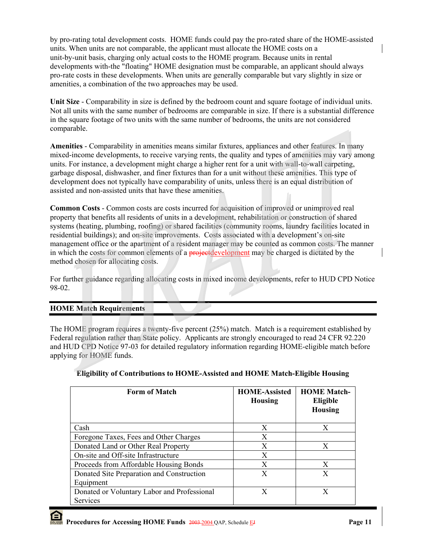by pro-rating total development costs. HOME funds could pay the pro-rated share of the HOME-assisted units. When units are not comparable, the applicant must allocate the HOME costs on a unit-by-unit basis, charging only actual costs to the HOME program. Because units in rental developments with-the "floating" HOME designation must be comparable, an applicant should always pro-rate costs in these developments. When units are generally comparable but vary slightly in size or amenities, a combination of the two approaches may be used.

**Unit Size** - Comparability in size is defined by the bedroom count and square footage of individual units. Not all units with the same number of bedrooms are comparable in size. If there is a substantial difference in the square footage of two units with the same number of bedrooms, the units are not considered comparable.

**Amenities** - Comparability in amenities means similar fixtures, appliances and other features. In many mixed-income developments, to receive varying rents, the quality and types of amenities may vary among units. For instance, a development might charge a higher rent for a unit with wall-to-wall carpeting, garbage disposal, dishwasher, and finer fixtures than for a unit without these amenities. This type of development does not typically have comparability of units, unless there is an equal distribution of assisted and non-assisted units that have these amenities.

**Common Costs** - Common costs are costs incurred for acquisition of improved or unimproved real property that benefits all residents of units in a development, rehabilitation or construction of shared systems (heating, plumbing, roofing) or shared facilities (community rooms, laundry facilities located in residential buildings); and on-site improvements. Costs associated with a development's on-site management office or the apartment of a resident manager may be counted as common costs. The manner in which the costs for common elements of a **projectdevelopment** may be charged is dictated by the method chosen for allocating costs.

For further guidance regarding allocating costs in mixed income developments, refer to HUD CPD Notice 98-02.

# **HOME Match Requirements**

The HOME program requires a twenty-five percent (25%) match. Match is a requirement established by Federal regulation rather than State policy. Applicants are strongly encouraged to read 24 CFR 92.220 and HUD CPD Notice 97-03 for detailed regulatory information regarding HOME-eligible match before applying for HOME funds.

| <b>Form of Match</b>                        | <b>HOME-Assisted</b><br><b>Housing</b> | <b>HOME Match-</b><br>Eligible<br><b>Housing</b> |
|---------------------------------------------|----------------------------------------|--------------------------------------------------|
| Cash                                        | X                                      | X                                                |
| Foregone Taxes, Fees and Other Charges      | X                                      |                                                  |
| Donated Land or Other Real Property         | Χ                                      | X                                                |
| On-site and Off-site Infrastructure         | X                                      |                                                  |
| Proceeds from Affordable Housing Bonds      | X                                      | X                                                |
| Donated Site Preparation and Construction   | X                                      | X                                                |
| Equipment                                   |                                        |                                                  |
| Donated or Voluntary Labor and Professional | X                                      | X                                                |
| Services                                    |                                        |                                                  |

# **Eligibility of Contributions to HOME-Assisted and HOME Match-Eligible Housing**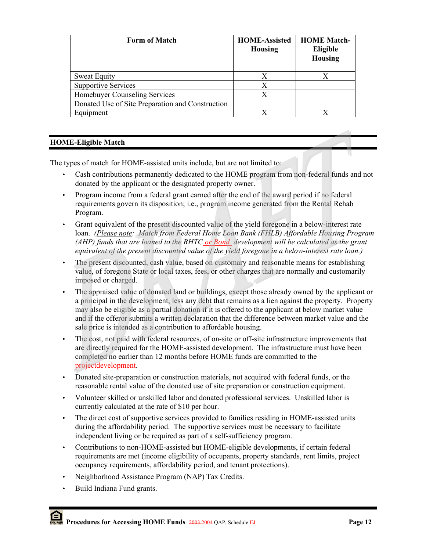| <b>Form of Match</b>                             | <b>HOME-Assisted</b><br><b>Housing</b> | <b>HOME Match-</b><br>Eligible<br><b>Housing</b> |
|--------------------------------------------------|----------------------------------------|--------------------------------------------------|
| <b>Sweat Equity</b>                              | X                                      |                                                  |
| <b>Supportive Services</b>                       | X                                      |                                                  |
| Homebuyer Counseling Services                    | X                                      |                                                  |
| Donated Use of Site Preparation and Construction |                                        |                                                  |
| Equipment                                        | X                                      | X                                                |

## **HOME-Eligible Match**

The types of match for HOME-assisted units include, but are not limited to:

- Cash contributions permanently dedicated to the HOME program from non-federal funds and not donated by the applicant or the designated property owner.
- Program income from a federal grant earned after the end of the award period if no federal requirements govern its disposition; i.e., program income generated from the Rental Rehab Program.
- Grant equivalent of the present discounted value of the yield foregone in a below-interest rate loan. *(Please note: Match from Federal Home Loan Bank (FHLB) Affordable Housing Program (AHP) funds that are loaned to the RHTC or Bond development will be calculated as the grant equivalent of the present discounted value of the yield foregone in a below-interest rate loan.)*
- The present discounted, cash value, based on customary and reasonable means for establishing value, of foregone State or local taxes, fees, or other charges that are normally and customarily imposed or charged.
- The appraised value of donated land or buildings, except those already owned by the applicant or a principal in the development, less any debt that remains as a lien against the property. Property may also be eligible as a partial donation if it is offered to the applicant at below market value and if the offeror submits a written declaration that the difference between market value and the sale price is intended as a contribution to affordable housing.
- The cost, not paid with federal resources, of on-site or off-site infrastructure improvements that are directly required for the HOME-assisted development. The infrastructure must have been completed no earlier than 12 months before HOME funds are committed to the projectdevelopment.
- Donated site-preparation or construction materials, not acquired with federal funds, or the reasonable rental value of the donated use of site preparation or construction equipment.
- Volunteer skilled or unskilled labor and donated professional services. Unskilled labor is currently calculated at the rate of \$10 per hour.
- The direct cost of supportive services provided to families residing in HOME-assisted units during the affordability period. The supportive services must be necessary to facilitate independent living or be required as part of a self-sufficiency program.
- Contributions to non-HOME-assisted but HOME-eligible developments, if certain federal requirements are met (income eligibility of occupants, property standards, rent limits, project occupancy requirements, affordability period, and tenant protections).
- Neighborhood Assistance Program (NAP) Tax Credits.
- Build Indiana Fund grants.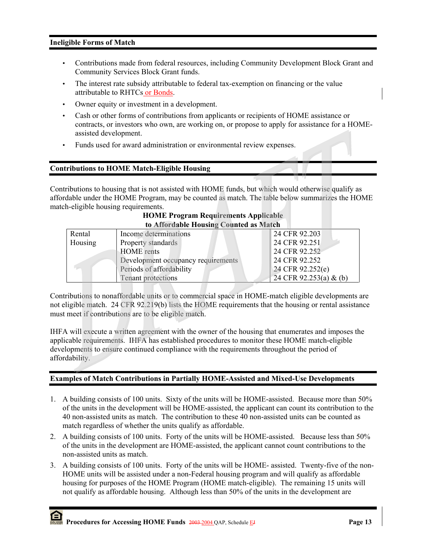# **Ineligible Forms of Match**

- Contributions made from federal resources, including Community Development Block Grant and Community Services Block Grant funds.
- The interest rate subsidy attributable to federal tax-exemption on financing or the value attributable to RHTCs or Bonds.
- Owner equity or investment in a development.
- Cash or other forms of contributions from applicants or recipients of HOME assistance or contracts, or investors who own, are working on, or propose to apply for assistance for a HOMEassisted development.
- Funds used for award administration or environmental review expenses.

# **Contributions to HOME Match-Eligible Housing**

Contributions to housing that is not assisted with HOME funds, but which would otherwise qualify as affordable under the HOME Program, may be counted as match. The table below summarizes the HOME match-eligible housing requirements.

|         | <u>to Alioi dabit flousing Counttu as Mattli</u> |                        |
|---------|--------------------------------------------------|------------------------|
| Rental  | Income determinations                            | 24 CFR 92.203          |
| Housing | Property standards                               | 24 CFR 92.251          |
|         | <b>HOME</b> rents                                | 24 CFR 92.252          |
|         | Development occupancy requirements               | 24 CFR 92.252          |
|         | Periods of affordability                         | 24 CFR $92.252(e)$     |
|         | Tenant protections                               | 24 CFR 92.253(a) & (b) |

#### **HOME Program Requirements Applicable to Affordable Housing Counted as Match**

Contributions to nonaffordable units or to commercial space in HOME-match eligible developments are not eligible match. 24 CFR 92.219(b) lists the HOME requirements that the housing or rental assistance must meet if contributions are to be eligible match.

IHFA will execute a written agreement with the owner of the housing that enumerates and imposes the applicable requirements. IHFA has established procedures to monitor these HOME match-eligible developments to ensure continued compliance with the requirements throughout the period of affordability.

# **Examples of Match Contributions in Partially HOME-Assisted and Mixed-Use Developments**

- 1. A building consists of 100 units. Sixty of the units will be HOME-assisted. Because more than 50% of the units in the development will be HOME-assisted, the applicant can count its contribution to the 40 non-assisted units as match. The contribution to these 40 non-assisted units can be counted as match regardless of whether the units qualify as affordable.
- 2. A building consists of 100 units. Forty of the units will be HOME-assisted. Because less than 50% of the units in the development are HOME-assisted, the applicant cannot count contributions to the non-assisted units as match.
- 3. A building consists of 100 units. Forty of the units will be HOME- assisted. Twenty-five of the non-HOME units will be assisted under a non-Federal housing program and will qualify as affordable housing for purposes of the HOME Program (HOME match-eligible). The remaining 15 units will not qualify as affordable housing. Although less than 50% of the units in the development are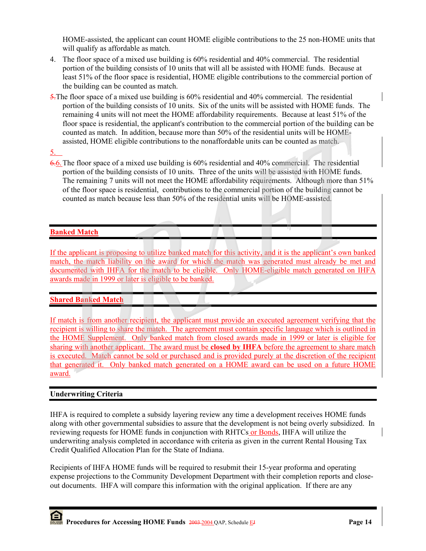HOME-assisted, the applicant can count HOME eligible contributions to the 25 non-HOME units that will qualify as affordable as match.

- 4. The floor space of a mixed use building is 60% residential and 40% commercial. The residential portion of the building consists of 10 units that will all be assisted with HOME funds. Because at least 51% of the floor space is residential, HOME eligible contributions to the commercial portion of the building can be counted as match.
- 5. The floor space of a mixed use building is 60% residential and 40% commercial. The residential portion of the building consists of 10 units. Six of the units will be assisted with HOME funds. The remaining 4 units will not meet the HOME affordability requirements. Because at least 51% of the floor space is residential, the applicant's contribution to the commercial portion of the building can be counted as match. In addition, because more than 50% of the residential units will be HOMEassisted, HOME eligible contributions to the nonaffordable units can be counted as match.
- 5.
- 6.6. The floor space of a mixed use building is 60% residential and 40% commercial. The residential portion of the building consists of 10 units. Three of the units will be assisted with HOME funds. The remaining 7 units will not meet the HOME affordability requirements. Although more than 51% of the floor space is residential, contributions to the commercial portion of the building cannot be counted as match because less than 50% of the residential units will be HOME-assisted.

# **Banked Match**

If the applicant is proposing to utilize banked match for this activity, and it is the applicant's own banked match, the match liability on the award for which the match was generated must already be met and documented with IHFA for the match to be eligible. Only HOME-eligible match generated on IHFA awards made in 1999 or later is eligible to be banked.

# **Shared Banked Match**

If match is from another recipient, the applicant must provide an executed agreement verifying that the recipient is willing to share the match. The agreement must contain specific language which is outlined in the HOME Supplement. Only banked match from closed awards made in 1999 or later is eligible for sharing with another applicant. The award must be **closed by IHFA** before the agreement to share match is executed. Match cannot be sold or purchased and is provided purely at the discretion of the recipient that generated it. Only banked match generated on a HOME award can be used on a future HOME award.

# **Underwriting Criteria**

IHFA is required to complete a subsidy layering review any time a development receives HOME funds along with other governmental subsidies to assure that the development is not being overly subsidized. In reviewing requests for HOME funds in conjunction with RHTCs or Bonds, IHFA will utilize the underwriting analysis completed in accordance with criteria as given in the current Rental Housing Tax Credit Qualified Allocation Plan for the State of Indiana.

Recipients of IHFA HOME funds will be required to resubmit their 15-year proforma and operating expense projections to the Community Development Department with their completion reports and closeout documents. IHFA will compare this information with the original application. If there are any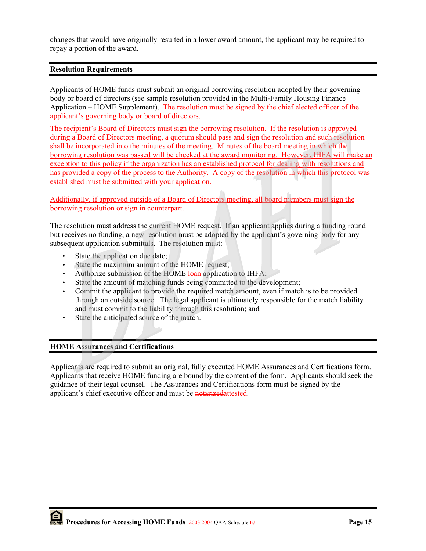changes that would have originally resulted in a lower award amount, the applicant may be required to repay a portion of the award.

# **Resolution Requirements**

Applicants of HOME funds must submit an original borrowing resolution adopted by their governing body or board of directors (see sample resolution provided in the Multi-Family Housing Finance Application – HOME Supplement). The resolution must be signed by the chief elected officer of the applicant's governing body or board of directors.

The recipient's Board of Directors must sign the borrowing resolution. If the resolution is approved during a Board of Directors meeting, a quorum should pass and sign the resolution and such resolution shall be incorporated into the minutes of the meeting. Minutes of the board meeting in which the borrowing resolution was passed will be checked at the award monitoring. However, IHFA will make an exception to this policy if the organization has an established protocol for dealing with resolutions and has provided a copy of the process to the Authority. A copy of the resolution in which this protocol was established must be submitted with your application.

Additionally, if approved outside of a Board of Directors meeting, all board members must sign the borrowing resolution or sign in counterpart.

The resolution must address the current HOME request. If an applicant applies during a funding round but receives no funding, a new resolution must be adopted by the applicant's governing body for any subsequent application submittals. The resolution must:

- State the application due date;
- State the maximum amount of the HOME request;
- Authorize submission of the HOME loan application to IHFA;
- State the amount of matching funds being committed to the development;
- Commit the applicant to provide the required match amount, even if match is to be provided through an outside source. The legal applicant is ultimately responsible for the match liability and must commit to the liability through this resolution; and
- State the anticipated source of the match.

# **HOME Assurances and Certifications**

Applicants are required to submit an original, fully executed HOME Assurances and Certifications form. Applicants that receive HOME funding are bound by the content of the form. Applicants should seek the guidance of their legal counsel. The Assurances and Certifications form must be signed by the applicant's chief executive officer and must be notarizedattested.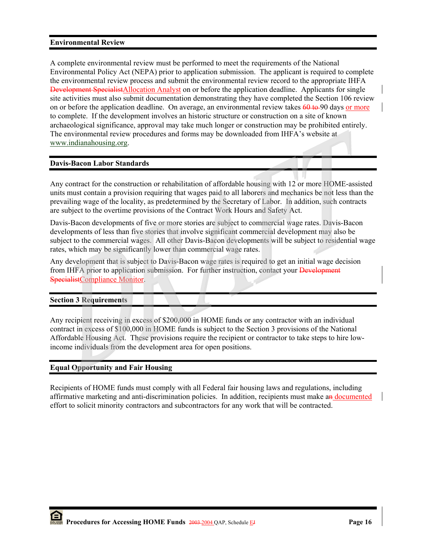## **Environmental Review**

A complete environmental review must be performed to meet the requirements of the National Environmental Policy Act (NEPA) prior to application submission. The applicant is required to complete the environmental review process and submit the environmental review record to the appropriate IHFA Development SpecialistAllocation Analyst on or before the application deadline. Applicants for single site activities must also submit documentation demonstrating they have completed the Section 106 review on or before the application deadline. On average, an environmental review takes  $60$  to 90 days or more to complete. If the development involves an historic structure or construction on a site of known archaeological significance, approval may take much longer or construction may be prohibited entirely. The environmental review procedures and forms may be downloaded from IHFA's website at [www.indianahousing.org.](http://www.indianahousing.org/)

## **Davis-Bacon Labor Standards**

Any contract for the construction or rehabilitation of affordable housing with 12 or more HOME-assisted units must contain a provision requiring that wages paid to all laborers and mechanics be not less than the prevailing wage of the locality, as predetermined by the Secretary of Labor. In addition, such contracts are subject to the overtime provisions of the Contract Work Hours and Safety Act.

Davis-Bacon developments of five or more stories are subject to commercial wage rates. Davis-Bacon developments of less than five stories that involve significant commercial development may also be subject to the commercial wages. All other Davis-Bacon developments will be subject to residential wage rates, which may be significantly lower than commercial wage rates.

Any development that is subject to Davis-Bacon wage rates is required to get an initial wage decision from IHFA prior to application submission. For further instruction, contact your Development SpecialistCompliance Monitor.

## **Section 3 Requirements**

Any recipient receiving in excess of \$200,000 in HOME funds or any contractor with an individual contract in excess of \$100,000 in HOME funds is subject to the Section 3 provisions of the National Affordable Housing Act. These provisions require the recipient or contractor to take steps to hire lowincome individuals from the development area for open positions.

## **Equal Opportunity and Fair Housing**

Recipients of HOME funds must comply with all Federal fair housing laws and regulations, including affirmative marketing and anti-discrimination policies. In addition, recipients must make an documented effort to solicit minority contractors and subcontractors for any work that will be contracted.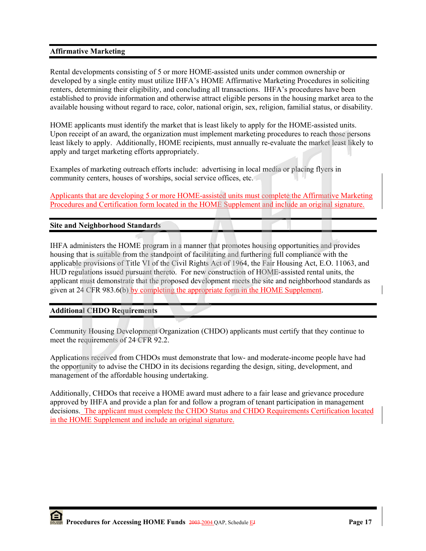# **Affirmative Marketing**

Rental developments consisting of 5 or more HOME-assisted units under common ownership or developed by a single entity must utilize IHFA's HOME Affirmative Marketing Procedures in soliciting renters, determining their eligibility, and concluding all transactions. IHFA's procedures have been established to provide information and otherwise attract eligible persons in the housing market area to the available housing without regard to race, color, national origin, sex, religion, familial status, or disability.

HOME applicants must identify the market that is least likely to apply for the HOME-assisted units. Upon receipt of an award, the organization must implement marketing procedures to reach those persons least likely to apply. Additionally, HOME recipients, must annually re-evaluate the market least likely to apply and target marketing efforts appropriately.

Examples of marketing outreach efforts include: advertising in local media or placing flyers in community centers, houses of worships, social service offices, etc.

Applicants that are developing 5 or more HOME-assisted units must complete the Affirmative Marketing Procedures and Certification form located in the HOME Supplement and include an original signature.

## **Site and Neighborhood Standards**

IHFA administers the HOME program in a manner that promotes housing opportunities and provides housing that is suitable from the standpoint of facilitating and furthering full compliance with the applicable provisions of Title VI of the Civil Rights Act of 1964, the Fair Housing Act, E.O. 11063, and HUD regulations issued pursuant thereto. For new construction of HOME-assisted rental units, the applicant must demonstrate that the proposed development meets the site and neighborhood standards as given at 24 CFR 983.6(b) by completing the appropriate form in the HOME Supplement.

## **Additional CHDO Requirements**

Community Housing Development Organization (CHDO) applicants must certify that they continue to meet the requirements of 24 CFR 92.2.

Applications received from CHDOs must demonstrate that low- and moderate-income people have had the opportunity to advise the CHDO in its decisions regarding the design, siting, development, and management of the affordable housing undertaking.

Additionally, CHDOs that receive a HOME award must adhere to a fair lease and grievance procedure approved by IHFA and provide a plan for and follow a program of tenant participation in management decisions. The applicant must complete the CHDO Status and CHDO Requirements Certification located in the HOME Supplement and include an original signature.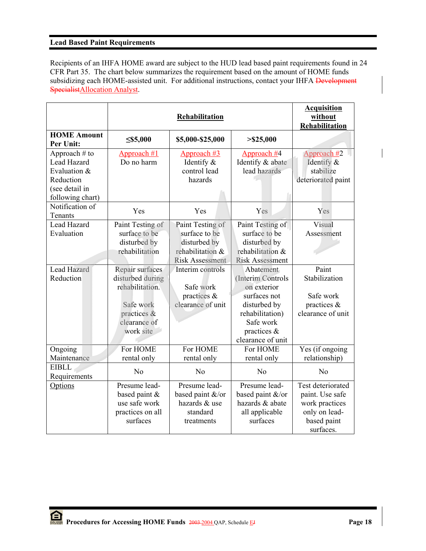# **Lead Based Paint Requirements**

Recipients of an IHFA HOME award are subject to the HUD lead based paint requirements found in 24 CFR Part 35. The chart below summarizes the requirement based on the amount of HOME funds subsidizing each HOME-assisted unit. For additional instructions, contact your IHFA Development Specialist**Allocation Analyst**.

|                                 |                     | <b>Rehabilitation</b>  |                        | <b>Acquisition</b><br>without<br><b>Rehabilitation</b> |
|---------------------------------|---------------------|------------------------|------------------------|--------------------------------------------------------|
| <b>HOME Amount</b><br>Per Unit: | $\leq 5,000$        | \$5,000-\$25,000       | $>$ \$25,000           |                                                        |
| Approach $#$ to                 | $\Delta$ pproach #1 | Approach #3            | Approach $#4$          | Approach #2                                            |
| Lead Hazard                     | Do no harm          | Identify &             | Identify & abate       | Identify &                                             |
| Evaluation &                    |                     | control lead           | lead hazards           | stabilize                                              |
| Reduction                       |                     | hazards                |                        | deteriorated paint                                     |
| (see detail in                  |                     |                        |                        |                                                        |
| following chart)                |                     |                        |                        |                                                        |
| Notification of<br>Tenants      | Yes                 | Yes                    | Yes                    | Yes                                                    |
| Lead Hazard                     | Paint Testing of    | Paint Testing of       | Paint Testing of       | Visual                                                 |
| Evaluation                      | surface to be       | surface to be          | surface to be          | Assessment                                             |
|                                 | disturbed by        | disturbed by           | disturbed by           |                                                        |
|                                 | rehabilitation      | rehabilitation &       | rehabilitation &       |                                                        |
|                                 |                     | <b>Risk Assessment</b> | <b>Risk Assessment</b> |                                                        |
| Lead Hazard                     | Repair surfaces     | Interim controls       | Abatement              | Paint                                                  |
| Reduction                       | disturbed during    |                        | (Interim Controls      | Stabilization                                          |
|                                 | rehabilitation.     | Safe work              | on exterior            |                                                        |
|                                 |                     | practices &            | surfaces not           | Safe work                                              |
|                                 | Safe work           | clearance of unit      | disturbed by           | practices &                                            |
|                                 | practices &         |                        | rehabilitation)        | clearance of unit                                      |
|                                 | clearance of        |                        | Safe work              |                                                        |
|                                 | work site           |                        | practices $\&$         |                                                        |
|                                 |                     |                        | clearance of unit      |                                                        |
| Ongoing                         | For HOME            | For HOME               | For HOME               | Yes (if ongoing                                        |
| Maintenance                     | rental only         | rental only            | rental only            | relationship)                                          |
| <b>EIBLL</b><br>Requirements    | N <sub>0</sub>      | N <sub>0</sub>         | No                     | N <sub>o</sub>                                         |
| Options                         | Presume lead-       | Presume lead-          | Presume lead-          | Test deteriorated                                      |
|                                 | based paint &       | based paint &/or       | based paint &/or       | paint. Use safe                                        |
|                                 | use safe work       | hazards & use          | hazards & abate        | work practices                                         |
|                                 | practices on all    | standard               | all applicable         | only on lead-                                          |
|                                 | surfaces            | treatments             | surfaces               | based paint                                            |
|                                 |                     |                        |                        | surfaces.                                              |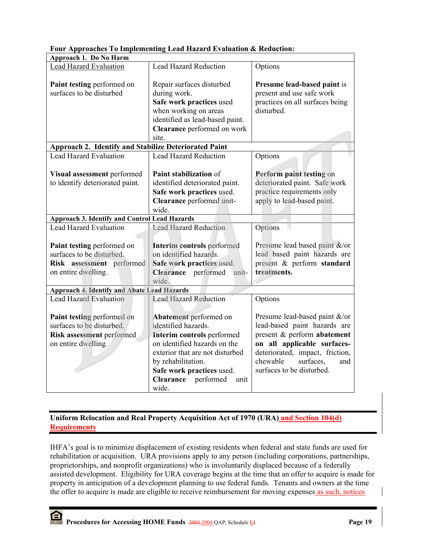| Approach 1. Do No Harm                                                                                      |                                                                                                                                                                           |                                                                                                                       |
|-------------------------------------------------------------------------------------------------------------|---------------------------------------------------------------------------------------------------------------------------------------------------------------------------|-----------------------------------------------------------------------------------------------------------------------|
| <b>Lead Hazard Evaluation</b>                                                                               | <b>Lead Hazard Reduction</b>                                                                                                                                              | Options                                                                                                               |
| Paint testing performed on<br>surfaces to be disturbed                                                      | Repair surfaces disturbed<br>during work.<br>Safe work practices used<br>when working on areas<br>identified as lead-based paint.<br>Clearance performed on work<br>site. | Presume lead-based paint is<br>present and use safe work<br>practices on all surfaces being<br>disturbed.             |
| <b>Approach 2. Identify and Stabilize Deteriorated Paint</b>                                                |                                                                                                                                                                           |                                                                                                                       |
| <b>Lead Hazard Evaluation</b>                                                                               | <b>Lead Hazard Reduction</b>                                                                                                                                              | Options                                                                                                               |
| Visual assessment performed<br>to identify deteriorated paint.                                              | Paint stabilization of<br>identified deteriorated paint.<br>Safe work practices used.<br>Clearance performed unit-<br>wide.                                               | Perform paint testing on<br>deteriorated paint. Safe work<br>practice requirements only<br>apply to lead-based paint. |
| <b>Approach 3. Identify and Control Lead Hazards</b>                                                        |                                                                                                                                                                           |                                                                                                                       |
| <b>Lead Hazard Evaluation</b>                                                                               | <b>Lead Hazard Reduction</b>                                                                                                                                              | Options                                                                                                               |
| Paint testing performed on<br>surfaces to be disturbed.<br>Risk assessment performed<br>on entire dwelling. | Interim controls performed<br>on identified hazards.<br>Safe work practices used.<br>Clearance performed<br>unit-<br>wide.                                                | Presume lead based paint &/or<br>lead based paint hazards are<br>present & perform standard<br>treatments.            |
| <b>Approach 4. Identify and Abate Lead Hazards</b>                                                          |                                                                                                                                                                           |                                                                                                                       |
| <b>Lead Hazard Evaluation</b>                                                                               | <b>Lead Hazard Reduction</b>                                                                                                                                              | Options                                                                                                               |
| Paint testing performed on                                                                                  | Abatement performed on                                                                                                                                                    | Presume lead-based paint &/or                                                                                         |
| surfaces to be disturbed.                                                                                   | identified hazards.                                                                                                                                                       | lead-based paint hazards are                                                                                          |
| <b>Risk assessment performed</b>                                                                            | <b>Interim controls performed</b>                                                                                                                                         | present & perform abatement                                                                                           |
| on entire dwelling.                                                                                         | on identified hazards on the<br>exterior that are not disturbed<br>by rehabilitation.                                                                                     | on all applicable surfaces-<br>deteriorated, impact, friction,<br>chewable<br>surfaces.<br>and                        |
|                                                                                                             | Safe work practices used.                                                                                                                                                 | surfaces to be disturbed.                                                                                             |
|                                                                                                             | performed<br><b>Clearance</b><br>unit<br>wide.                                                                                                                            |                                                                                                                       |

# **Four Approaches To Implementing Lead Hazard Evaluation & Reduction:**

# **Uniform Relocation and Real Property Acquisition Act of 1970 (URA) and Section 104(d) Requirements**

IHFA's goal is to minimize displacement of existing residents when federal and state funds are used for rehabilitation or acquisition. URA provisions apply to any person (including corporations, partnerships, proprietorships, and nonprofit organizations) who is involuntarily displaced because of a federally assisted development. Eligibility for URA coverage begins at the time that an offer to acquire is made for property in anticipation of a development planning to use federal funds. Tenants and owners at the time the offer to acquire is made are eligible to receive reimbursement for moving expenses as such, notices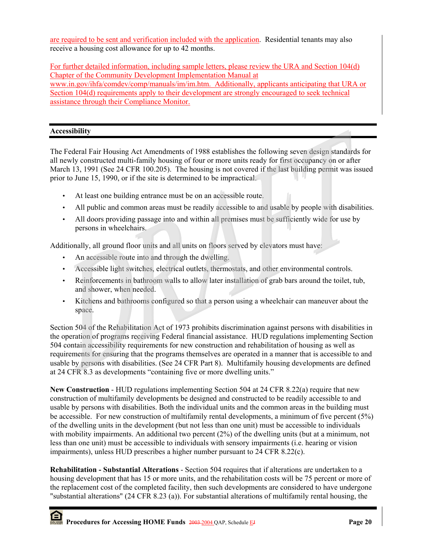are required to be sent and verification included with the application. Residential tenants may also receive a housing cost allowance for up to 42 months.

For further detailed information, including sample letters, please review the URA and Section 104(d) Chapter of the Community Development Implementation Manual at [www.in.gov/ihfa/comdev/comp/manuals/im/im.htm.](http://www.in.gov/ihfa/comdev/comp/manuals/im/im.htm) Additionally, applicants anticipating that URA or Section 104(d) requirements apply to their development are strongly encouraged to seek technical assistance through their Compliance Monitor.

# **Accessibility**

The Federal Fair Housing Act Amendments of 1988 establishes the following seven design standards for all newly constructed multi-family housing of four or more units ready for first occupancy on or after March 13, 1991 (See 24 CFR 100.205). The housing is not covered if the last building permit was issued prior to June 15, 1990, or if the site is determined to be impractical.

- At least one building entrance must be on an accessible route.
- All public and common areas must be readily accessible to and usable by people with disabilities.
- All doors providing passage into and within all premises must be sufficiently wide for use by persons in wheelchairs.

Additionally, all ground floor units and all units on floors served by elevators must have:

- An accessible route into and through the dwelling.
- Accessible light switches, electrical outlets, thermostats, and other environmental controls.
- Reinforcements in bathroom walls to allow later installation of grab bars around the toilet, tub, and shower, when needed.
- Kitchens and bathrooms configured so that a person using a wheelchair can maneuver about the space.

Section 504 of the Rehabilitation Act of 1973 prohibits discrimination against persons with disabilities in the operation of programs receiving Federal financial assistance. HUD regulations implementing Section 504 contain accessibility requirements for new construction and rehabilitation of housing as well as requirements for ensuring that the programs themselves are operated in a manner that is accessible to and usable by persons with disabilities. (See 24 CFR Part 8). Multifamily housing developments are defined at 24 CFR 8.3 as developments "containing five or more dwelling units."

**New Construction** - HUD regulations implementing Section 504 at 24 CFR 8.22(a) require that new construction of multifamily developments be designed and constructed to be readily accessible to and usable by persons with disabilities. Both the individual units and the common areas in the building must be accessible. For new construction of multifamily rental developments, a minimum of five percent (5%) of the dwelling units in the development (but not less than one unit) must be accessible to individuals with mobility impairments. An additional two percent (2%) of the dwelling units (but at a minimum, not less than one unit) must be accessible to individuals with sensory impairments (i.e. hearing or vision impairments), unless HUD prescribes a higher number pursuant to 24 CFR 8.22(c).

**Rehabilitation - Substantial Alterations** - Section 504 requires that if alterations are undertaken to a housing development that has 15 or more units, and the rehabilitation costs will be 75 percent or more of the replacement cost of the completed facility, then such developments are considered to have undergone "substantial alterations" (24 CFR 8.23 (a)). For substantial alterations of multifamily rental housing, the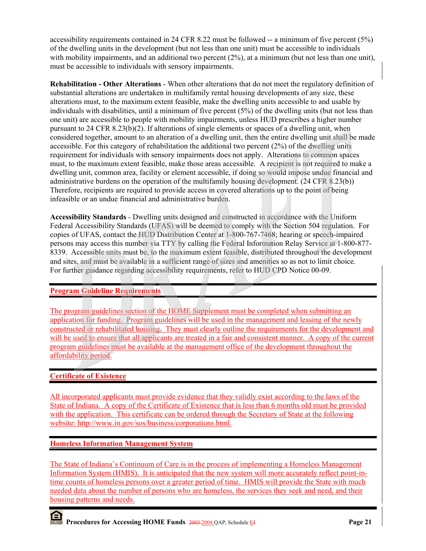accessibility requirements contained in 24 CFR 8.22 must be followed -- a minimum of five percent (5%) of the dwelling units in the development (but not less than one unit) must be accessible to individuals with mobility impairments, and an additional two percent (2%), at a minimum (but not less than one unit), must be accessible to individuals with sensory impairments.

**Rehabilitation - Other Alterations** - When other alterations that do not meet the regulatory definition of substantial alterations are undertaken in multifamily rental housing developments of any size, these alterations must, to the maximum extent feasible, make the dwelling units accessible to and usable by individuals with disabilities, until a minimum of five percent (5%) of the dwelling units (but not less than one unit) are accessible to people with mobility impairments, unless HUD prescribes a higher number pursuant to 24 CFR 8.23(b)(2). If alterations of single elements or spaces of a dwelling unit, when considered together, amount to an alteration of a dwelling unit, then the entire dwelling unit shall be made accessible. For this category of rehabilitation the additional two percent (2%) of the dwelling units requirement for individuals with sensory impairments does not apply. Alterations to common spaces must, to the maximum extent feasible, make those areas accessible. A recipient is not required to make a dwelling unit, common area, facility or element accessible, if doing so would impose undue financial and administrative burdens on the operation of the multifamily housing development. (24 CFR 8.23(b)) Therefore, recipients are required to provide access in covered alterations up to the point of being infeasible or an undue financial and administrative burden.

**Accessibility Standards** - Dwelling units designed and constructed in accordance with the Uniform Federal Accessibility Standards (UFAS) will be deemed to comply with the Section 504 regulation. For copies of UFAS, contact the HUD Distribution Center at 1-800-767-7468; hearing or speech-impaired persons may access this number via TTY by calling the Federal Information Relay Service at 1-800-877- 8339. Accessible units must be, to the maximum extent feasible, distributed throughout the development and sites, and must be available in a sufficient range of sizes and amenities so as not to limit choice. For further guidance regarding accessibility requirements, refer to HUD CPD Notice 00-09.

# **Program Guideline Requirements**

The program guidelines section of the HOME Supplement must be completed when submitting an application for funding. Program guidelines will be used in the management and leasing of the newly constructed or rehabilitated housing. They must clearly outline the requirements for the development and will be used to ensure that all applicants are treated in a fair and consistent manner. A copy of the current program guidelines must be available at the management office of the development throughout the affordability period.

# **Certificate of Existence**

All incorporated applicants must provide evidence that they validly exist according to the laws of the State of Indiana. A copy of the Certificate of Existence that is less than 6 months old must be provided with the application. This certificate can be ordered through the Secretary of State at the following website: [http://www.in.gov/sos/business/corporations.html.](http://www.in.gov/sos/business/corporations.html)

## **Homeless Information Management System**

The State of Indiana's Continuum of Care is in the process of implementing a Homeless Management Information System (HMIS). It is anticipated that the new system will more accurately reflect point-intime counts of homeless persons over a greater period of time. HMIS will provide the State with much needed data about the number of persons who are homeless, the services they seek and need, and their housing patterns and needs.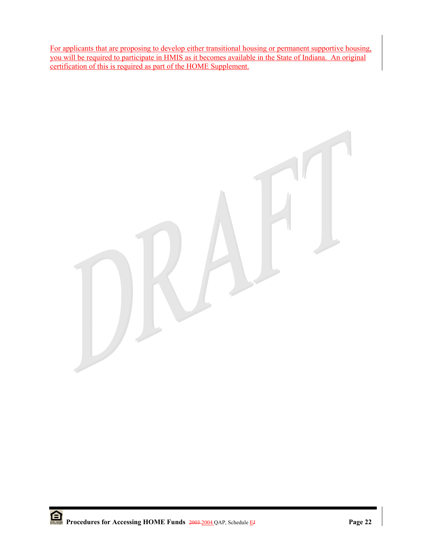For applicants that are proposing to develop either transitional housing or permanent supportive housing, you will be required to participate in HMIS as it becomes available in the State of Indiana. An original certification of this is required as part of the HOME Supplement.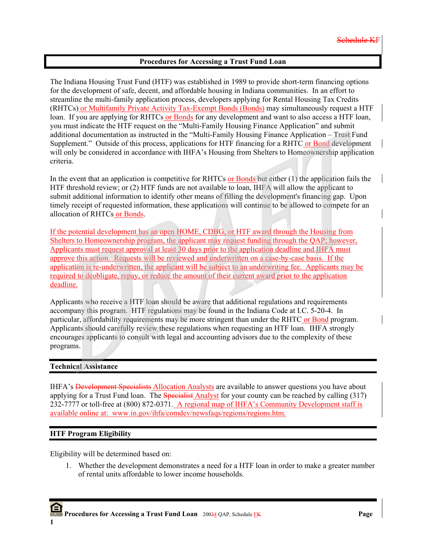## **Procedures for Accessing a Trust Fund Loan**

The Indiana Housing Trust Fund (HTF) was established in 1989 to provide short-term financing options for the development of safe, decent, and affordable housing in Indiana communities. In an effort to streamline the multi-family application process, developers applying for Rental Housing Tax Credits (RHTCs) or Multifamily Private Activity Tax-Exempt Bonds (Bonds) may simultaneously request a HTF loan. If you are applying for RHTCs or Bonds for any development and want to also access a HTF loan, you must indicate the HTF request on the "Multi-Family Housing Finance Application" and submit additional documentation as instructed in the "Multi-Family Housing Finance Application – Trust Fund Supplement." Outside of this process, applications for HTF financing for a RHTC or Bond development will only be considered in accordance with IHFA's Housing from Shelters to Homeownership application criteria.

In the event that an application is competitive for RHTCs or Bonds but either (1) the application fails the HTF threshold review; or (2) HTF funds are not available to loan, IHFA will allow the applicant to submit additional information to identify other means of filling the development's financing gap. Upon timely receipt of requested information, these applications will continue to be allowed to compete for an allocation of RHTCs or Bonds.

If the potential development has an open HOME, CDBG, or HTF award through the Housing from Shelters to Homeownership program, the applicant may request funding through the QAP; however, Applicants must request approval at least 30 days prior to the application deadline and IHFA must approve this action. Requests will be reviewed and underwritten on a case-by-case basis. If the application is re-underwritten, the applicant will be subject to an underwriting fee. Applicants may be required to deobligate, repay, or reduce the amount of their current award prior to the application deadline.

Applicants who receive a HTF loan should be aware that additional regulations and requirements accompany this program. HTF regulations may be found in the Indiana Code at I.C. 5-20-4. In particular, affordability requirements may be more stringent than under the RHTC or Bond program. Applicants should carefully review these regulations when requesting an HTF loan. IHFA strongly encourages applicants to consult with legal and accounting advisors due to the complexity of these programs.

#### **Technical Assistance**

IHFA's Development Specialists Allocation Analysts are available to answer questions you have about applying for a Trust Fund loan. The Specialist Analyst for your county can be reached by calling (317) 232-7777 or toll-free at (800) 872-0371. A regional map of IHFA's Community Development staff is available online at: www.in.gov/ihfa/comdev/newsfaqs/regions/regions.htm.

#### **HTF Program Eligibility**

Eligibility will be determined based on:

1. Whether the development demonstrates a need for a HTF loan in order to make a greater number of rental units affordable to lower income households.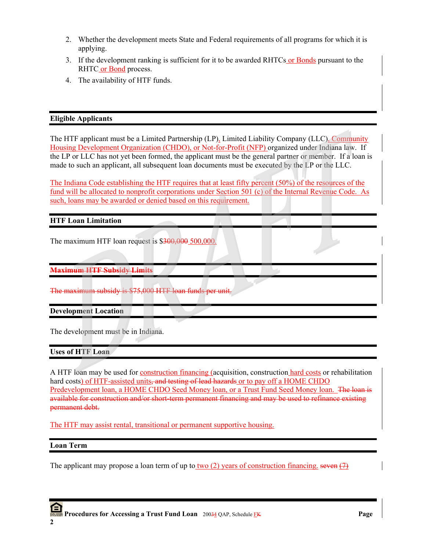- 2. Whether the development meets State and Federal requirements of all programs for which it is applying.
- 3. If the development ranking is sufficient for it to be awarded RHTCs or Bonds pursuant to the RHTC or Bond process.
- 4. The availability of HTF funds.

## **Eligible Applicants**

The HTF applicant must be a Limited Partnership (LP), Limited Liability Company (LLC), Community Housing Development Organization (CHDO), or Not-for-Profit (NFP) organized under Indiana law. If the LP or LLC has not yet been formed, the applicant must be the general partner or member. If a loan is made to such an applicant, all subsequent loan documents must be executed by the LP or the LLC.

The Indiana Code establishing the HTF requires that at least fifty percent (50%) of the resources of the fund will be allocated to nonprofit corporations under Section 501 (c) of the Internal Revenue Code. As such, loans may be awarded or denied based on this requirement.

## **HTF Loan Limitation**

The maximum HTF loan request is \$300,000 500,000.

**Maximum HTF Subsidy Limits**

The maximum subsidy is \$75,000 HTF loan funds per unit.

**Development Location** 

The development must be in Indiana.

## **Uses of HTF Loan**

A HTF loan may be used for construction financing (acquisition, construction hard costs or rehabilitation hard costs) of HTF-assisted units–and testing of lead hazards or to pay off a HOME CHDO Predevelopment loan, a HOME CHDO Seed Money loan, or a Trust Fund Seed Money loan. The loan is available for construction and/or short-term permanent financing and may be used to refinance existing permanent debt.

The HTF may assist rental, transitional or permanent supportive housing.

# **Loan Term**

The applicant may propose a loan term of up to two (2) years of construction financing. seven  $(7)$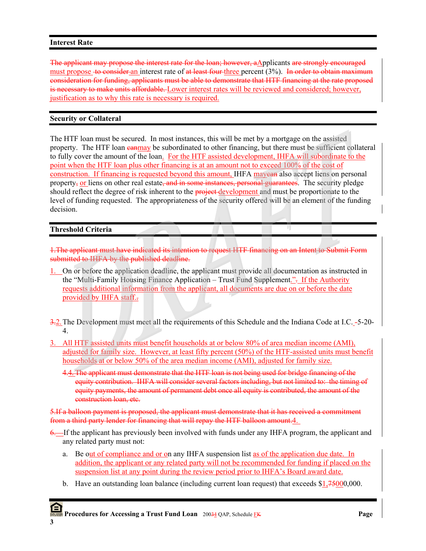## **Interest Rate**

The applicant may propose the interest rate for the loan; however, aApplicants are strongly encouraged must propose to consider an interest rate of at least four three percent (3%). In order to obtain maximum consideration for funding, applicants must be able to demonstrate that HTF financing at the rate proposed is necessary to make units affordable. Lower interest rates will be reviewed and considered; however, justification as to why this rate is necessary is required.

## **Security or Collateral**

The HTF loan must be secured. In most instances, this will be met by a mortgage on the assisted property. The HTF loan ean easy be subordinated to other financing, but there must be sufficient collateral to fully cover the amount of the loan. For the HTF assisted development, IHFA will subordinate to the point when the HTF loan plus other financing is at an amount not to exceed 100% of the cost of construction. If financing is requested beyond this amount, IHFA maycan also accept liens on personal property, or liens on other real estate, and in some instances, personal guarantees. The security pledge should reflect the degree of risk inherent to the **project** development and must be proportionate to the level of funding requested. The appropriateness of the security offered will be an element of the funding decision.

## **Threshold Criteria**

1.The applicant must have indicated its intention to request HTF financing on an Intent to Submit Form submitted to IHFA by the published deadline.

- 1. On or before the application deadline, the applicant must provide all documentation as instructed in the "Multi-Family Housing Finance Application – Trust Fund Supplement.". If the Authority requests additional information from the applicant, all documents are due on or before the date provided by IHFA staff..
- 3.2. The Development must meet all the requirements of this Schedule and the Indiana Code at I.C. -5-20- 4.
- 3. All HTF assisted units must benefit households at or below 80% of area median income (AMI), adjusted for family size. However, at least fifty percent (50%) of the HTF-assisted units must benefit households at or below 50% of the area median income (AMI), adjusted for family size.
	- 4.4. The applicant must demonstrate that the HTF loan is not being used for bridge financing of the equity contribution. IHFA will consider several factors including, but not limited to: the timing of equity payments, the amount of permanent debt once all equity is contributed, the amount of the construction loan, etc.

5.If a balloon payment is proposed, the applicant must demonstrate that it has received a commitment from a third party lender for financing that will repay the HTF balloon amount.4.

- 6. If the applicant has previously been involved with funds under any IHFA program, the applicant and any related party must not:
	- a. Be out of compliance and or on any IHFA suspension list as of the application due date. In addition, the applicant or any related party will not be recommended for funding if placed on the suspension list at any point during the review period prior to IHFA's Board award date.
	- b. Have an outstanding loan balance (including current loan request) that exceeds  $$1,75000,000$ .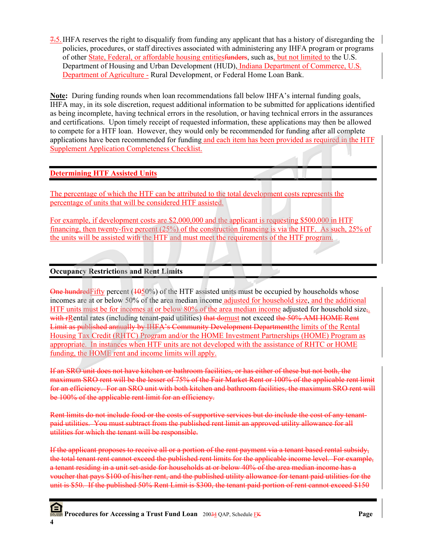7.5. IHFA reserves the right to disqualify from funding any applicant that has a history of disregarding the policies, procedures, or staff directives associated with administering any IHFA program or programs of other State, Federal, or affordable housing entitiesfunders, such as, but not limited to the U.S. Department of Housing and Urban Development (HUD), Indiana Department of Commerce, U.S. Department of Agriculture - Rural Development, or Federal Home Loan Bank.

**Note:** During funding rounds when loan recommendations fall below IHFA's internal funding goals, IHFA may, in its sole discretion, request additional information to be submitted for applications identified as being incomplete, having technical errors in the resolution, or having technical errors in the assurances and certifications. Upon timely receipt of requested information, these applications may then be allowed to compete for a HTF loan. However, they would only be recommended for funding after all complete applications have been recommended for funding and each item has been provided as required in the HTF Supplement Application Completeness Checklist.

## **Determining HTF Assisted Units**

The percentage of which the HTF can be attributed to the total development costs represents the percentage of units that will be considered HTF assisted.

For example, if development costs are \$2,000,000 and the applicant is requesting \$500,000 in HTF financing, then twenty-five percent (25%) of the construction financing is via the HTF. As such, 25% of the units will be assisted with the HTF and must meet the requirements of the HTF program.

#### **Occupancy Restrictions and Rent Limits**

One hundred Fifty percent  $(1050\%)$  of the HTF assisted units must be occupied by households whose incomes are at or below 50% of the area median income adjusted for household size, and the additional HTF units must be for incomes at or below 80% of the area median income adjusted for household size,. with FRental rates (including tenant-paid utilities) that domust not exceed the 50% AMI HOME Rent Limit as published annually by IHFA's Community Development Departmentthe limits of the Rental Housing Tax Credit (RHTC) Program and/or the HOME Investment Partnerships (HOME) Program as appropriate. In instances when HTF units are not developed with the assistance of RHTC or HOME funding, the HOME rent and income limits will apply.

If an SRO unit does not have kitchen or bathroom facilities, or has either of these but not both, the maximum SRO rent will be the lesser of 75% of the Fair Market Rent or 100% of the applicable rent limit for an efficiency. For an SRO unit with both kitchen and bathroom facilities, the maximum SRO rent will be 100% of the applicable rent limit for an efficiency.

Rent limits do not include food or the costs of supportive services but do include the cost of any tenantpaid utilities. You must subtract from the published rent limit an approved utility allowance for all utilities for which the tenant will be responsible.

If the applicant proposes to receive all or a portion of the rent payment via a tenant based rental subsidy, the total tenant rent cannot exceed the published rent limits for the applicable income level. For example, a tenant residing in a unit set-aside for households at or below 40% of the area median income has a voucher that pays \$100 of his/her rent, and the published utility allowance for tenant paid utilities for the unit is \$50. If the published 50% Rent Limit is \$300, the tenant paid portion of rent cannot exceed \$150

**4**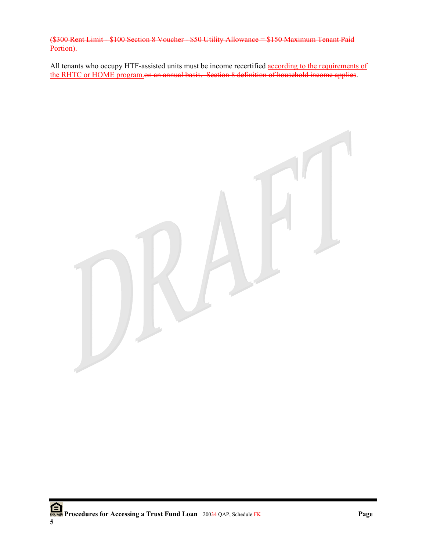(\$300 Rent Limit - \$100 Section 8 Voucher - \$50 Utility Allowance = \$150 Maximum Tenant Paid Portion).

All tenants who occupy HTF-assisted units must be income recertified **according to the requirements of** the RHTC or HOME program on an annual basis. Section 8 definition of household income applies.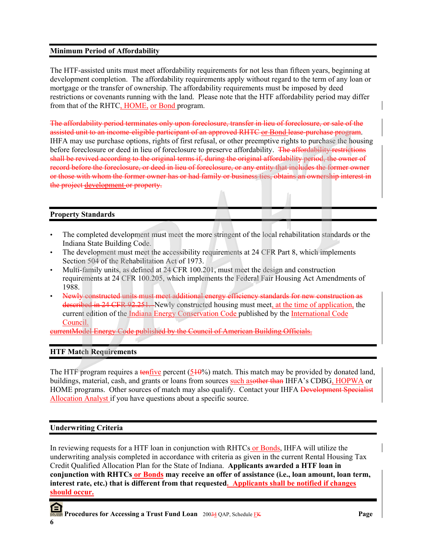#### **Minimum Period of Affordability**

The HTF-assisted units must meet affordability requirements for not less than fifteen years, beginning at development completion. The affordability requirements apply without regard to the term of any loan or mortgage or the transfer of ownership. The affordability requirements must be imposed by deed restrictions or covenants running with the land. Please note that the HTF affordability period may differ from that of the RHTC, HOME, or Bond program.

The affordability period terminates only upon foreclosure, transfer in lieu of foreclosure, or sale of the assisted unit to an income-eligible participant of an approved RHTC or Bond lease-purchase program. IHFA may use purchase options, rights of first refusal, or other preemptive rights to purchase the housing before foreclosure or deed in lieu of foreclosure to preserve affordability. The affordability restrictions shall be revived according to the original terms if, during the original affordability period, the owner of record before the foreclosure, or deed in lieu of foreclosure, or any entity that includes the former owner or those with whom the former owner has or had family or business ties, obtains an ownership interest in the project development or property.

## **Property Standards**

- The completed development must meet the more stringent of the local rehabilitation standards or the Indiana State Building Code.
- The development must meet the accessibility requirements at 24 CFR Part 8, which implements Section 504 of the Rehabilitation Act of 1973.
- Multi-family units, as defined at 24 CFR 100.201, must meet the design and construction requirements at 24 CFR 100.205, which implements the Federal Fair Housing Act Amendments of 1988.
- Newly constructed units must meet additional energy efficiency standards for new construction as described in 24 CFR 92.251. Newly constructed housing must meet, at the time of application, the current edition of the Indiana Energy Conservation Code published by the International Code Council.

currentModel Energy Code published by the Council of American Building Officials.

#### **HTF Match Requirements**

The HTF program requires a tenfive percent  $(510\%)$  match. This match may be provided by donated land, buildings, material, cash, and grants or loans from sources such asother than IHFA's CDBG, HOPWA or HOME programs. Other sources of match may also qualify. Contact your IHFA Development Specialist Allocation Analyst if you have questions about a specific source.

#### **Underwriting Criteria**

In reviewing requests for a HTF loan in conjunction with RHTCs or Bonds, IHFA will utilize the underwriting analysis completed in accordance with criteria as given in the current Rental Housing Tax Credit Qualified Allocation Plan for the State of Indiana. **Applicants awarded a HTF loan in conjunction with RHTCs or Bonds may receive an offer of assistance (i.e., loan amount, loan term, interest rate, etc.) that is different from that requested. Applicants shall be notified if changes should occur.**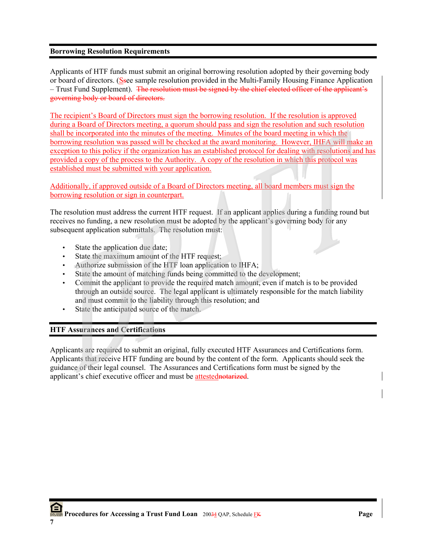#### **Borrowing Resolution Requirements**

Applicants of HTF funds must submit an original borrowing resolution adopted by their governing body or board of directors. (Ssee sample resolution provided in the Multi-Family Housing Finance Application – Trust Fund Supplement). The resolution must be signed by the chief elected officer of the applicant's governing body or board of directors.

The recipient's Board of Directors must sign the borrowing resolution. If the resolution is approved during a Board of Directors meeting, a quorum should pass and sign the resolution and such resolution shall be incorporated into the minutes of the meeting. Minutes of the board meeting in which the borrowing resolution was passed will be checked at the award monitoring. However, IHFA will make an exception to this policy if the organization has an established protocol for dealing with resolutions and has provided a copy of the process to the Authority. A copy of the resolution in which this protocol was established must be submitted with your application.

Additionally, if approved outside of a Board of Directors meeting, all board members must sign the borrowing resolution or sign in counterpart.

The resolution must address the current HTF request. If an applicant applies during a funding round but receives no funding, a new resolution must be adopted by the applicant's governing body for any subsequent application submittals. The resolution must:

- State the application due date;
- State the maximum amount of the HTF request;
- Authorize submission of the HTF loan application to IHFA;
- State the amount of matching funds being committed to the development;
- Commit the applicant to provide the required match amount, even if match is to be provided through an outside source. The legal applicant is ultimately responsible for the match liability and must commit to the liability through this resolution; and
- State the anticipated source of the match.

## **HTF Assurances and Certifications**

Applicants are required to submit an original, fully executed HTF Assurances and Certifications form. Applicants that receive HTF funding are bound by the content of the form. Applicants should seek the guidance of their legal counsel. The Assurances and Certifications form must be signed by the applicant's chief executive officer and must be attestednotarized.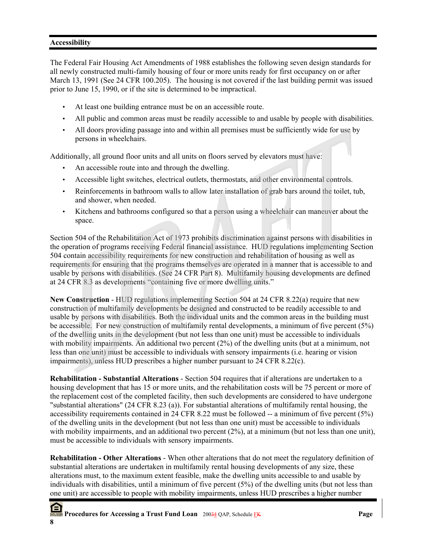## **Accessibility**

The Federal Fair Housing Act Amendments of 1988 establishes the following seven design standards for all newly constructed multi-family housing of four or more units ready for first occupancy on or after March 13, 1991 (See 24 CFR 100.205). The housing is not covered if the last building permit was issued prior to June 15, 1990, or if the site is determined to be impractical.

- At least one building entrance must be on an accessible route.
- All public and common areas must be readily accessible to and usable by people with disabilities.
- All doors providing passage into and within all premises must be sufficiently wide for use by persons in wheelchairs.

Additionally, all ground floor units and all units on floors served by elevators must have:

- An accessible route into and through the dwelling.
- Accessible light switches, electrical outlets, thermostats, and other environmental controls.
- Reinforcements in bathroom walls to allow later installation of grab bars around the toilet, tub, and shower, when needed.
- Kitchens and bathrooms configured so that a person using a wheelchair can maneuver about the space.

Section 504 of the Rehabilitation Act of 1973 prohibits discrimination against persons with disabilities in the operation of programs receiving Federal financial assistance. HUD regulations implementing Section 504 contain accessibility requirements for new construction and rehabilitation of housing as well as requirements for ensuring that the programs themselves are operated in a manner that is accessible to and usable by persons with disabilities. (See 24 CFR Part 8). Multifamily housing developments are defined at 24 CFR 8.3 as developments "containing five or more dwelling units."

**New Construction** - HUD regulations implementing Section 504 at 24 CFR 8.22(a) require that new construction of multifamily developments be designed and constructed to be readily accessible to and usable by persons with disabilities. Both the individual units and the common areas in the building must be accessible. For new construction of multifamily rental developments, a minimum of five percent (5%) of the dwelling units in the development (but not less than one unit) must be accessible to individuals with mobility impairments. An additional two percent (2%) of the dwelling units (but at a minimum, not less than one unit) must be accessible to individuals with sensory impairments (i.e. hearing or vision impairments), unless HUD prescribes a higher number pursuant to 24 CFR 8.22(c).

**Rehabilitation - Substantial Alterations** - Section 504 requires that if alterations are undertaken to a housing development that has 15 or more units, and the rehabilitation costs will be 75 percent or more of the replacement cost of the completed facility, then such developments are considered to have undergone "substantial alterations" (24 CFR 8.23 (a)). For substantial alterations of multifamily rental housing, the accessibility requirements contained in 24 CFR 8.22 must be followed -- a minimum of five percent (5%) of the dwelling units in the development (but not less than one unit) must be accessible to individuals with mobility impairments, and an additional two percent  $(2\%)$ , at a minimum (but not less than one unit), must be accessible to individuals with sensory impairments.

**Rehabilitation - Other Alterations** - When other alterations that do not meet the regulatory definition of substantial alterations are undertaken in multifamily rental housing developments of any size, these alterations must, to the maximum extent feasible, make the dwelling units accessible to and usable by individuals with disabilities, until a minimum of five percent (5%) of the dwelling units (but not less than one unit) are accessible to people with mobility impairments, unless HUD prescribes a higher number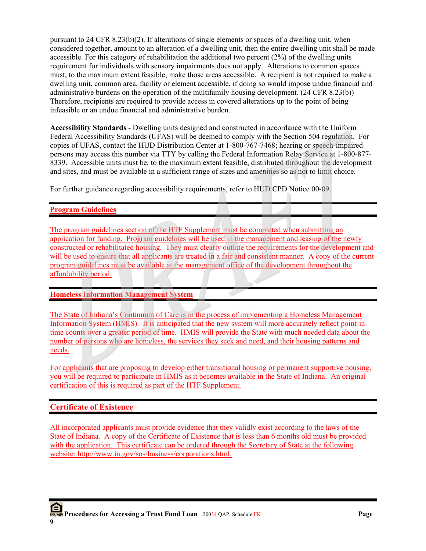pursuant to 24 CFR 8.23(b)(2). If alterations of single elements or spaces of a dwelling unit, when considered together, amount to an alteration of a dwelling unit, then the entire dwelling unit shall be made accessible. For this category of rehabilitation the additional two percent (2%) of the dwelling units requirement for individuals with sensory impairments does not apply. Alterations to common spaces must, to the maximum extent feasible, make those areas accessible. A recipient is not required to make a dwelling unit, common area, facility or element accessible, if doing so would impose undue financial and administrative burdens on the operation of the multifamily housing development. (24 CFR 8.23(b)) Therefore, recipients are required to provide access in covered alterations up to the point of being infeasible or an undue financial and administrative burden.

**Accessibility Standards** - Dwelling units designed and constructed in accordance with the Uniform Federal Accessibility Standards (UFAS) will be deemed to comply with the Section 504 regulation. For copies of UFAS, contact the HUD Distribution Center at 1-800-767-7468; hearing or speech-impaired persons may access this number via TTY by calling the Federal Information Relay Service at 1-800-877- 8339. Accessible units must be, to the maximum extent feasible, distributed throughout the development and sites, and must be available in a sufficient range of sizes and amenities so as not to limit choice.

For further guidance regarding accessibility requirements, refer to HUD CPD Notice 00-09.

## **Program Guidelines**

The program guidelines section of the HTF Supplement must be completed when submitting an application for funding. Program guidelines will be used in the management and leasing of the newly constructed or rehabilitated housing. They must clearly outline the requirements for the development and will be used to ensure that all applicants are treated in a fair and consistent manner. A copy of the current program guidelines must be available at the management office of the development throughout the affordability period.

## **Homeless Information Management System**

The State of Indiana's Continuum of Care is in the process of implementing a Homeless Management Information System (HMIS). It is anticipated that the new system will more accurately reflect point-intime counts over a greater period of time. HMIS will provide the State with much needed data about the number of persons who are homeless, the services they seek and need, and their housing patterns and needs.

For applicants that are proposing to develop either transitional housing or permanent supportive housing, you will be required to participate in HMIS as it becomes available in the State of Indiana. An original certification of this is required as part of the HTF Supplement.

# **Certificate of Existence**

**9**

All incorporated applicants must provide evidence that they validly exist according to the laws of the State of Indiana. A copy of the Certificate of Existence that is less than 6 months old must be provided with the application. This certificate can be ordered through the Secretary of State at the following website: [http://www.in.gov/sos/business/corporations.html.](http://www.in.gov/sos/business/corporations.html)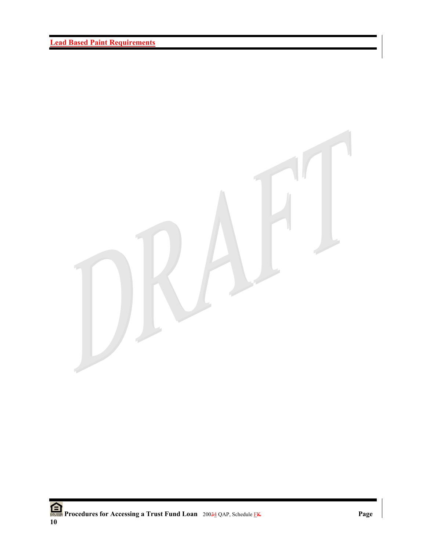**Lead Based Paint Requirements**

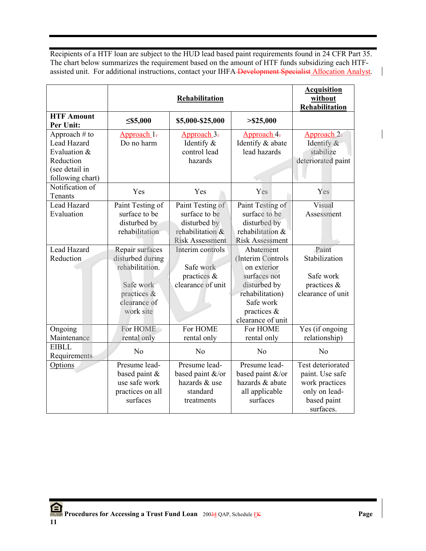Recipients of a HTF loan are subject to the HUD lead based paint requirements found in 24 CFR Part 35. The chart below summarizes the requirement based on the amount of HTF funds subsidizing each HTFassisted unit. For additional instructions, contact your IHFA Development Specialist Allocation Analyst.

|                                                                                                   | Rehabilitation                                                                                                  |                                                                                                 |                                                                                                                                                      | <b>Acquisition</b><br>without<br>Rehabilitation                                                     |
|---------------------------------------------------------------------------------------------------|-----------------------------------------------------------------------------------------------------------------|-------------------------------------------------------------------------------------------------|------------------------------------------------------------------------------------------------------------------------------------------------------|-----------------------------------------------------------------------------------------------------|
| <b>HTF Amount</b><br>Per Unit:                                                                    | $\leq$ \$5,000                                                                                                  | \$5,000-\$25,000                                                                                | $>$ \$25,000                                                                                                                                         |                                                                                                     |
| Approach $#$ to<br>Lead Hazard<br>Evaluation &<br>Reduction<br>(see detail in<br>following chart) | $\Delta$ pproach 1.<br>Do no harm                                                                               | Approach <sub>3</sub> .<br>Identify &<br>control lead<br>hazards                                | Approach 4.<br>Identify & abate<br>lead hazards                                                                                                      | Approach $2\pi$<br>Identify &<br>stabilize<br>deteriorated paint                                    |
| Notification of<br>Tenants                                                                        | Yes                                                                                                             | Yes                                                                                             | Yes                                                                                                                                                  | Yes                                                                                                 |
| Lead Hazard<br>Evaluation                                                                         | Paint Testing of<br>surface to be<br>disturbed by<br>rehabilitation                                             | Paint Testing of<br>surface to be<br>disturbed by<br>rehabilitation &<br><b>Risk Assessment</b> | Paint Testing of<br>surface to be<br>disturbed by<br>rehabilitation &<br><b>Risk Assessment</b>                                                      | Visual<br>Assessment                                                                                |
| Lead Hazard<br>Reduction                                                                          | Repair surfaces<br>disturbed during<br>rehabilitation.<br>Safe work<br>practices &<br>clearance of<br>work site | Interim controls<br>Safe work<br>practices &<br>clearance of unit                               | Abatement<br>(Interim Controls<br>on exterior<br>surfaces not<br>disturbed by<br>rehabilitation)<br>Safe work<br>practices $\&$<br>clearance of unit | Paint<br>Stabilization<br>Safe work<br>practices &<br>clearance of unit                             |
| Ongoing<br>Maintenance                                                                            | For HOME<br>rental only                                                                                         | For HOME<br>rental only                                                                         | For HOME<br>rental only                                                                                                                              | Yes (if ongoing<br>relationship)                                                                    |
| <b>EIBLL</b><br>Requirements                                                                      | N <sub>0</sub>                                                                                                  | N <sub>o</sub>                                                                                  | N <sub>0</sub>                                                                                                                                       | No                                                                                                  |
| Options                                                                                           | Presume lead-<br>based paint &<br>use safe work<br>practices on all<br>surfaces                                 | Presume lead-<br>based paint &/or<br>hazards & use<br>standard<br>treatments                    | Presume lead-<br>based paint &/or<br>hazards & abate<br>all applicable<br>surfaces                                                                   | Test deteriorated<br>paint. Use safe<br>work practices<br>only on lead-<br>based paint<br>surfaces. |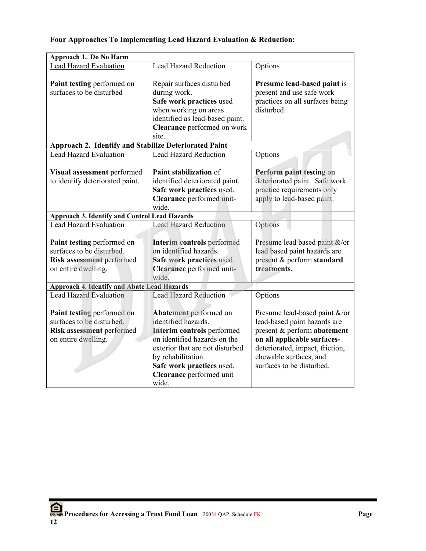# **Four Approaches To Implementing Lead Hazard Evaluation & Reduction:**

| Approach 1. Do No Harm                                       |                                 |                                 |  |  |  |  |
|--------------------------------------------------------------|---------------------------------|---------------------------------|--|--|--|--|
| Lead Hazard Evaluation                                       | <b>Lead Hazard Reduction</b>    | Options                         |  |  |  |  |
|                                                              |                                 |                                 |  |  |  |  |
| Paint testing performed on                                   | Repair surfaces disturbed       | Presume lead-based paint is     |  |  |  |  |
| surfaces to be disturbed                                     | during work.                    | present and use safe work       |  |  |  |  |
|                                                              | Safe work practices used        | practices on all surfaces being |  |  |  |  |
|                                                              | when working on areas           | disturbed.                      |  |  |  |  |
|                                                              | identified as lead-based paint. |                                 |  |  |  |  |
|                                                              | Clearance performed on work     |                                 |  |  |  |  |
|                                                              | site.                           |                                 |  |  |  |  |
| <b>Approach 2. Identify and Stabilize Deteriorated Paint</b> |                                 |                                 |  |  |  |  |
| <b>Lead Hazard Evaluation</b>                                | <b>Lead Hazard Reduction</b>    | Options                         |  |  |  |  |
| Visual assessment performed                                  | Paint stabilization of          | Perform paint testing on        |  |  |  |  |
| to identify deteriorated paint.                              | identified deteriorated paint.  | deteriorated paint. Safe work   |  |  |  |  |
|                                                              | Safe work practices used.       | practice requirements only      |  |  |  |  |
|                                                              | Clearance performed unit-       | apply to lead-based paint.      |  |  |  |  |
|                                                              | wide.                           |                                 |  |  |  |  |
| <b>Approach 3. Identify and Control Lead Hazards</b>         |                                 |                                 |  |  |  |  |
| <b>Lead Hazard Evaluation</b>                                | <b>Lead Hazard Reduction</b>    | Options                         |  |  |  |  |
| Paint testing performed on                                   | Interim controls performed      | Presume lead based paint &/or   |  |  |  |  |
| surfaces to be disturbed.                                    | on identified hazards.          | lead based paint hazards are    |  |  |  |  |
| Risk assessment performed                                    | Safe work practices used.       | present & perform standard      |  |  |  |  |
| on entire dwelling.                                          | Clearance performed unit-       | treatments.                     |  |  |  |  |
|                                                              | wide.                           |                                 |  |  |  |  |
| <b>Approach 4. Identify and Abate Lead Hazards</b>           |                                 |                                 |  |  |  |  |
| <b>Lead Hazard Evaluation</b>                                | <b>Lead Hazard Reduction</b>    | Options                         |  |  |  |  |
| Paint testing performed on                                   | Abatement performed on          | Presume lead-based paint &/or   |  |  |  |  |
| surfaces to be disturbed.                                    | identified hazards.             | lead-based paint hazards are    |  |  |  |  |
| Risk assessment performed                                    | Interim controls performed      | present & perform abatement     |  |  |  |  |
| on entire dwelling.                                          | on identified hazards on the    | on all applicable surfaces-     |  |  |  |  |
|                                                              | exterior that are not disturbed | deteriorated, impact, friction, |  |  |  |  |
|                                                              | by rehabilitation.              | chewable surfaces, and          |  |  |  |  |
|                                                              | Safe work practices used.       | surfaces to be disturbed.       |  |  |  |  |
|                                                              | Clearance performed unit        |                                 |  |  |  |  |
|                                                              | wide.                           |                                 |  |  |  |  |
|                                                              |                                 |                                 |  |  |  |  |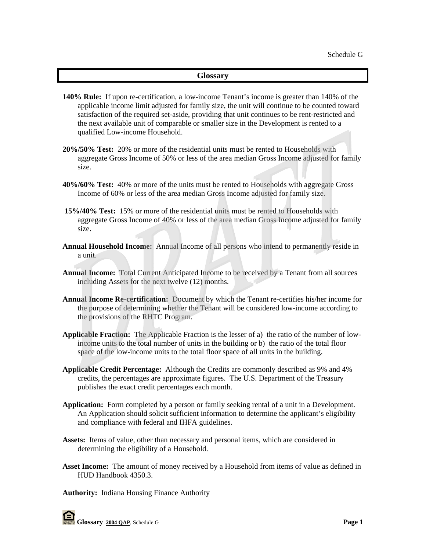#### **Glossary**

- **140% Rule:** If upon re-certification, a low-income Tenant's income is greater than 140% of the applicable income limit adjusted for family size, the unit will continue to be counted toward satisfaction of the required set-aside, providing that unit continues to be rent-restricted and the next available unit of comparable or smaller size in the Development is rented to a qualified Low-income Household.
- **20%/50% Test:** 20% or more of the residential units must be rented to Households with aggregate Gross Income of 50% or less of the area median Gross Income adjusted for family size.
- **40%/60% Test:** 40% or more of the units must be rented to Households with aggregate Gross Income of 60% or less of the area median Gross Income adjusted for family size.
- **15%/40% Test:** 15% or more of the residential units must be rented to Households with aggregate Gross Income of 40% or less of the area median Gross Income adjusted for family size.
- **Annual Household Income:** Annual Income of all persons who intend to permanently reside in a unit.
- **Annual Income:** Total Current Anticipated Income to be received by a Tenant from all sources including Assets for the next twelve (12) months.
- **Annual Income Re-certification:** Document by which the Tenant re-certifies his/her income for the purpose of determining whether the Tenant will be considered low-income according to the provisions of the RHTC Program.
- **Applicable Fraction:** The Applicable Fraction is the lesser of a) the ratio of the number of lowincome units to the total number of units in the building or b) the ratio of the total floor space of the low-income units to the total floor space of all units in the building.
- **Applicable Credit Percentage:** Although the Credits are commonly described as 9% and 4% credits, the percentages are approximate figures. The U.S. Department of the Treasury publishes the exact credit percentages each month.
- **Application:** Form completed by a person or family seeking rental of a unit in a Development. An Application should solicit sufficient information to determine the applicant's eligibility and compliance with federal and IHFA guidelines.
- **Assets:** Items of value, other than necessary and personal items, which are considered in determining the eligibility of a Household.
- **Asset Income:** The amount of money received by a Household from items of value as defined in HUD Handbook 4350.3.

**Authority:** Indiana Housing Finance Authority

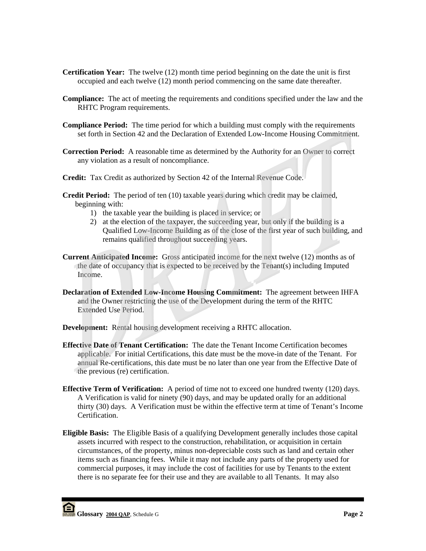- **Certification Year:** The twelve (12) month time period beginning on the date the unit is first occupied and each twelve (12) month period commencing on the same date thereafter.
- **Compliance:** The act of meeting the requirements and conditions specified under the law and the RHTC Program requirements.
- **Compliance Period:** The time period for which a building must comply with the requirements set forth in Section 42 and the Declaration of Extended Low-Income Housing Commitment.
- **Correction Period:** A reasonable time as determined by the Authority for an Owner to correct any violation as a result of noncompliance.
- **Credit:** Tax Credit as authorized by Section 42 of the Internal Revenue Code.
- **Credit Period:** The period of ten (10) taxable years during which credit may be claimed, beginning with:
	- 1) the taxable year the building is placed in service; or
	- 2) at the election of the taxpayer, the succeeding year, but only if the building is a Qualified Low-Income Building as of the close of the first year of such building, and remains qualified throughout succeeding years.
- **Current Anticipated Income:** Gross anticipated income for the next twelve (12) months as of the date of occupancy that is expected to be received by the Tenant(s) including Imputed Income.
- **Declaration of Extended Low-Income Housing Commitment:** The agreement between IHFA and the Owner restricting the use of the Development during the term of the RHTC Extended Use Period.
- **Development:** Rental housing development receiving a RHTC allocation.
- **Effective Date of Tenant Certification:** The date the Tenant Income Certification becomes applicable. For initial Certifications, this date must be the move-in date of the Tenant. For annual Re-certifications, this date must be no later than one year from the Effective Date of the previous (re) certification.
- **Effective Term of Verification:** A period of time not to exceed one hundred twenty (120) days. A Verification is valid for ninety (90) days, and may be updated orally for an additional thirty (30) days. A Verification must be within the effective term at time of Tenant's Income Certification.
- **Eligible Basis:** The Eligible Basis of a qualifying Development generally includes those capital assets incurred with respect to the construction, rehabilitation, or acquisition in certain circumstances, of the property, minus non-depreciable costs such as land and certain other items such as financing fees. While it may not include any parts of the property used for commercial purposes, it may include the cost of facilities for use by Tenants to the extent there is no separate fee for their use and they are available to all Tenants. It may also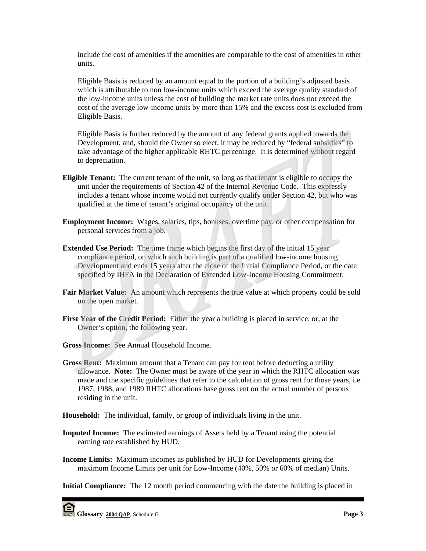include the cost of amenities if the amenities are comparable to the cost of amenities in other units.

Eligible Basis is reduced by an amount equal to the portion of a building's adjusted basis which is attributable to non low-income units which exceed the average quality standard of the low-income units unless the cost of building the market rate units does not exceed the cost of the average low-income units by more than 15% and the excess cost is excluded from Eligible Basis.

Eligible Basis is further reduced by the amount of any federal grants applied towards the Development, and, should the Owner so elect, it may be reduced by "federal subsidies" to take advantage of the higher applicable RHTC percentage. It is determined without regard to depreciation.

- **Eligible Tenant:** The current tenant of the unit, so long as that tenant is eligible to occupy the unit under the requirements of Section 42 of the Internal Revenue Code. This expressly includes a tenant whose income would not currently qualify under Section 42, but who was qualified at the time of tenant's original occupancy of the unit.
- **Employment Income:** Wages, salaries, tips, bonuses, overtime pay, or other compensation for personal services from a job.
- **Extended Use Period:** The time frame which begins the first day of the initial 15 year compliance period, on which such building is part of a qualified low-income housing Development and ends 15 years after the close of the Initial Compliance Period, or the date specified by IHFA in the Declaration of Extended Low-Income Housing Commitment.
- **Fair Market Value:** An amount which represents the true value at which property could be sold on the open market.
- **First Year of the Credit Period:** Either the year a building is placed in service, or, at the Owner's option, the following year.
- **Gross Income:** See Annual Household Income.
- **Gross Rent:** Maximum amount that a Tenant can pay for rent before deducting a utility allowance. **Note:** The Owner must be aware of the year in which the RHTC allocation was made and the specific guidelines that refer to the calculation of gross rent for those years, i.e. 1987, 1988, and 1989 RHTC allocations base gross rent on the actual number of persons residing in the unit.
- **Household:** The individual, family, or group of individuals living in the unit.
- **Imputed Income:** The estimated earnings of Assets held by a Tenant using the potential earning rate established by HUD.
- **Income Limits:** Maximum incomes as published by HUD for Developments giving the maximum Income Limits per unit for Low-Income (40%, 50% or 60% of median) Units.

**Initial Compliance:** The 12 month period commencing with the date the building is placed in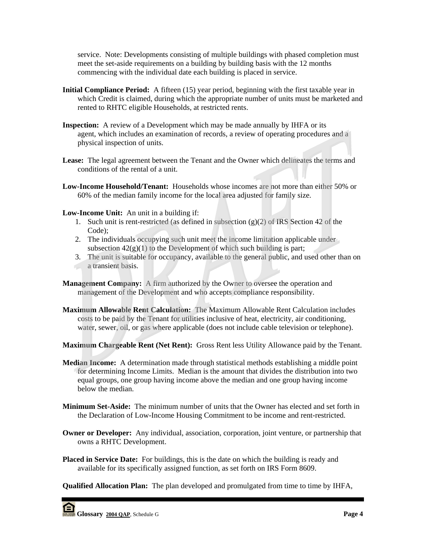service. Note: Developments consisting of multiple buildings with phased completion must meet the set-aside requirements on a building by building basis with the 12 months commencing with the individual date each building is placed in service.

- **Initial Compliance Period:** A fifteen (15) year period, beginning with the first taxable year in which Credit is claimed, during which the appropriate number of units must be marketed and rented to RHTC eligible Households, at restricted rents.
- **Inspection:** A review of a Development which may be made annually by IHFA or its agent, which includes an examination of records, a review of operating procedures and a physical inspection of units.
- **Lease:** The legal agreement between the Tenant and the Owner which delineates the terms and conditions of the rental of a unit.
- **Low-Income Household/Tenant:** Households whose incomes are not more than either 50% or 60% of the median family income for the local area adjusted for family size.

**Low-Income Unit:** An unit in a building if:

- 1. Such unit is rent-restricted (as defined in subsection  $(g)(2)$  of IRS Section 42 of the Code);
- 2. The individuals occupying such unit meet the income limitation applicable under subsection  $42(g)(1)$  to the Development of which such building is part;
- 3. The unit is suitable for occupancy, available to the general public, and used other than on a transient basis.
- **Management Company:** A firm authorized by the Owner to oversee the operation and management of the Development and who accepts compliance responsibility.
- **Maximum Allowable Rent Calculation:** The Maximum Allowable Rent Calculation includes costs to be paid by the Tenant for utilities inclusive of heat, electricity, air conditioning, water, sewer, oil, or gas where applicable (does not include cable television or telephone).
- **Maximum Chargeable Rent (Net Rent):** Gross Rent less Utility Allowance paid by the Tenant.
- **Median Income:** A determination made through statistical methods establishing a middle point for determining Income Limits. Median is the amount that divides the distribution into two equal groups, one group having income above the median and one group having income below the median.
- **Minimum Set-Aside:** The minimum number of units that the Owner has elected and set forth in the Declaration of Low-Income Housing Commitment to be income and rent-restricted.
- **Owner or Developer:** Any individual, association, corporation, joint venture, or partnership that owns a RHTC Development.
- **Placed in Service Date:** For buildings, this is the date on which the building is ready and available for its specifically assigned function, as set forth on IRS Form 8609.
- **Qualified Allocation Plan:** The plan developed and promulgated from time to time by IHFA,

**Glossary** 2004 QAP, Schedule G **Page 4 Page 4**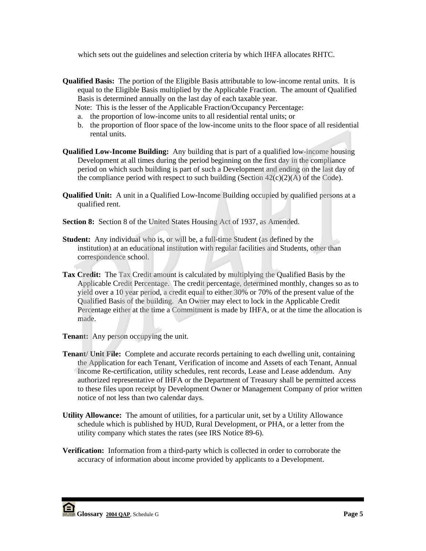which sets out the guidelines and selection criteria by which IHFA allocates RHTC.

- **Qualified Basis:** The portion of the Eligible Basis attributable to low-income rental units. It is equal to the Eligible Basis multiplied by the Applicable Fraction. The amount of Qualified Basis is determined annually on the last day of each taxable year.
	- Note: This is the lesser of the Applicable Fraction/Occupancy Percentage:
	- a. the proportion of low-income units to all residential rental units; or
	- b. the proportion of floor space of the low-income units to the floor space of all residential rental units.
- **Qualified Low-Income Building:** Any building that is part of a qualified low-income housing Development at all times during the period beginning on the first day in the compliance period on which such building is part of such a Development and ending on the last day of the compliance period with respect to such building (Section  $42(c)(2)(A)$  of the Code).
- **Qualified Unit:** A unit in a Qualified Low-Income Building occupied by qualified persons at a qualified rent.
- **Section 8:** Section 8 of the United States Housing Act of 1937, as Amended.
- **Student:** Any individual who is, or will be, a full-time Student (as defined by the institution) at an educational institution with regular facilities and Students, other than correspondence school.
- **Tax Credit:** The Tax Credit amount is calculated by multiplying the Qualified Basis by the Applicable Credit Percentage. The credit percentage, determined monthly, changes so as to yield over a 10 year period, a credit equal to either 30% or 70% of the present value of the Qualified Basis of the building. An Owner may elect to lock in the Applicable Credit Percentage either at the time a Commitment is made by IHFA, or at the time the allocation is made.
- **Tenant:** Any person occupying the unit.
- **Tenant/ Unit File:** Complete and accurate records pertaining to each dwelling unit, containing the Application for each Tenant, Verification of income and Assets of each Tenant, Annual Income Re-certification, utility schedules, rent records, Lease and Lease addendum. Any authorized representative of IHFA or the Department of Treasury shall be permitted access to these files upon receipt by Development Owner or Management Company of prior written notice of not less than two calendar days.
- **Utility Allowance:** The amount of utilities, for a particular unit, set by a Utility Allowance schedule which is published by HUD, Rural Development, or PHA, or a letter from the utility company which states the rates (see IRS Notice 89-6).
- **Verification:** Information from a third-party which is collected in order to corroborate the accuracy of information about income provided by applicants to a Development.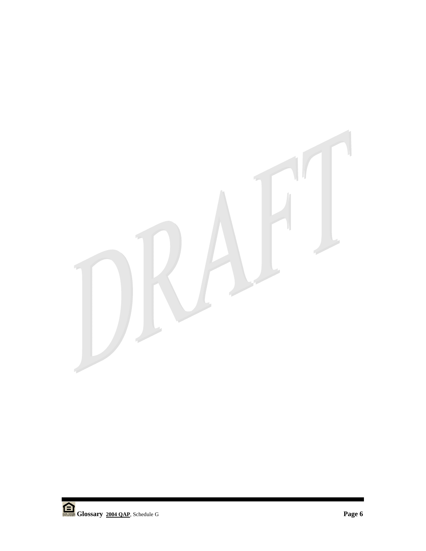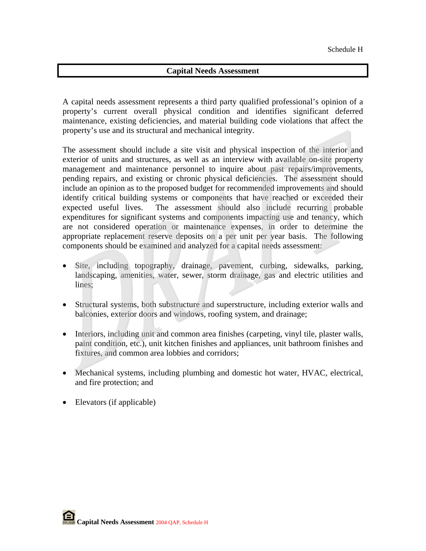# **Capital Needs Assessment**

A capital needs assessment represents a third party qualified professional's opinion of a property's current overall physical condition and identifies significant deferred maintenance, existing deficiencies, and material building code violations that affect the property's use and its structural and mechanical integrity.

The assessment should include a site visit and physical inspection of the interior and exterior of units and structures, as well as an interview with available on-site property management and maintenance personnel to inquire about past repairs/improvements, pending repairs, and existing or chronic physical deficiencies. The assessment should include an opinion as to the proposed budget for recommended improvements and should identify critical building systems or components that have reached or exceeded their expected useful lives. The assessment should also include recurring probable expenditures for significant systems and components impacting use and tenancy, which are not considered operation or maintenance expenses, in order to determine the appropriate replacement reserve deposits on a per unit per year basis. The following components should be examined and analyzed for a capital needs assessment:

- Site, including topography, drainage, pavement, curbing, sidewalks, parking, landscaping, amenities, water, sewer, storm drainage, gas and electric utilities and lines;
- Structural systems, both substructure and superstructure, including exterior walls and balconies, exterior doors and windows, roofing system, and drainage;
- Interiors, including unit and common area finishes (carpeting, vinyl tile, plaster walls, paint condition, etc.), unit kitchen finishes and appliances, unit bathroom finishes and fixtures, and common area lobbies and corridors;
- Mechanical systems, including plumbing and domestic hot water, HVAC, electrical, and fire protection; and
- Elevators (if applicable)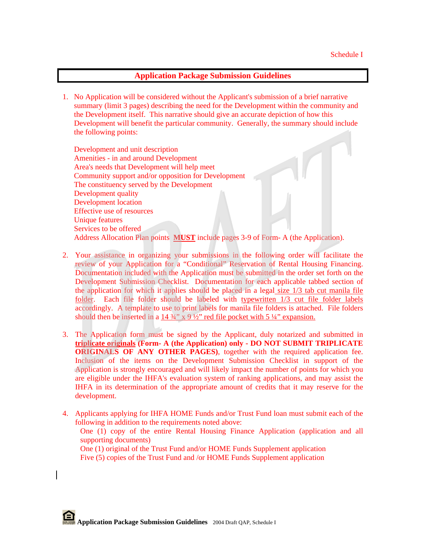## **Application Package Submission Guidelines**

1. No Application will be considered without the Applicant's submission of a brief narrative summary (limit 3 pages) describing the need for the Development within the community and the Development itself. This narrative should give an accurate depiction of how this Development will benefit the particular community. Generally, the summary should include the following points:

Development and unit description Amenities - in and around Development Area's needs that Development will help meet Community support and/or opposition for Development The constituency served by the Development Development quality Development location Effective use of resources Unique features Services to be offered Address Allocation Plan points **MUST** include pages 3-9 of Form- A (the Application).

- 2. Your assistance in organizing your submissions in the following order will facilitate the review of your Application for a "Conditional" Reservation of Rental Housing Financing. Documentation included with the Application must be submitted in the order set forth on the Development Submission Checklist. Documentation for each applicable tabbed section of the application for which it applies should be placed in a legal size  $1/3$  tab cut manila file folder. Each file folder should be labeled with typewritten 1/3 cut file folder labels accordingly. A template to use to print labels for manila file folders is attached. File folders should then be inserted in a 14  $\frac{3}{4}$ " x 9  $\frac{1}{2}$ " red file pocket with 5  $\frac{1}{4}$ " expansion.
- 3. The Application form must be signed by the Applicant, duly notarized and submitted in **triplicate originals (Form- A (the Application) only - DO NOT SUBMIT TRIPLICATE ORIGINALS OF ANY OTHER PAGES**), together with the required application fee. Inclusion of the items on the Development Submission Checklist in support of the Application is strongly encouraged and will likely impact the number of points for which you are eligible under the IHFA's evaluation system of ranking applications, and may assist the IHFA in its determination of the appropriate amount of credits that it may reserve for the development.
- 4. Applicants applying for IHFA HOME Funds and/or Trust Fund loan must submit each of the following in addition to the requirements noted above: One (1) copy of the entire Rental Housing Finance Application (application and all supporting documents) One (1) original of the Trust Fund and/or HOME Funds Supplement application Five (5) copies of the Trust Fund and /or HOME Funds Supplement application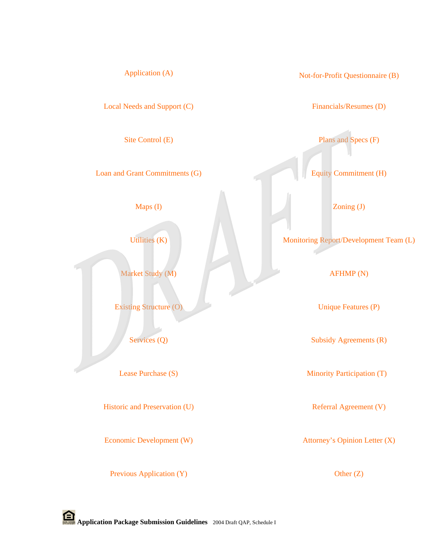Application (A) Not-for-Profit Questionnaire (B) Local Needs and Support (C) Financials/Resumes (D) Site Control (E) Plans and Specs (F) Loan and Grant Commitments (G) Equity Commitment (H) Maps (I) Zoning (J) Utilities (K) Monitoring Report/Development Team (L) Market Study (M) AFHMP (N) Existing Structure (O) Unique Features (P) Services (Q) Subsidy Agreements (R) Lease Purchase (S) Minority Participation (T) Historic and Preservation (U) Referral Agreement (V) Economic Development (W) Attorney's Opinion Letter (X) Previous Application (Y) Other (Z)